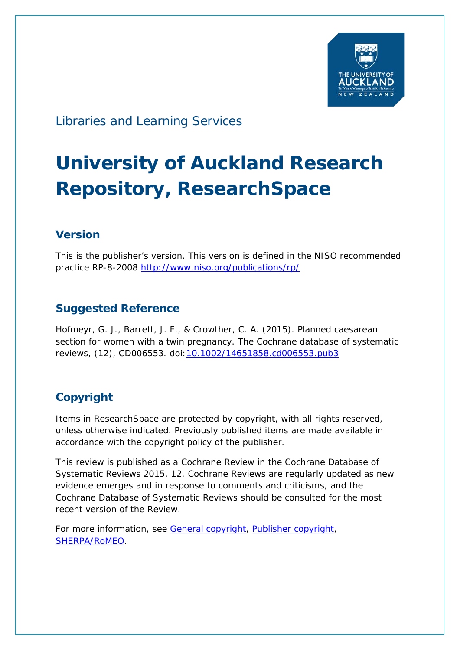

## Libraries and Learning Services

# **University of Auckland Research Repository, ResearchSpace**

## **Version**

This is the publisher's version. This version is defined in the NISO recommended practice RP-8-2008<http://www.niso.org/publications/rp/>

## **Suggested Reference**

Hofmeyr, G. J., Barrett, J. F., & Crowther, C. A. (2015). Planned caesarean section for women with a twin pregnancy. *The Cochrane database of systematic reviews*, (12), CD006553. doi[:10.1002/14651858.cd006553.pub3](http://dx.doi.org/10.1002/14651858.cd006553.pub3)

## **Copyright**

Items in ResearchSpace are protected by copyright, with all rights reserved, unless otherwise indicated. Previously published items are made available in accordance with the copyright policy of the publisher.

This review is published as a Cochrane Review in the *Cochrane Database of Systematic Reviews* 2015, 12. Cochrane Reviews are regularly updated as new evidence emerges and in response to comments and criticisms, and the Cochrane Database of Systematic Reviews should be consulted for the most recent version of the Review.

For more information, see [General copyright,](http://www.library.auckland.ac.nz/services/research-support/depositing-theses/copyright) [Publisher copyright,](https://www.cochranelibrary.com/about/open-access) [SHERPA/RoMEO.](http://www.sherpa.ac.uk/romeo/issn/1469-493X/)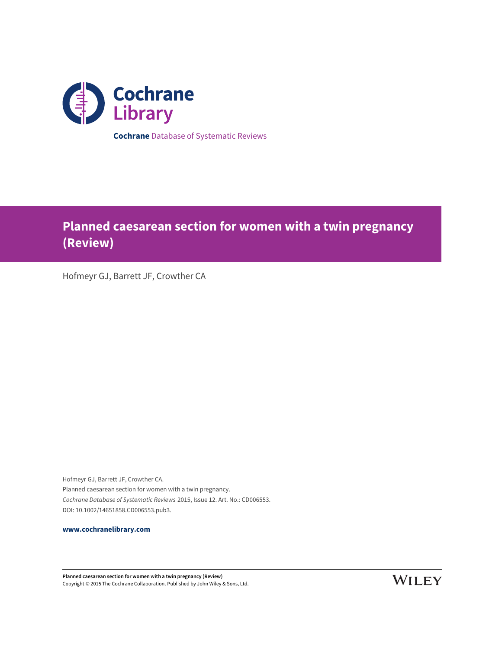

## **Planned caesarean section for women with a twin pregnancy (Review)**

Hofmeyr GJ, Barrett JF, Crowther CA

Hofmeyr GJ, Barrett JF, Crowther CA. Planned caesarean section for women with a twin pregnancy. Cochrane Database of Systematic Reviews 2015, Issue 12. Art. No.: CD006553. DOI: 10.1002/14651858.CD006553.pub3.

**[www.cochranelibrary.com](http://www.cochranelibrary.com)**

**Planned caesarean section for women with a twin pregnancy (Review)** Copyright © 2015 The Cochrane Collaboration. Published by John Wiley & Sons, Ltd.

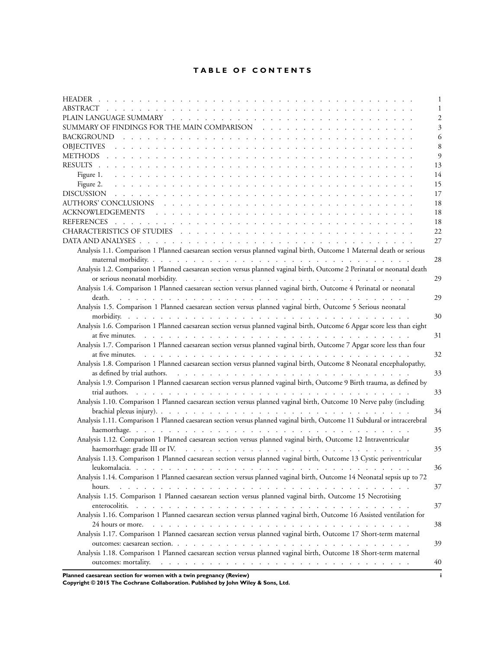## **TABLE OF CONTENTS**

|                                                                                                                          | $\mathbf{1}$   |
|--------------------------------------------------------------------------------------------------------------------------|----------------|
|                                                                                                                          | $\mathbf{1}$   |
|                                                                                                                          | $\overline{2}$ |
|                                                                                                                          | 3              |
|                                                                                                                          | 6              |
|                                                                                                                          | 8              |
|                                                                                                                          | $\overline{Q}$ |
|                                                                                                                          | 13             |
|                                                                                                                          | 14             |
|                                                                                                                          | 15             |
|                                                                                                                          | 17             |
|                                                                                                                          | 18             |
|                                                                                                                          | 18             |
|                                                                                                                          | 18             |
|                                                                                                                          | 22             |
|                                                                                                                          | 27             |
| Analysis 1.1. Comparison 1 Planned caesarean section versus planned vaginal birth, Outcome 1 Maternal death or serious   |                |
|                                                                                                                          | 28             |
| Analysis 1.2. Comparison 1 Planned caesarean section versus planned vaginal birth, Outcome 2 Perinatal or neonatal death |                |
|                                                                                                                          | 29             |
| Analysis 1.4. Comparison 1 Planned caesarean section versus planned vaginal birth, Outcome 4 Perinatal or neonatal       |                |
|                                                                                                                          | 29             |
| Analysis 1.5. Comparison 1 Planned caesarean section versus planned vaginal birth, Outcome 5 Serious neonatal            |                |
|                                                                                                                          | 30             |
| Analysis 1.6. Comparison 1 Planned caesarean section versus planned vaginal birth, Outcome 6 Apgar score less than eight |                |
| Analysis 1.7. Comparison 1 Planned caesarean section versus planned vaginal birth, Outcome 7 Apgar score less than four  | 31             |
|                                                                                                                          | 32             |
| Analysis 1.8. Comparison 1 Planned caesarean section versus planned vaginal birth, Outcome 8 Neonatal encephalopathy,    |                |
|                                                                                                                          | 33             |
| Analysis 1.9. Comparison 1 Planned caesarean section versus planned vaginal birth, Outcome 9 Birth trauma, as defined by |                |
|                                                                                                                          | 33             |
| Analysis 1.10. Comparison 1 Planned caesarean section versus planned vaginal birth, Outcome 10 Nerve palsy (including    |                |
|                                                                                                                          | 34             |
| Analysis 1.11. Comparison 1 Planned caesarean section versus planned vaginal birth, Outcome 11 Subdural or intracerebral |                |
|                                                                                                                          | 35             |
| Analysis 1.12. Comparison 1 Planned caesarean section versus planned vaginal birth, Outcome 12 Intraventricular          |                |
|                                                                                                                          | 35             |
| Analysis 1.13. Comparison 1 Planned caesarean section versus planned vaginal birth, Outcome 13 Cystic periventricular    |                |
|                                                                                                                          | 36             |
| Analysis 1.14. Comparison 1 Planned caesarean section versus planned vaginal birth, Outcome 14 Neonatal sepsis up to 72  |                |
|                                                                                                                          | 37             |
| Analysis 1.15. Comparison 1 Planned caesarean section versus planned vaginal birth, Outcome 15 Necrotising               |                |
|                                                                                                                          | 37             |
| Analysis 1.16. Comparison 1 Planned caesarean section versus planned vaginal birth, Outcome 16 Assisted ventilation for  |                |
|                                                                                                                          | 38             |
| Analysis 1.17. Comparison 1 Planned caesarean section versus planned vaginal birth, Outcome 17 Short-term maternal       |                |
|                                                                                                                          | 39             |
| Analysis 1.18. Comparison 1 Planned caesarean section versus planned vaginal birth, Outcome 18 Short-term maternal       |                |
|                                                                                                                          | 40             |
|                                                                                                                          |                |

**Planned caesarean section for women with a twin pregnancy (Review) i**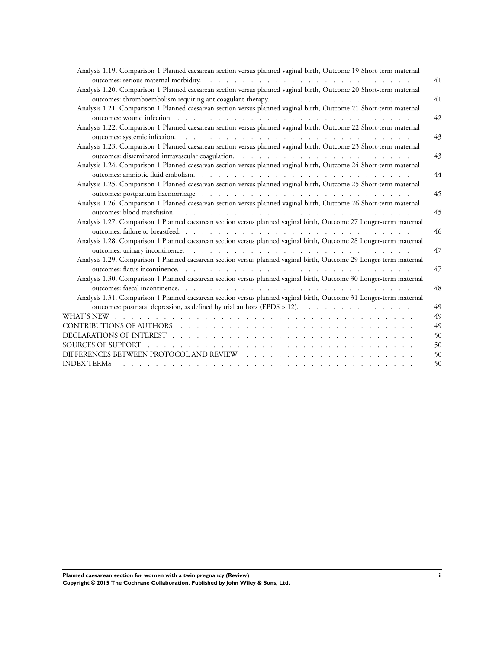| Analysis 1.19. Comparison 1 Planned caesarean section versus planned vaginal birth, Outcome 19 Short-term maternal              |    |
|---------------------------------------------------------------------------------------------------------------------------------|----|
|                                                                                                                                 | 41 |
| Analysis 1.20. Comparison 1 Planned caesarean section versus planned vaginal birth, Outcome 20 Short-term maternal              |    |
|                                                                                                                                 | 41 |
| Analysis 1.21. Comparison 1 Planned caesarean section versus planned vaginal birth, Outcome 21 Short-term maternal              |    |
|                                                                                                                                 | 42 |
| Analysis 1.22. Comparison 1 Planned caesarean section versus planned vaginal birth, Outcome 22 Short-term maternal              |    |
|                                                                                                                                 | 43 |
| Analysis 1.23. Comparison 1 Planned caesarean section versus planned vaginal birth, Outcome 23 Short-term maternal              |    |
|                                                                                                                                 | 43 |
| Analysis 1.24. Comparison 1 Planned caesarean section versus planned vaginal birth, Outcome 24 Short-term maternal              |    |
|                                                                                                                                 | 44 |
| Analysis 1.25. Comparison 1 Planned caesarean section versus planned vaginal birth, Outcome 25 Short-term maternal              |    |
|                                                                                                                                 | 45 |
| Analysis 1.26. Comparison 1 Planned caesarean section versus planned vaginal birth, Outcome 26 Short-term maternal              |    |
|                                                                                                                                 | 45 |
| Analysis 1.27. Comparison 1 Planned caesarean section versus planned vaginal birth, Outcome 27 Longer-term maternal             |    |
|                                                                                                                                 | 46 |
| Analysis 1.28. Comparison 1 Planned caesarean section versus planned vaginal birth, Outcome 28 Longer-term maternal             |    |
|                                                                                                                                 | 47 |
| Analysis 1.29. Comparison 1 Planned caesarean section versus planned vaginal birth, Outcome 29 Longer-term maternal             |    |
|                                                                                                                                 | 47 |
| Analysis 1.30. Comparison 1 Planned caesarean section versus planned vaginal birth, Outcome 30 Longer-term maternal             |    |
|                                                                                                                                 | 48 |
| Analysis 1.31. Comparison 1 Planned caesarean section versus planned vaginal birth, Outcome 31 Longer-term maternal             |    |
| outcomes: postnatal depression, as defined by trial authors (EPDS $> 12$ ).                                                     | 49 |
|                                                                                                                                 | 49 |
|                                                                                                                                 | 49 |
|                                                                                                                                 | 50 |
|                                                                                                                                 | 50 |
|                                                                                                                                 | 50 |
| <b>INDEX TERMS</b><br>والمتعارف والمتعاونة والمتعاونة والمتعارف والمتعارف والمتعاون والمتعاونة والمتعاونة والمتعاونة والمتعاونة | 50 |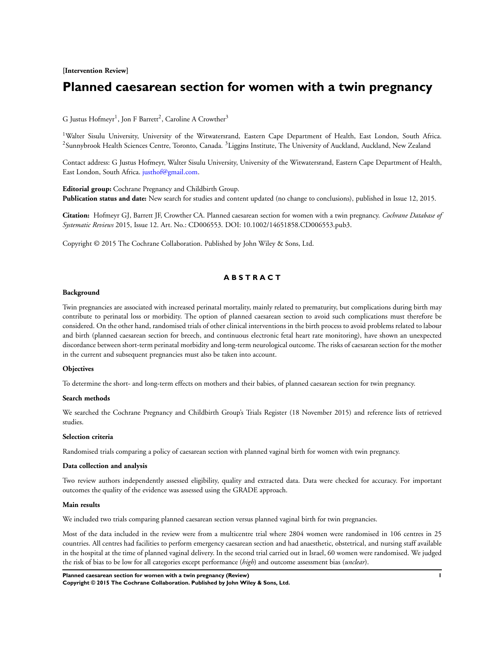**[Intervention Review]**

## **Planned caesarean section for women with a twin pregnancy**

G Justus Hofmeyr<sup>1</sup>, Jon F Barrett<sup>2</sup>, Caroline A Crowther<sup>3</sup>

<sup>1</sup>Walter Sisulu University, University of the Witwatersrand, Eastern Cape Department of Health, East London, South Africa. <sup>2</sup>Sunnybrook Health Sciences Centre, Toronto, Canada. <sup>3</sup>Liggins Institute, The University of Auckland, Auckland, New Zealand

Contact address: G Justus Hofmeyr, Walter Sisulu University, University of the Witwatersrand, Eastern Cape Department of Health, East London, South Africa. [justhof@gmail.com](mailto:justhof@gmail.com).

**Editorial group:** Cochrane Pregnancy and Childbirth Group. **Publication status and date:** New search for studies and content updated (no change to conclusions), published in Issue 12, 2015.

**Citation:** Hofmeyr GJ, Barrett JF, Crowther CA. Planned caesarean section for women with a twin pregnancy. *Cochrane Database of Systematic Reviews* 2015, Issue 12. Art. No.: CD006553. DOI: 10.1002/14651858.CD006553.pub3.

Copyright © 2015 The Cochrane Collaboration. Published by John Wiley & Sons, Ltd.

## **A B S T R A C T**

#### **Background**

Twin pregnancies are associated with increased perinatal mortality, mainly related to prematurity, but complications during birth may contribute to perinatal loss or morbidity. The option of planned caesarean section to avoid such complications must therefore be considered. On the other hand, randomised trials of other clinical interventions in the birth process to avoid problems related to labour and birth (planned caesarean section for breech, and continuous electronic fetal heart rate monitoring), have shown an unexpected discordance between short-term perinatal morbidity and long-term neurological outcome. The risks of caesarean section for the mother in the current and subsequent pregnancies must also be taken into account.

#### **Objectives**

To determine the short- and long-term effects on mothers and their babies, of planned caesarean section for twin pregnancy.

#### **Search methods**

We searched the Cochrane Pregnancy and Childbirth Group's Trials Register (18 November 2015) and reference lists of retrieved studies.

#### **Selection criteria**

Randomised trials comparing a policy of caesarean section with planned vaginal birth for women with twin pregnancy.

#### **Data collection and analysis**

Two review authors independently assessed eligibility, quality and extracted data. Data were checked for accuracy. For important outcomes the quality of the evidence was assessed using the GRADE approach.

#### **Main results**

We included two trials comparing planned caesarean section versus planned vaginal birth for twin pregnancies.

Most of the data included in the review were from a multicentre trial where 2804 women were randomised in 106 centres in 25 countries. All centres had facilities to perform emergency caesarean section and had anaesthetic, obstetrical, and nursing staff available in the hospital at the time of planned vaginal delivery. In the second trial carried out in Israel, 60 women were randomised. We judged the risk of bias to be low for all categories except performance (*high*) and outcome assessment bias (*unclear*).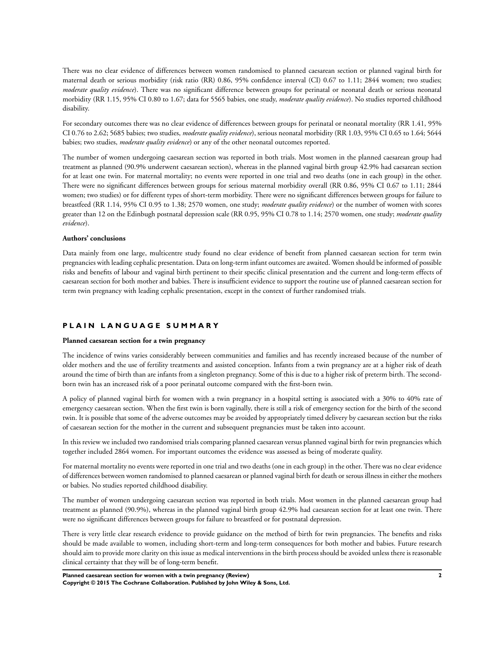There was no clear evidence of differences between women randomised to planned caesarean section or planned vaginal birth for maternal death or serious morbidity (risk ratio (RR) 0.86, 95% confidence interval (CI) 0.67 to 1.11; 2844 women; two studies; *moderate quality evidence*). There was no significant difference between groups for perinatal or neonatal death or serious neonatal morbidity (RR 1.15, 95% CI 0.80 to 1.67; data for 5565 babies, one study, *moderate quality evidence*). No studies reported childhood disability.

For secondary outcomes there was no clear evidence of differences between groups for perinatal or neonatal mortality (RR 1.41, 95% CI 0.76 to 2.62; 5685 babies; two studies, *moderate quality evidence*), serious neonatal morbidity (RR 1.03, 95% CI 0.65 to 1.64; 5644 babies; two studies, *moderate quality evidence*) or any of the other neonatal outcomes reported.

The number of women undergoing caesarean section was reported in both trials. Most women in the planned caesarean group had treatment as planned (90.9% underwent caesarean section), whereas in the planned vaginal birth group 42.9% had caesarean section for at least one twin. For maternal mortality; no events were reported in one trial and two deaths (one in each group) in the other. There were no significant differences between groups for serious maternal morbidity overall (RR 0.86, 95% CI 0.67 to 1.11; 2844 women; two studies) or for different types of short-term morbidity. There were no significant differences between groups for failure to breastfeed (RR 1.14, 95% CI 0.95 to 1.38; 2570 women, one study; *moderate quality evidence*) or the number of women with scores greater than 12 on the Edinbugh postnatal depression scale (RR 0.95, 95% CI 0.78 to 1.14; 2570 women, one study; *moderate quality evidence*).

#### **Authors' conclusions**

Data mainly from one large, multicentre study found no clear evidence of benefit from planned caesarean section for term twin pregnancies with leading cephalic presentation. Data on long-term infant outcomes are awaited. Women should be informed of possible risks and benefits of labour and vaginal birth pertinent to their specific clinical presentation and the current and long-term effects of caesarean section for both mother and babies. There is insufficient evidence to support the routine use of planned caesarean section for term twin pregnancy with leading cephalic presentation, except in the context of further randomised trials.

## **P L A I N L A N G U A G E S U M M A R Y**

#### **Planned caesarean section for a twin pregnancy**

The incidence of twins varies considerably between communities and families and has recently increased because of the number of older mothers and the use of fertility treatments and assisted conception. Infants from a twin pregnancy are at a higher risk of death around the time of birth than are infants from a singleton pregnancy. Some of this is due to a higher risk of preterm birth. The secondborn twin has an increased risk of a poor perinatal outcome compared with the first-born twin.

A policy of planned vaginal birth for women with a twin pregnancy in a hospital setting is associated with a 30% to 40% rate of emergency caesarean section. When the first twin is born vaginally, there is still a risk of emergency section for the birth of the second twin. It is possible that some of the adverse outcomes may be avoided by appropriately timed delivery by caesarean section but the risks of caesarean section for the mother in the current and subsequent pregnancies must be taken into account.

In this review we included two randomised trials comparing planned caesarean versus planned vaginal birth for twin pregnancies which together included 2864 women. For important outcomes the evidence was assessed as being of moderate quality.

For maternal mortality no events were reported in one trial and two deaths (one in each group) in the other. There was no clear evidence of differences between women randomised to planned caesarean or planned vaginal birth for death or serous illness in either the mothers or babies. No studies reported childhood disability.

The number of women undergoing caesarean section was reported in both trials. Most women in the planned caesarean group had treatment as planned (90.9%), whereas in the planned vaginal birth group 42.9% had caesarean section for at least one twin. There were no significant differences between groups for failure to breastfeed or for postnatal depression.

There is very little clear research evidence to provide guidance on the method of birth for twin pregnancies. The benefits and risks should be made available to women, including short-term and long-term consequences for both mother and babies. Future research should aim to provide more clarity on this issue as medical interventions in the birth process should be avoided unless thereis reasonable clinical certainty that they will be of long-term benefit.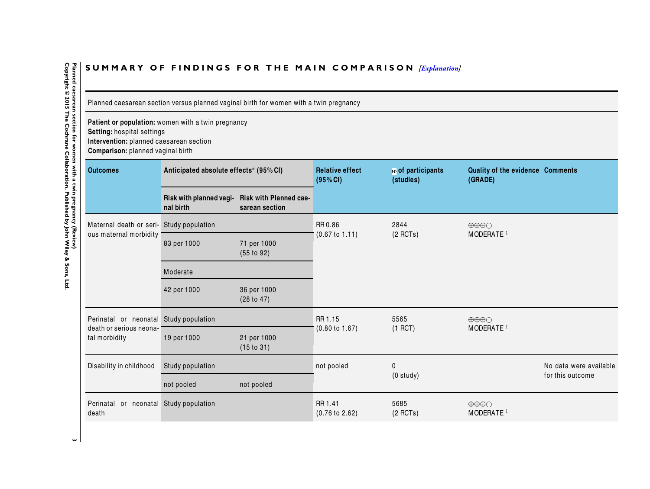## SUMMARY OF FINDINGS FOR THE MAIN COMPARISON *[\[Explanation\]](http://www.thecochranelibrary.com/view/0/SummaryFindings.html)*

Planned caesarean section versus planned vaginal birth for women with <sup>a</sup> twin pregnancy

**Patient or population:** women with <sup>a</sup> twin pregnancy**Setting:** hospital settings

**Intervention:** planned caesarean section

**Comparison:** planned vaginal birth

| <b>Outcomes</b>                                 | Anticipated absolute effects* (95% CI) |                                                 | <b>Relative effect</b><br>(95% CI)   | № of participants<br>(studies) | Quality of the evidence Comments<br>(GRADE)              |                        |
|-------------------------------------------------|----------------------------------------|-------------------------------------------------|--------------------------------------|--------------------------------|----------------------------------------------------------|------------------------|
|                                                 | Risk with planned vagi-<br>nal birth   | <b>Risk with Planned cae-</b><br>sarean section |                                      |                                |                                                          |                        |
| Maternal death or seri- Study population        |                                        |                                                 | RR 0.86                              | 2844                           | $\oplus \oplus \oplus \bigcirc$                          |                        |
| ous maternal morbidity                          | 83 per 1000                            | 71 per 1000<br>(55 to 92)                       | $(0.67 \text{ to } 1.11)$            | $(2$ RCTs)                     | MODERATE <sup>1</sup>                                    |                        |
|                                                 | Moderate                               |                                                 |                                      |                                |                                                          |                        |
|                                                 | 42 per 1000                            | 36 per 1000<br>(28 to 47)                       |                                      |                                |                                                          |                        |
| Perinatal or neonatal Study population          |                                        |                                                 | RR 1.15                              | 5565                           | $\oplus \oplus \oplus \bigcirc$                          |                        |
| death or serious neona-<br>tal morbidity        | 19 per 1000                            | 21 per 1000<br>(15 to 31)                       | $(0.80 \text{ to } 1.67)$            | $(1$ RCT)                      | MODERATE <sup>1</sup>                                    |                        |
| Disability in childhood                         | Study population                       |                                                 | not pooled                           | $\mathbf{0}$                   |                                                          | No data were available |
|                                                 | not pooled                             | not pooled                                      |                                      | $(0$ study)                    |                                                          | for this outcome       |
| Perinatal or neonatal Study population<br>death |                                        |                                                 | RR 1.41<br>$(0.76 \text{ to } 2.62)$ | 5685<br>(2 RCTs)               | $\oplus \oplus \oplus \bigcirc$<br>MODERATE <sup>1</sup> |                        |
|                                                 |                                        |                                                 |                                      |                                |                                                          |                        |

<span id="page-6-0"></span>Planned caesarean section for women with a twin pregnancy (Review)<br>Copyright © 2015 The Cochrane Collaboration. Published by John Wiley & Sons, Ltd. **Copyright © 2015 The Cochrane Collaboration. Published by John Wiley & Sons, Ltd.3 Planned caesarean section for women with a twin pregnancy (Review)**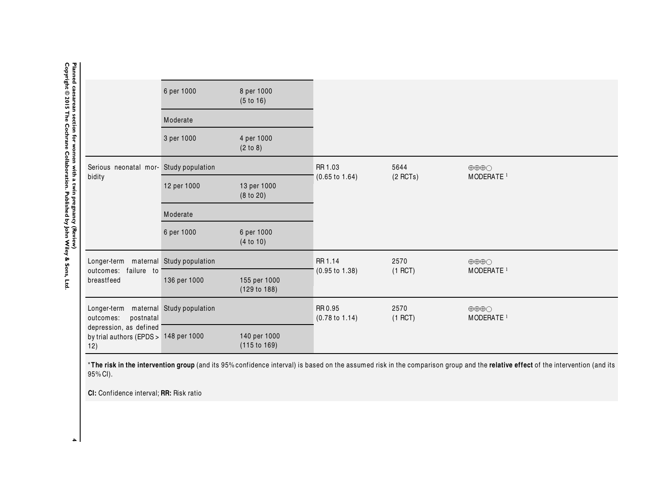|  |                                                                                                                 | 6 per 1000                             | 8 per 1000<br>(5 to 16)      |                                      |                 |                                                          |
|--|-----------------------------------------------------------------------------------------------------------------|----------------------------------------|------------------------------|--------------------------------------|-----------------|----------------------------------------------------------|
|  |                                                                                                                 | Moderate                               |                              |                                      |                 |                                                          |
|  |                                                                                                                 | 3 per 1000                             | 4 per 1000<br>(2 to 8)       |                                      |                 |                                                          |
|  |                                                                                                                 | Serious neonatal mor- Study population |                              | RR 1.03                              | 5644            | $\oplus \oplus \oplus \bigcirc$                          |
|  | bidity                                                                                                          | 12 per 1000                            | 13 per 1000<br>(8 to 20)     | $(0.65 \text{ to } 1.64)$            | (2 RCTs)        | MODERATE <sup>1</sup>                                    |
|  |                                                                                                                 | Moderate                               |                              |                                      |                 |                                                          |
|  |                                                                                                                 | 6 per 1000                             | 6 per 1000<br>(4 to 10)      |                                      |                 |                                                          |
|  | Longer-term                                                                                                     | maternal Study population              |                              | RR 1.14                              | 2570            | $\oplus \oplus \oplus \bigcirc$                          |
|  | outcomes: failure to<br>breastfeed                                                                              | 136 per 1000                           | 155 per 1000<br>(129 to 188) | $(0.95 \text{ to } 1.38)$            | $(1$ RCT)       | MODERATE <sup>1</sup>                                    |
|  | Longer-term<br>outcomes:<br>postnatal<br>depression, as defined<br>by trial authors (EPDS > 148 per 1000<br>12) | maternal Study population              |                              | RR 0.95<br>$(0.78 \text{ to } 1.14)$ | 2570<br>(1 RCT) | $\oplus \oplus \oplus \bigcirc$<br>MODERATE <sup>1</sup> |
|  |                                                                                                                 |                                        | 140 per 1000<br>(115 to 169) |                                      |                 |                                                          |

\***The risk in the intervention group** (and its 95% confidence interval) is based on the assumed risk in the comparison group and the **relative effect** of the intervention (and its 95% CI).

**CI:** Confidence interval; **RR:** Risk ratio

Planned caesarean section for women with a twin pregnancy (Review)<br>Copyright © 2015 The Cochrane Collaboration. Published by John Wiley & Sons, Ltd. **Copyright © 2015 The Cochrane Collaboration. Published by John Wiley & Sons, Ltd.4 Planned caesarean section for women with a twin pregnancy (Review)**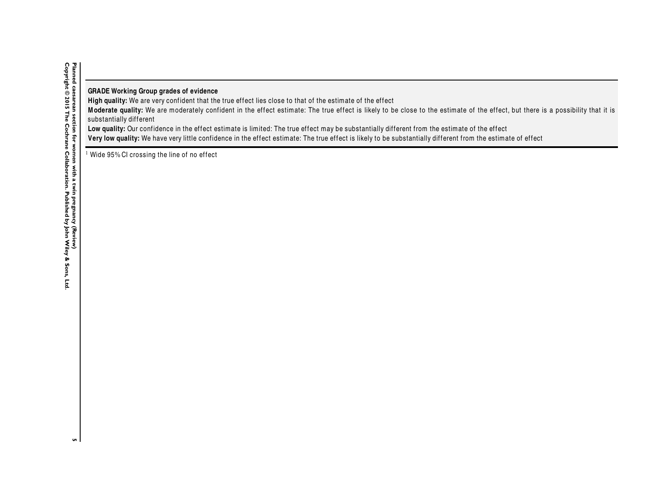## **GRADE Working Group grades of evidence**

**High quality:** We are very confident that the true effect lies close to that of the estimate of the effect

**Moderate quality:** We are moderately confident in the effect estimate: The true effect is likely to be close to the estimate of the effect, but there is a possibility that it is substantially different

**Low quality:** Our confidence in the effect estimate is limited: The true effect may be substantially different from the estimate of the effect

**Very low quality:** We have very little confidence in the effect estimate: The true effect is likely to be substantially different from the estimate of effect

 $1$  Wide 95% CI crossing the line of no effect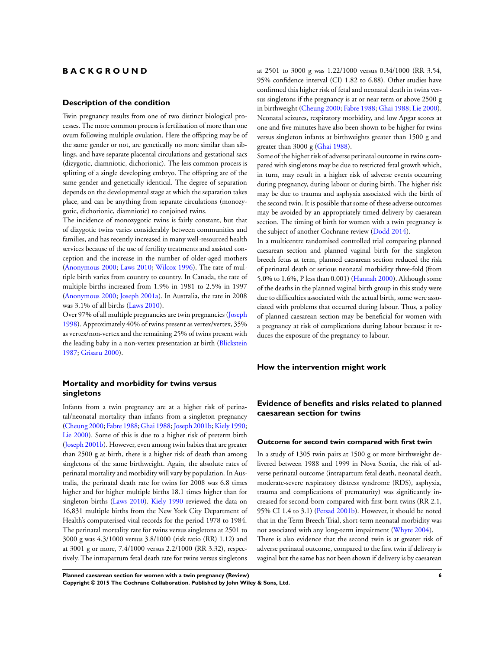## <span id="page-9-0"></span>**B A C K G R O U N D**

#### **Description of the condition**

Twin pregnancy results from one of two distinct biological processes. The more common process is fertilisation of more than one ovum following multiple ovulation. Here the offspring may be of the same gender or not, are genetically no more similar than siblings, and have separate placental circulations and gestational sacs (dizygotic, diamniotic, dichorionic). The less common process is splitting of a single developing embryo. The offspring are of the same gender and genetically identical. The degree of separation depends on the developmental stage at which the separation takes place, and can be anything from separate circulations (monozygotic, dichorionic, diamniotic) to conjoined twins.

The incidence of monozygotic twins is fairly constant, but that of dizygotic twins varies considerably between communities and families, and has recently increased in many well-resourced health services because of the use of fertility treatments and assisted conception and the increase in the number of older-aged mothers [\(Anonymous 2000;](#page-21-0) [Laws 2010;](#page-21-0) [Wilcox 1996\)](#page-21-0). The rate of multiple birth varies from country to country. In Canada, the rate of multiple births increased from 1.9% in 1981 to 2.5% in 1997 [\(Anonymous 2000;](#page-21-0) [Joseph 2001a](#page-21-0)). In Australia, the rate in 2008 was 3.1% of all births ([Laws 2010\)](#page-21-0).

Over 97% of all multiple pregnancies are twin pregnancies [\(Joseph](#page-21-0) [1998](#page-21-0)). Approximately 40% of twins present as vertex/vertex, 35% as vertex/non-vertex and the remaining 25% of twins present with the leading baby in a non-vertex presentation at birth [\(Blickstein](#page-21-0) [1987](#page-21-0); [Grisaru 2000\)](#page-21-0).

## **Mortality and morbidity for twins versus singletons**

Infants from a twin pregnancy are at a higher risk of perinatal/neonatal mortality than infants from a singleton pregnancy [\(Cheung 2000](#page-21-0); [Fabre 1988;](#page-21-0) Ghai 1988; Joseph 2001b; [Kiely 1990;](#page-21-0) [Lie 2000\)](#page-21-0). Some of this is due to a higher risk of preterm birth [\(Joseph 2001b](#page-21-0)). However, even among twin babies that are greater than 2500 g at birth, there is a higher risk of death than among singletons of the same birthweight. Again, the absolute rates of perinatal mortality and morbidity will vary by population. In Australia, the perinatal death rate for twins for 2008 was 6.8 times higher and for higher multiple births 18.1 times higher than for singleton births [\(Laws 2010\)](#page-21-0). [Kiely 1990](#page-21-0) reviewed the data on 16,831 multiple births from the New York City Department of Health's computerised vital records for the period 1978 to 1984. The perinatal mortality rate for twins versus singletons at 2501 to 3000 g was 4.3/1000 versus 3.8/1000 (risk ratio (RR) 1.12) and at 3001 g or more, 7.4/1000 versus 2.2/1000 (RR 3.32), respectively. The intrapartum fetal death rate for twins versus singletons

at 2501 to 3000 g was 1.22/1000 versus 0.34/1000 (RR 3.54, 95% confidence interval (CI) 1.82 to 6.88). Other studies have confirmed this higher risk of fetal and neonatal death in twins versus singletons if the pregnancy is at or near term or above 2500 g in birthweight [\(Cheung 2000;](#page-21-0) [Fabre 1988](#page-21-0); [Ghai 1988](#page-21-0); [Lie 2000](#page-21-0)). Neonatal seizures, respiratory morbidity, and low Apgar scores at one and five minutes have also been shown to be higher for twins versus singleton infants at birthweights greater than 1500 g and greater than 3000 g [\(Ghai 1988\)](#page-21-0).

Some of the higher risk of adverse perinatal outcome in twins compared with singletons may be due to restricted fetal growth which, in turn, may result in a higher risk of adverse events occurring during pregnancy, during labour or during birth. The higher risk may be due to trauma and asphyxia associated with the birth of the second twin. It is possible that some of these adverse outcomes may be avoided by an appropriately timed delivery by caesarean section. The timing of birth for women with a twin pregnancy is the subject of another Cochrane review [\(Dodd 2014](#page-21-0)).

In a multicentre randomised controlled trial comparing planned caesarean section and planned vaginal birth for the singleton breech fetus at term, planned caesarean section reduced the risk of perinatal death or serious neonatal morbidity three-fold (from 5.0% to 1.6%, P less than 0.001) ([Hannah 2000\)](#page-21-0). Although some of the deaths in the planned vaginal birth group in this study were due to difficulties associated with the actual birth, some were associated with problems that occurred during labour. Thus, a policy of planned caesarean section may be beneficial for women with a pregnancy at risk of complications during labour because it reduces the exposure of the pregnancy to labour.

#### **How the intervention might work**

## **Evidence of benefits and risks related to planned caesarean section for twins**

#### **Outcome for second twin compared with first twin**

In a study of 1305 twin pairs at 1500 g or more birthweight delivered between 1988 and 1999 in Nova Scotia, the risk of adverse perinatal outcome (intrapartum fetal death, neonatal death, moderate-severe respiratory distress syndrome (RDS), asphyxia, trauma and complications of prematurity) was significantly increased for second-born compared with first-born twins (RR 2.1, 95% CI 1.4 to 3.1) ([Persad 2001b\)](#page-21-0). However, it should be noted that in the Term Breech Trial, short-term neonatal morbidity was not associated with any long-term impairment [\(Whyte 2004](#page-21-0)). There is also evidence that the second twin is at greater risk of adverse perinatal outcome, compared to the first twin if delivery is vaginal but the same has not been shown if delivery is by caesarean

**Planned caesarean section for women with a twin pregnancy (Review) 6 Copyright © 2015 The Cochrane Collaboration. Published by John Wiley & Sons, Ltd.**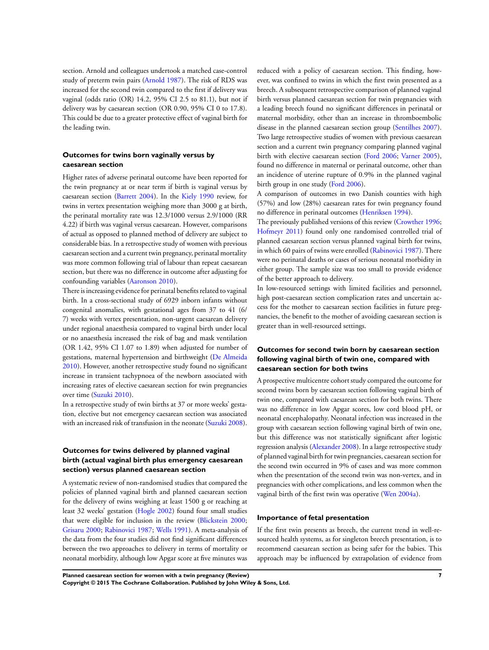section. Arnold and colleagues undertook a matched case-control study of preterm twin pairs [\(Arnold 1987](#page-21-0)). The risk of RDS was increased for the second twin compared to the first if delivery was vaginal (odds ratio (OR) 14.2, 95% CI 2.5 to 81.1), but not if delivery was by caesarean section (OR 0.90, 95% CI 0 to 17.8). This could be due to a greater protective effect of vaginal birth for the leading twin.

### **Outcomes for twins born vaginally versus by caesarean section**

Higher rates of adverse perinatal outcome have been reported for the twin pregnancy at or near term if birth is vaginal versus by caesarean section [\(Barrett 2004](#page-21-0)). In the [Kiely 1990](#page-21-0) review, for twins in vertex presentation weighing more than 3000 g at birth, the perinatal mortality rate was 12.3/1000 versus 2.9/1000 (RR 4.22) if birth was vaginal versus caesarean. However, comparisons of actual as opposed to planned method of delivery are subject to considerable bias. In a retrospective study of women with previous caesarean section and a current twin pregnancy, perinatal mortality was more common following trial of labour than repeat caesarean section, but there was no difference in outcome after adjusting for confounding variables ([Aaronson 2010](#page-21-0)).

There is increasing evidence for perinatal benefits related to vaginal birth. In a cross-sectional study of 6929 inborn infants without congenital anomalies, with gestational ages from 37 to 41 (6/ 7) weeks with vertex presentation, non-urgent caesarean delivery under regional anaesthesia compared to vaginal birth under local or no anaesthesia increased the risk of bag and mask ventilation (OR 1.42, 95% CI 1.07 to 1.89) when adjusted for number of gestations, maternal hypertension and birthweight ([De Almeida](#page-21-0) [2010](#page-21-0)). However, another retrospective study found no significant increase in transient tachypnoea of the newborn associated with increasing rates of elective caesarean section for twin pregnancies over time ([Suzuki 2010\)](#page-21-0).

In a retrospective study of twin births at 37 or more weeks' gestation, elective but not emergency caesarean section was associated with an increased risk of transfusion in the neonate ([Suzuki 2008](#page-21-0)).

## **Outcomes for twins delivered by planned vaginal birth (actual vaginal birth plus emergency caesarean section) versus planned caesarean section**

A systematic review of non-randomised studies that compared the policies of planned vaginal birth and planned caesarean section for the delivery of twins weighing at least 1500 g or reaching at least 32 weeks' gestation ([Hogle 2002\)](#page-21-0) found four small studies that were eligible for inclusion in the review [\(Blickstein 2000;](#page-21-0) [Grisaru 2000;](#page-21-0) [Rabinovici 1987](#page-21-0); [Wells 1991\)](#page-21-0). A meta-analysis of the data from the four studies did not find significant differences between the two approaches to delivery in terms of mortality or neonatal morbidity, although low Apgar score at five minutes was

reduced with a policy of caesarean section. This finding, however, was confined to twins in which the first twin presented as a breech. A subsequent retrospective comparison of planned vaginal birth versus planned caesarean section for twin pregnancies with a leading breech found no significant differences in perinatal or maternal morbidity, other than an increase in thromboembolic disease in the planned caesarean section group [\(Sentilhes 2007](#page-21-0)). Two large retrospective studies of women with previous caesarean section and a current twin pregnancy comparing planned vaginal birth with elective caesarean section [\(Ford 2006](#page-21-0); [Varner 2005](#page-21-0)), found no difference in maternal or perinatal outcome, other than an incidence of uterine rupture of 0.9% in the planned vaginal birth group in one study ([Ford 2006](#page-21-0)).

A comparison of outcomes in two Danish counties with high (57%) and low (28%) caesarean rates for twin pregnancy found no difference in perinatal outcomes [\(Henriksen 1994\)](#page-21-0).

The previously published versions of this review ([Crowther 1996;](#page-21-0) [Hofmeyr 2011](#page-21-0)) found only one randomised controlled trial of planned caesarean section versus planned vaginal birth for twins, in which 60 pairs of twins were enrolled ([Rabinovici 1987\)](#page-21-0). There were no perinatal deaths or cases of serious neonatal morbidity in either group. The sample size was too small to provide evidence of the better approach to delivery.

In low-resourced settings with limited facilities and personnel, high post-caesarean section complication rates and uncertain access for the mother to caesarean section facilities in future pregnancies, the benefit to the mother of avoiding caesarean section is greater than in well-resourced settings.

## **Outcomes for second twin born by caesarean section following vaginal birth of twin one, compared with caesarean section for both twins**

A prospective multicentre cohort study compared the outcome for second twins born by caesarean section following vaginal birth of twin one, compared with caesarean section for both twins. There was no difference in low Apgar scores, low cord blood pH, or neonatal encephalopathy. Neonatal infection was increased in the group with caesarean section following vaginal birth of twin one, but this difference was not statistically significant after logistic regression analysis ([Alexander 2008](#page-21-0)). In a large retrospective study of planned vaginal birth for twin pregnancies, caesarean section for the second twin occurred in 9% of cases and was more common when the presentation of the second twin was non-vertex, and in pregnancies with other complications, and less common when the vaginal birth of the first twin was operative ([Wen 2004a](#page-21-0)).

#### **Importance of fetal presentation**

If the first twin presents as breech, the current trend in well-resourced health systems, as for singleton breech presentation, is to recommend caesarean section as being safer for the babies. This approach may be influenced by extrapolation of evidence from

**Planned caesarean section for women with a twin pregnancy (Review) 7 Copyright © 2015 The Cochrane Collaboration. Published by John Wiley & Sons, Ltd.**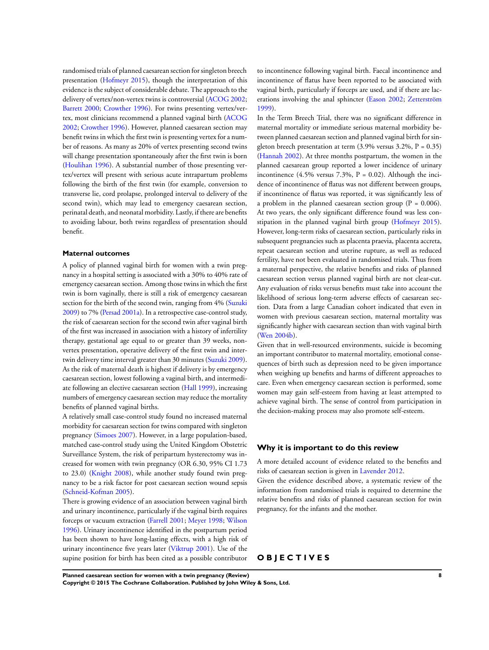randomised trials of planned caesarean section for singleton breech presentation ([Hofmeyr 2015](#page-21-0)), though the interpretation of this evidence is the subject of considerable debate. The approach to the delivery of vertex/non-vertex twins is controversial [\(ACOG 2002;](#page-21-0) [Barrett 2000](#page-21-0); [Crowther 1996\)](#page-21-0). For twins presenting vertex/vertex, most clinicians recommend a planned vaginal birth ([ACOG](#page-21-0) [2002](#page-21-0); [Crowther 1996](#page-21-0)). However, planned caesarean section may benefit twins in which the first twin is presenting vertex for a number of reasons. As many as 20% of vertex presenting second twins will change presentation spontaneously after the first twin is born [\(Houlihan 1996](#page-21-0)). A substantial number of those presenting vertex/vertex will present with serious acute intrapartum problems following the birth of the first twin (for example, conversion to transverse lie, cord prolapse, prolonged interval to delivery of the second twin), which may lead to emergency caesarean section, perinatal death, and neonatal morbidity. Lastly, if there are benefits to avoiding labour, both twins regardless of presentation should benefit.

#### **Maternal outcomes**

A policy of planned vaginal birth for women with a twin pregnancy in a hospital setting is associated with a 30% to 40% rate of emergency caesarean section. Among those twins in which the first twin is born vaginally, there is still a risk of emergency caesarean section for the birth of the second twin, ranging from 4% ([Suzuki](#page-21-0) [2009](#page-21-0)) to 7% ([Persad 2001a](#page-21-0)). In a retrospective case-control study, the risk of caesarean section for the second twin after vaginal birth of the first was increased in association with a history of infertility therapy, gestational age equal to or greater than 39 weeks, nonvertex presentation, operative delivery of the first twin and intertwin delivery time interval greater than 30 minutes ([Suzuki 2009](#page-21-0)). As the risk of maternal death is highest if delivery is by emergency caesarean section, lowest following a vaginal birth, and intermediate following an elective caesarean section [\(Hall 1999](#page-21-0)), increasing numbers of emergency caesarean section may reduce the mortality benefits of planned vaginal births.

A relatively small case-control study found no increased maternal morbidity for caesarean section for twins compared with singleton pregnancy [\(Simoes 2007](#page-21-0)). However, in a large population-based, matched case-control study using the United Kingdom Obstetric Surveillance System, the risk of peripartum hysterectomy was increased for women with twin pregnancy (OR 6.30, 95% CI 1.73 to 23.0) [\(Knight 2008](#page-21-0)), while another study found twin pregnancy to be a risk factor for post caesarean section wound sepsis [\(Schneid-Kofman 2005](#page-21-0)).

There is growing evidence of an association between vaginal birth and urinary incontinence, particularly if the vaginal birth requires forceps or vacuum extraction [\(Farrell 2001;](#page-21-0) [Meyer 1998;](#page-21-0) [Wilson](#page-21-0) [1996](#page-21-0)). Urinary incontinence identified in the postpartum period has been shown to have long-lasting effects, with a high risk of urinary incontinence five years later [\(Viktrup 2001\)](#page-21-0). Use of the supine position for birth has been cited as a possible contributor

to incontinence following vaginal birth. Faecal incontinence and incontinence of flatus have been reported to be associated with vaginal birth, particularly if forceps are used, and if there are lacerations involving the anal sphincter [\(Eason 2002](#page-21-0); [Zetterström](#page-21-0) [1999](#page-21-0)).

In the Term Breech Trial, there was no significant difference in maternal mortality or immediate serious maternal morbidity between planned caesarean section and planned vaginal birth for singleton breech presentation at term  $(3.9\%$  versus  $3.2\%$ ,  $P = 0.35$ ) [\(Hannah 2002\)](#page-21-0). At three months postpartum, the women in the planned caesarean group reported a lower incidence of urinary incontinence  $(4.5\%$  versus 7.3%,  $P = 0.02$ ). Although the incidence of incontinence of flatus was not different between groups, if incontinence of flatus was reported, it was significantly less of a problem in the planned caesarean section group ( $P = 0.006$ ). At two years, the only significant difference found was less constipation in the planned vaginal birth group ([Hofmeyr 2015](#page-21-0)). However, long-term risks of caesarean section, particularly risks in subsequent pregnancies such as placenta praevia, placenta accreta, repeat caesarean section and uterine rupture, as well as reduced fertility, have not been evaluated in randomised trials. Thus from a maternal perspective, the relative benefits and risks of planned caesarean section versus planned vaginal birth are not clear-cut. Any evaluation of risks versus benefits must take into account the likelihood of serious long-term adverse effects of caesarean section. Data from a large Canadian cohort indicated that even in women with previous caesarean section, maternal mortality was significantly higher with caesarean section than with vaginal birth [\(Wen 2004b](#page-21-0)).

Given that in well-resourced environments, suicide is becoming an important contributor to maternal mortality, emotional consequences of birth such as depression need to be given importance when weighing up benefits and harms of different approaches to care. Even when emergency caesarean section is performed, some women may gain self-esteem from having at least attempted to achieve vaginal birth. The sense of control from participation in the decision-making process may also promote self-esteem.

#### **Why it is important to do this review**

A more detailed account of evidence related to the benefits and risks of caesarean section is given in [Lavender 2012.](#page-21-0)

Given the evidence described above, a systematic review of the information from randomised trials is required to determine the relative benefits and risks of planned caesarean section for twin pregnancy, for the infants and the mother.

## **O B J E C T I V E S**

**Planned caesarean section for women with a twin pregnancy (Review) 8**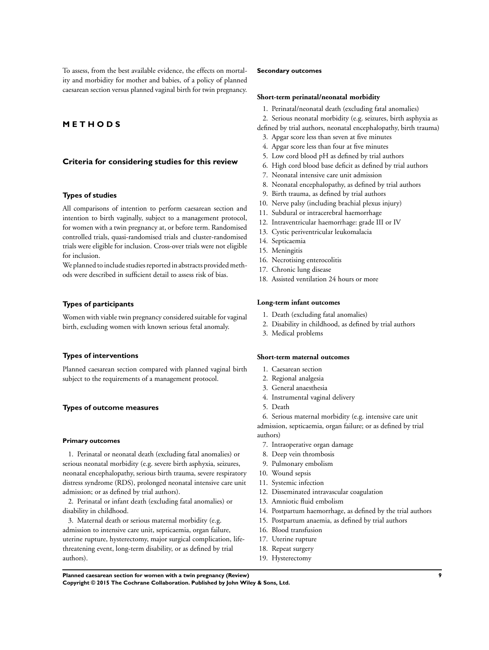To assess, from the best available evidence, the effects on mortality and morbidity for mother and babies, of a policy of planned caesarean section versus planned vaginal birth for twin pregnancy.

## **M E T H O D S**

#### **Criteria for considering studies for this review**

#### **Types of studies**

All comparisons of intention to perform caesarean section and intention to birth vaginally, subject to a management protocol, for women with a twin pregnancy at, or before term. Randomised controlled trials, quasi-randomised trials and cluster-randomised trials were eligible for inclusion. Cross-over trials were not eligible for inclusion.

We planned to include studies reported in abstracts provided methods were described in sufficient detail to assess risk of bias.

## **Types of participants**

Women with viable twin pregnancy considered suitable for vaginal birth, excluding women with known serious fetal anomaly.

#### **Types of interventions**

Planned caesarean section compared with planned vaginal birth subject to the requirements of a management protocol.

#### **Types of outcome measures**

#### **Primary outcomes**

1. Perinatal or neonatal death (excluding fatal anomalies) or serious neonatal morbidity (e.g. severe birth asphyxia, seizures, neonatal encephalopathy, serious birth trauma, severe respiratory distress syndrome (RDS), prolonged neonatal intensive care unit admission; or as defined by trial authors).

2. Perinatal or infant death (excluding fatal anomalies) or disability in childhood.

3. Maternal death or serious maternal morbidity (e.g. admission to intensive care unit, septicaemia, organ failure, uterine rupture, hysterectomy, major surgical complication, lifethreatening event, long-term disability, or as defined by trial authors).

#### **Secondary outcomes**

#### **Short-term perinatal/neonatal morbidity**

- 1. Perinatal/neonatal death (excluding fatal anomalies)
- 2. Serious neonatal morbidity (e.g. seizures, birth asphyxia as defined by trial authors, neonatal encephalopathy, birth trauma)
	- 3. Apgar score less than seven at five minutes
	- 4. Apgar score less than four at five minutes
	- 5. Low cord blood pH as defined by trial authors
	- 6. High cord blood base deficit as defined by trial authors
	- 7. Neonatal intensive care unit admission
	- 8. Neonatal encephalopathy, as defined by trial authors
- 9. Birth trauma, as defined by trial authors
- 10. Nerve palsy (including brachial plexus injury)
- 11. Subdural or intracerebral haemorrhage
- 12. Intraventricular haemorrhage: grade III or IV
- 13. Cystic periventricular leukomalacia
- 14. Septicaemia
- 15. Meningitis
- 16. Necrotising enterocolitis
- 17. Chronic lung disease
- 18. Assisted ventilation 24 hours or more

#### **Long-term infant outcomes**

- 1. Death (excluding fatal anomalies)
- 2. Disability in childhood, as defined by trial authors
- 3. Medical problems

#### **Short-term maternal outcomes**

- 1. Caesarean section
- 2. Regional analgesia
- 3. General anaesthesia
- 4. Instrumental vaginal delivery
- 5. Death

6. Serious maternal morbidity (e.g. intensive care unit admission, septicaemia, organ failure; or as defined by trial authors)

- 7. Intraoperative organ damage
- 8. Deep vein thrombosis
- 9. Pulmonary embolism
- 10. Wound sepsis
- 11. Systemic infection
- 12. Disseminated intravascular coagulation
- 13. Amniotic fluid embolism
- 14. Postpartum haemorrhage, as defined by the trial authors
- 15. Postpartum anaemia, as defined by trial authors
- 16. Blood transfusion
- 17. Uterine rupture
- 18. Repeat surgery
- 19. Hysterectomy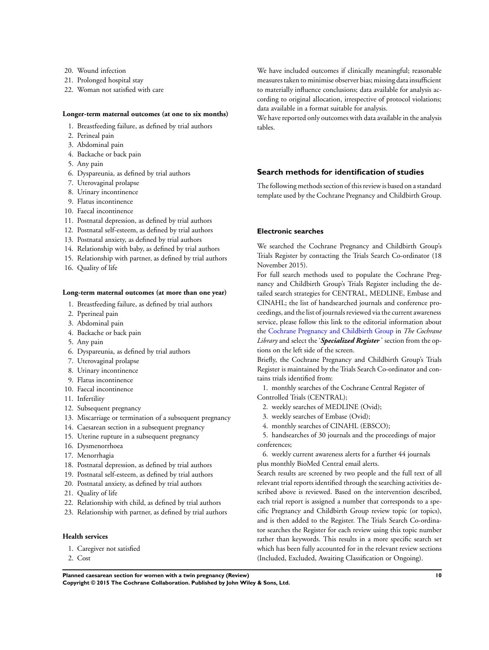- 20. Wound infection
- 21. Prolonged hospital stay
- 22. Woman not satisfied with care

#### **Longer-term maternal outcomes (at one to six months)**

- 1. Breastfeeding failure, as defined by trial authors
- 2. Perineal pain
- 3. Abdominal pain
- 4. Backache or back pain
- 5. Any pain
- 6. Dyspareunia, as defined by trial authors
- 7. Uterovaginal prolapse
- 8. Urinary incontinence
- 9. Flatus incontinence
- 10. Faecal incontinence
- 11. Postnatal depression, as defined by trial authors
- 12. Postnatal self-esteem, as defined by trial authors
- 13. Postnatal anxiety, as defined by trial authors
- 14. Relationship with baby, as defined by trial authors
- 15. Relationship with partner, as defined by trial authors
- 16. Quality of life

#### **Long-term maternal outcomes (at more than one year)**

- 1. Breastfeeding failure, as defined by trial authors
- 2. Pperineal pain
- 3. Abdominal pain
- 4. Backache or back pain
- 5. Any pain
- 6. Dyspareunia, as defined by trial authors
- 7. Uterovaginal prolapse
- 8. Urinary incontinence
- 9. Flatus incontinence
- 10. Faecal incontinence
- 11. Infertility
- 12. Subsequent pregnancy
- 13. Miscarriage or termination of a subsequent pregnancy
- 14. Caesarean section in a subsequent pregnancy
- 15. Uterine rupture in a subsequent pregnancy
- 16. Dysmenorrhoea
- 17. Menorrhagia
- 18. Postnatal depression, as defined by trial authors
- 19. Postnatal self-esteem, as defined by trial authors
- 20. Postnatal anxiety, as defined by trial authors
- 21. Quality of life
- 22. Relationship with child, as defined by trial authors
- 23. Relationship with partner, as defined by trial authors

## **Health services**

- 1. Caregiver not satisfied
- 2. Cost

We have included outcomes if clinically meaningful; reasonable measures taken to minimise observer bias; missing data insufficient to materially influence conclusions; data available for analysis according to original allocation, irrespective of protocol violations; data available in a format suitable for analysis.

We have reported only outcomes with data available in the analysis tables.

## **Search methods for identification of studies**

The following methods section of this review is based on a standard template used by the Cochrane Pregnancy and Childbirth Group.

### **Electronic searches**

We searched the Cochrane Pregnancy and Childbirth Group's Trials Register by contacting the Trials Search Co-ordinator (18 November 2015).

For full search methods used to populate the Cochrane Pregnancy and Childbirth Group's Trials Register including the detailed search strategies for CENTRAL, MEDLINE, Embase and CINAHL; the list of handsearched journals and conference proceedings, and the list of journals reviewed via the current awareness service, please follow this link to the editorial information about the [Cochrane Pregnancy and Childbirth Group](http://www.mrw.interscience.wiley.com/cochrane/clabout/articles/PREG/frame.html) in *The Cochrane Library* and select the '*Specialized Register* ' section from the options on the left side of the screen.

Briefly, the Cochrane Pregnancy and Childbirth Group's Trials Register is maintained by the Trials Search Co-ordinator and contains trials identified from:

1. monthly searches of the Cochrane Central Register of Controlled Trials (CENTRAL);

- 2. weekly searches of MEDLINE (Ovid);
- 3. weekly searches of Embase (Ovid);
- 4. monthly searches of CINAHL (EBSCO);

5. handsearches of 30 journals and the proceedings of major conferences;

6. weekly current awareness alerts for a further 44 journals plus monthly BioMed Central email alerts.

Search results are screened by two people and the full text of all relevant trial reports identified through the searching activities described above is reviewed. Based on the intervention described, each trial report is assigned a number that corresponds to a specific Pregnancy and Childbirth Group review topic (or topics), and is then added to the Register. The Trials Search Co-ordinator searches the Register for each review using this topic number rather than keywords. This results in a more specific search set which has been fully accounted for in the relevant review sections (Included, Excluded, Awaiting Classification or Ongoing).

**Planned caesarean section for women with a twin pregnancy (Review) 10**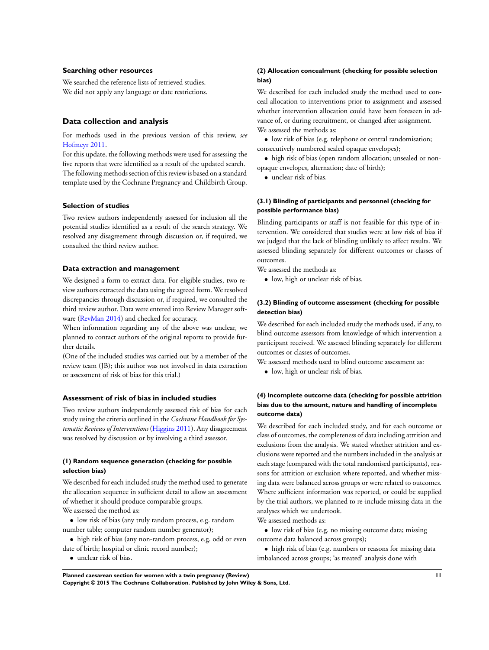#### **Searching other resources**

We searched the reference lists of retrieved studies. We did not apply any language or date restrictions.

#### **Data collection and analysis**

For methods used in the previous version of this review, *see* [Hofmeyr 2011](#page-21-0).

For this update, the following methods were used for assessing the five reports that were identified as a result of the updated search. The following methods section of this review is based on a standard template used by the Cochrane Pregnancy and Childbirth Group.

#### **Selection of studies**

Two review authors independently assessed for inclusion all the potential studies identified as a result of the search strategy. We resolved any disagreement through discussion or, if required, we consulted the third review author.

#### **Data extraction and management**

We designed a form to extract data. For eligible studies, two review authors extracted the data using the agreed form. We resolved discrepancies through discussion or, if required, we consulted the third review author. Data were entered into Review Manager software [\(RevMan 2014](#page-21-0)) and checked for accuracy.

When information regarding any of the above was unclear, we planned to contact authors of the original reports to provide further details.

(One of the included studies was carried out by a member of the review team (JB); this author was not involved in data extraction or assessment of risk of bias for this trial.)

#### **Assessment of risk of bias in included studies**

Two review authors independently assessed risk of bias for each study using the criteria outlined in the *Cochrane Handbook for Systematic Reviews of Interventions* ([Higgins 2011\)](#page-21-0). Any disagreement was resolved by discussion or by involving a third assessor.

## **(1) Random sequence generation (checking for possible selection bias)**

We described for each included study the method used to generate the allocation sequence in sufficient detail to allow an assessment of whether it should produce comparable groups.

We assessed the method as:

- low risk of bias (any truly random process, e.g. random number table; computer random number generator);
- high risk of bias (any non-random process, e.g. odd or even date of birth; hospital or clinic record number);
	- unclear risk of bias.

## **(2) Allocation concealment (checking for possible selection bias)**

We described for each included study the method used to conceal allocation to interventions prior to assignment and assessed whether intervention allocation could have been foreseen in advance of, or during recruitment, or changed after assignment. We assessed the methods as:

• low risk of bias (e.g. telephone or central randomisation; consecutively numbered sealed opaque envelopes);

• high risk of bias (open random allocation; unsealed or nonopaque envelopes, alternation; date of birth);

• unclear risk of bias.

#### **(3.1) Blinding of participants and personnel (checking for possible performance bias)**

Blinding participants or staff is not feasible for this type of intervention. We considered that studies were at low risk of bias if we judged that the lack of blinding unlikely to affect results. We assessed blinding separately for different outcomes or classes of outcomes.

We assessed the methods as:

• low, high or unclear risk of bias.

#### **(3.2) Blinding of outcome assessment (checking for possible detection bias)**

We described for each included study the methods used, if any, to blind outcome assessors from knowledge of which intervention a participant received. We assessed blinding separately for different outcomes or classes of outcomes.

We assessed methods used to blind outcome assessment as:

• low, high or unclear risk of bias.

## **(4) Incomplete outcome data (checking for possible attrition bias due to the amount, nature and handling of incomplete outcome data)**

We described for each included study, and for each outcome or class of outcomes, the completeness of data including attrition and exclusions from the analysis. We stated whether attrition and exclusions were reported and the numbers included in the analysis at each stage (compared with the total randomised participants), reasons for attrition or exclusion where reported, and whether missing data were balanced across groups or were related to outcomes. Where sufficient information was reported, or could be supplied by the trial authors, we planned to re-include missing data in the analyses which we undertook.

We assessed methods as:

- low risk of bias (e.g. no missing outcome data; missing outcome data balanced across groups);
- high risk of bias (e.g. numbers or reasons for missing data imbalanced across groups; 'as treated' analysis done with

**Planned caesarean section for women with a twin pregnancy (Review) 11 Copyright © 2015 The Cochrane Collaboration. Published by John Wiley & Sons, Ltd.**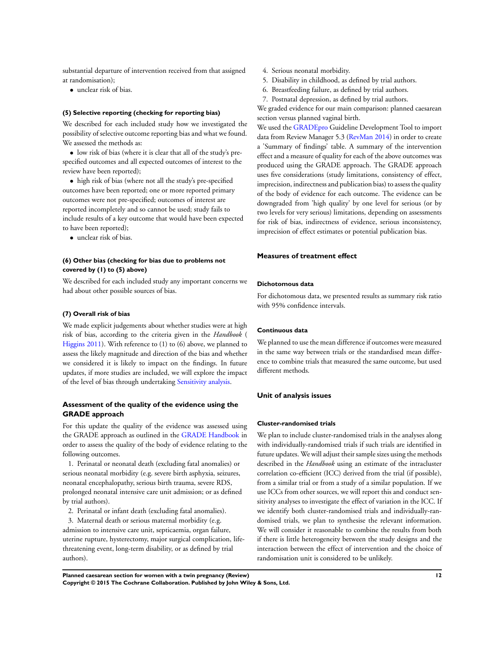substantial departure of intervention received from that assigned at randomisation);

• unclear risk of bias.

#### **(5) Selective reporting (checking for reporting bias)**

We described for each included study how we investigated the possibility of selective outcome reporting bias and what we found. We assessed the methods as:

• low risk of bias (where it is clear that all of the study's prespecified outcomes and all expected outcomes of interest to the review have been reported);

• high risk of bias (where not all the study's pre-specified outcomes have been reported; one or more reported primary outcomes were not pre-specified; outcomes of interest are reported incompletely and so cannot be used; study fails to include results of a key outcome that would have been expected to have been reported);

• unclear risk of bias.

## **(6) Other bias (checking for bias due to problems not covered by (1) to (5) above)**

We described for each included study any important concerns we had about other possible sources of bias.

#### **(7) Overall risk of bias**

We made explicit judgements about whether studies were at high risk of bias, according to the criteria given in the *Handbook* ( [Higgins 2011\)](#page-21-0). With reference to (1) to (6) above, we planned to assess the likely magnitude and direction of the bias and whether we considered it is likely to impact on the findings. In future updates, if more studies are included, we will explore the impact of the level of bias through undertaking [Sensitivity analysis](#page-9-0).

## **Assessment of the quality of the evidence using the GRADE approach**

For this update the quality of the evidence was assessed using the GRADE approach as outlined in the [GRADE Handbook](http://gdt.guidelinedevelopment.org/centralchar "A8penalty z@ prod/char "A8penalty z@ design/client/handbook/handbook.html) in order to assess the quality of the body of evidence relating to the following outcomes.

1. Perinatal or neonatal death (excluding fatal anomalies) or serious neonatal morbidity (e.g. severe birth asphyxia, seizures, neonatal encephalopathy, serious birth trauma, severe RDS, prolonged neonatal intensive care unit admission; or as defined by trial authors).

2. Perinatal or infant death (excluding fatal anomalies).

3. Maternal death or serious maternal morbidity (e.g. admission to intensive care unit, septicaemia, organ failure, uterine rupture, hysterectomy, major surgical complication, lifethreatening event, long-term disability, or as defined by trial authors).

- 4. Serious neonatal morbidity.
- 5. Disability in childhood, as defined by trial authors.
- 6. Breastfeeding failure, as defined by trial authors.
- 7. Postnatal depression, as defined by trial authors.

We graded evidence for our main comparison: planned caesarean section versus planned vaginal birth.

We used the [GRADEpro](http://www.gradepro.org/) Guideline Development Tool to import data from Review Manager 5.3 ([RevMan 2014\)](#page-21-0) in order to create a 'Summary of findings' table. A summary of the intervention effect and a measure of quality for each of the above outcomes was produced using the GRADE approach. The GRADE approach uses five considerations (study limitations, consistency of effect, imprecision, indirectness and publication bias) to assess the quality of the body of evidence for each outcome. The evidence can be downgraded from 'high quality' by one level for serious (or by two levels for very serious) limitations, depending on assessments for risk of bias, indirectness of evidence, serious inconsistency, imprecision of effect estimates or potential publication bias.

## **Measures of treatment effect**

#### **Dichotomous data**

For dichotomous data, we presented results as summary risk ratio with 95% confidence intervals.

#### **Continuous data**

We planned to use the mean difference if outcomes were measured in the same way between trials or the standardised mean difference to combine trials that measured the same outcome, but used different methods.

#### **Unit of analysis issues**

#### **Cluster-randomised trials**

We plan to include cluster-randomised trials in the analyses along with individually-randomised trials if such trials are identified in future updates. We will adjust their sample sizes using the methods described in the *Handbook* using an estimate of the intracluster correlation co-efficient (ICC) derived from the trial (if possible), from a similar trial or from a study of a similar population. If we use ICCs from other sources, we will report this and conduct sensitivity analyses to investigate the effect of variation in the ICC. If we identify both cluster-randomised trials and individually-randomised trials, we plan to synthesise the relevant information. We will consider it reasonable to combine the results from both if there is little heterogeneity between the study designs and the interaction between the effect of intervention and the choice of randomisation unit is considered to be unlikely.

**Planned caesarean section for women with a twin pregnancy (Review) 12 Copyright © 2015 The Cochrane Collaboration. Published by John Wiley & Sons, Ltd.**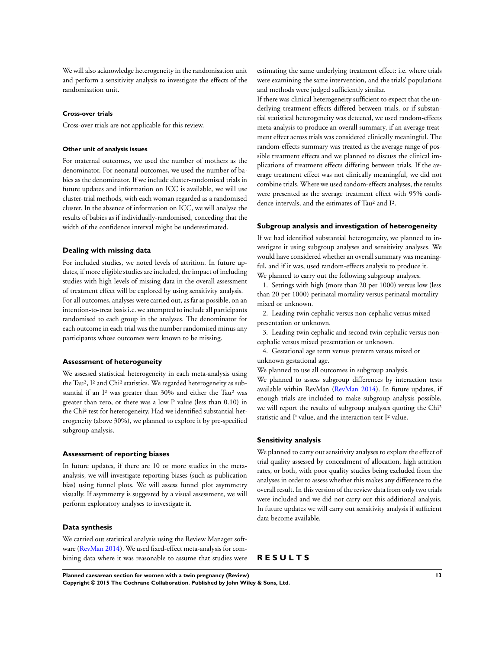We will also acknowledge heterogeneity in the randomisation unit and perform a sensitivity analysis to investigate the effects of the randomisation unit.

#### **Cross-over trials**

Cross-over trials are not applicable for this review.

#### **Other unit of analysis issues**

For maternal outcomes, we used the number of mothers as the denominator. For neonatal outcomes, we used the number of babies as the denominator. If we include cluster-randomised trials in future updates and information on ICC is available, we will use cluster-trial methods, with each woman regarded as a randomised cluster. In the absence of information on ICC, we will analyse the results of babies as if individually-randomised, conceding that the width of the confidence interval might be underestimated.

#### **Dealing with missing data**

For included studies, we noted levels of attrition. In future updates, if more eligible studies are included, the impact of including studies with high levels of missing data in the overall assessment of treatment effect will be explored by using sensitivity analysis. For all outcomes, analyses were carried out, as far as possible, on an intention-to-treat basis i.e. we attempted to include all participants randomised to each group in the analyses. The denominator for each outcome in each trial was the number randomised minus any participants whose outcomes were known to be missing.

#### **Assessment of heterogeneity**

We assessed statistical heterogeneity in each meta-analysis using the Tau², I² and Chi² statistics. We regarded heterogeneity as substantial if an I² was greater than 30% and either the Tau² was greater than zero, or there was a low P value (less than 0.10) in the Chi² test for heterogeneity. Had we identified substantial heterogeneity (above 30%), we planned to explore it by pre-specified subgroup analysis.

#### **Assessment of reporting biases**

In future updates, if there are 10 or more studies in the metaanalysis, we will investigate reporting biases (such as publication bias) using funnel plots. We will assess funnel plot asymmetry visually. If asymmetry is suggested by a visual assessment, we will perform exploratory analyses to investigate it.

#### **Data synthesis**

We carried out statistical analysis using the Review Manager software ([RevMan 2014](#page-21-0)). We used fixed-effect meta-analysis for combining data where it was reasonable to assume that studies were estimating the same underlying treatment effect: i.e. where trials were examining the same intervention, and the trials' populations and methods were judged sufficiently similar.

If there was clinical heterogeneity sufficient to expect that the underlying treatment effects differed between trials, or if substantial statistical heterogeneity was detected, we used random-effects meta-analysis to produce an overall summary, if an average treatment effect across trials was considered clinically meaningful. The random-effects summary was treated as the average range of possible treatment effects and we planned to discuss the clinical implications of treatment effects differing between trials. If the average treatment effect was not clinically meaningful, we did not combine trials. Where we used random-effects analyses, the results were presented as the average treatment effect with 95% confidence intervals, and the estimates of Tau² and I².

#### **Subgroup analysis and investigation of heterogeneity**

If we had identified substantial heterogeneity, we planned to investigate it using subgroup analyses and sensitivity analyses. We would have considered whether an overall summary was meaningful, and if it was, used random-effects analysis to produce it. We planned to carry out the following subgroup analyses.

1. Settings with high (more than 20 per 1000) versus low (less than 20 per 1000) perinatal mortality versus perinatal mortality mixed or unknown.

2. Leading twin cephalic versus non-cephalic versus mixed presentation or unknown.

3. Leading twin cephalic and second twin cephalic versus noncephalic versus mixed presentation or unknown.

4. Gestational age term versus preterm versus mixed or unknown gestational age.

We planned to use all outcomes in subgroup analysis. We planned to assess subgroup differences by interaction tests available within RevMan [\(RevMan 2014](#page-21-0)). In future updates, if enough trials are included to make subgroup analysis possible, we will report the results of subgroup analyses quoting the Chi<sup>2</sup> statistic and P value, and the interaction test I² value.

#### **Sensitivity analysis**

We planned to carry out sensitivity analyses to explore the effect of trial quality assessed by concealment of allocation, high attrition rates, or both, with poor quality studies being excluded from the analyses in order to assess whether this makes any difference to the overall result. In this version of the review data from only two trials were included and we did not carry out this additional analysis. In future updates we will carry out sensitivity analysis if sufficient data become available.

## **R E S U L T S**

**Planned caesarean section for women with a twin pregnancy (Review) 13**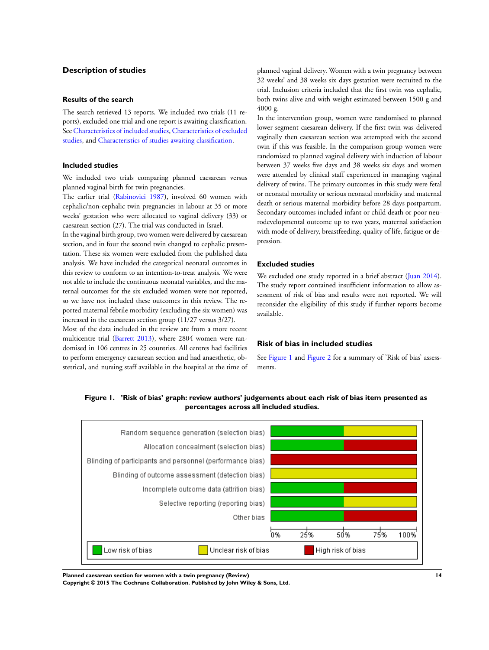## **Description of studies**

## **Results of the search**

The search retrieved 13 reports. We included two trials (11 reports), excluded one trial and one report is awaiting classification. See [Characteristics of included studies,](#page-26-0) [Characteristics of excluded](#page-28-0) [studies,](#page-28-0) and [Characteristics of studies awaiting classification](#page-29-0).

## **Included studies**

We included two trials comparing planned caesarean versus planned vaginal birth for twin pregnancies.

The earlier trial ([Rabinovici 1987](#page-21-0)), involved 60 women with cephalic/non-cephalic twin pregnancies in labour at 35 or more weeks' gestation who were allocated to vaginal delivery (33) or caesarean section (27). The trial was conducted in Israel.

In the vaginal birth group, two women were delivered by caesarean section, and in four the second twin changed to cephalic presentation. These six women were excluded from the published data analysis. We have included the categorical neonatal outcomes in this review to conform to an intention-to-treat analysis. We were not able to include the continuous neonatal variables, and the maternal outcomes for the six excluded women were not reported, so we have not included these outcomes in this review. The reported maternal febrile morbidity (excluding the six women) was increased in the caesarean section group (11/27 versus 3/27).

Most of the data included in the review are from a more recent multicentre trial ([Barrett 2013](#page-21-0)), where 2804 women were randomised in 106 centres in 25 countries. All centres had facilities to perform emergency caesarean section and had anaesthetic, obstetrical, and nursing staff available in the hospital at the time of

planned vaginal delivery. Women with a twin pregnancy between 32 weeks' and 38 weeks six days gestation were recruited to the trial. Inclusion criteria included that the first twin was cephalic, both twins alive and with weight estimated between 1500 g and 4000 g.

In the intervention group, women were randomised to planned lower segment caesarean delivery. If the first twin was delivered vaginally then caesarean section was attempted with the second twin if this was feasible. In the comparison group women were randomised to planned vaginal delivery with induction of labour between 37 weeks five days and 38 weeks six days and women were attended by clinical staff experienced in managing vaginal delivery of twins. The primary outcomes in this study were fetal or neonatal mortality or serious neonatal morbidity and maternal death or serious maternal morbidity before 28 days postpartum. Secondary outcomes included infant or child death or poor neurodevelopmental outcome up to two years, maternal satisfaction with mode of delivery, breastfeeding, quality of life, fatigue or depression.

#### **Excluded studies**

We excluded one study reported in a brief abstract ([Juan 2014](#page-21-0)). The study report contained insufficient information to allow assessment of risk of bias and results were not reported. We will reconsider the eligibility of this study if further reports become available.

#### **Risk of bias in included studies**

See Figure 1 and [Figure 2](#page-18-0) for a summary of 'Risk of bias' assessments.

## **Figure 1. 'Risk of bias' graph: review authors' judgements about each risk of bias item presented as percentages across all included studies.**



**Planned caesarean section for women with a twin pregnancy (Review) 14**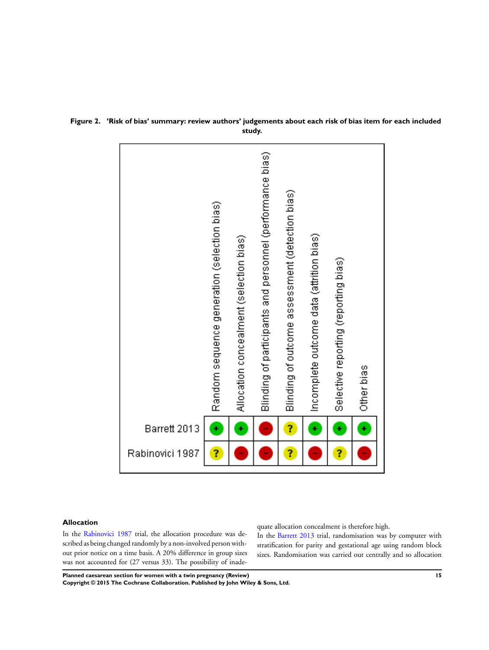## Blinding of participants and personnel (performance bias) Blinding of outcome assessment (detection bias) Random sequence generation (selection bias) Incomplete outcome data (attrition bias) Allocation concealment (selection bias) Selective reporting (reporting bias) Other bias Barrett 2013 ? ٠ ÷ ÷ ÷ ٠ Rabinovici 1987 ? ? ?

## <span id="page-18-0"></span>**Figure 2. 'Risk of bias' summary: review authors' judgements about each risk of bias item for each included study.**

#### **Allocation**

In the [Rabinovici 1987](#page-21-0) trial, the allocation procedure was described as being changed randomly by a non-involved person without prior notice on a time basis. A 20% difference in group sizes was not accounted for (27 versus 33). The possibility of inadequate allocation concealment is therefore high.

In the [Barrett 2013](#page-21-0) trial, randomisation was by computer with stratification for parity and gestational age using random block sizes. Randomisation was carried out centrally and so allocation

**Planned caesarean section for women with a twin pregnancy (Review) 15 Copyright © 2015 The Cochrane Collaboration. Published by John Wiley & Sons, Ltd.**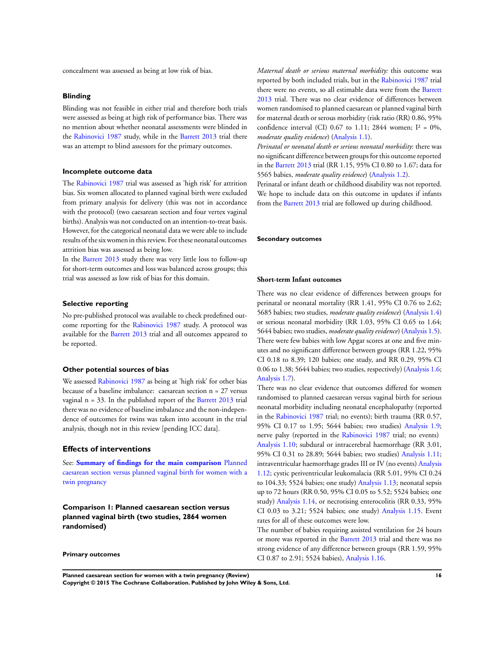concealment was assessed as being at low risk of bias.

#### **Blinding**

Blinding was not feasible in either trial and therefore both trials were assessed as being at high risk of performance bias. There was no mention about whether neonatal assessments were blinded in the [Rabinovici 1987](#page-21-0) study, while in the [Barrett 2013](#page-21-0) trial there was an attempt to blind assessors for the primary outcomes.

#### **Incomplete outcome data**

The [Rabinovici 1987](#page-21-0) trial was assessed as 'high risk' for attrition bias. Six women allocated to planned vaginal birth were excluded from primary analysis for delivery (this was not in accordance with the protocol) (two caesarean section and four vertex vaginal births). Analysis was not conducted on an intention-to-treat basis. However, for the categorical neonatal data we were able to include results of the six women in this review. For these neonatal outcomes attrition bias was assessed as being low.

In the [Barrett 2013](#page-21-0) study there was very little loss to follow-up for short-term outcomes and loss was balanced across groups; this trial was assessed as low risk of bias for this domain.

#### **Selective reporting**

No pre-published protocol was available to check predefined outcome reporting for the [Rabinovici 1987](#page-21-0) study. A protocol was available for the [Barrett 2013](#page-21-0) trial and all outcomes appeared to be reported.

### **Other potential sources of bias**

We assessed [Rabinovici 1987](#page-21-0) as being at 'high risk' for other bias because of a baseline imbalance: caesarean section n = 27 versus vaginal n = 33. In the published report of the [Barrett 2013](#page-21-0) trial there was no evidence of baseline imbalance and the non-independence of outcomes for twins was taken into account in the trial analysis, though not in this review [pending ICC data].

#### **Effects of interventions**

See: **[Summary of findings for the main comparison](#page-6-0)** [Planned](#page-6-0) [caesarean section versus planned vaginal birth for women with](#page-6-0) [a](#page-6-0) [twin pregnancy](#page-6-0)

**Comparison 1: Planned caesarean section versus planned vaginal birth (two studies, 2864 women randomised)**

**Primary outcomes**

*Maternal death or serious maternal morbidity:* this outcome was reported by both included trials, but in the [Rabinovici 1987](#page-21-0) trial there were no events, so all estimable data were from the [Barrett](#page-21-0) [2013](#page-21-0) trial. There was no clear evidence of differences between women randomised to planned caesarean or planned vaginal birth for maternal death or serous morbidity (risk ratio (RR) 0.86, 95% confidence interval (CI) 0.67 to 1.11; 2844 women;  $I^2 = 0\%$ , *moderate quality evidence*) [\(Analysis 1.1](#page-31-0)).

*Perinatal or neonatal death or serious neonatal morbidity*: there was no significant difference between groups for this outcome reported in the [Barrett 2013](#page-21-0) trial (RR 1.15, 95% CI 0.80 to 1.67; data for 5565 babies, *moderate quality evidence*) ([Analysis 1.2](#page-31-0)).

Perinatal or infant death or childhood disability was not reported. We hope to include data on this outcome in updates if infants from the [Barrett 2013](#page-21-0) trial are followed up during childhood.

#### **Secondary outcomes**

#### **Short-term Infant outcomes**

There was no clear evidence of differences between groups for perinatal or neonatal mortality (RR 1.41, 95% CI 0.76 to 2.62; 5685 babies; two studies, *moderate quality evidence*) ([Analysis 1.4](#page-32-0)) or serious neonatal morbidity (RR 1.03, 95% CI 0.65 to 1.64; 5644 babies; two studies, *moderate quality evidence*) ([Analysis 1.5](#page-33-0)). There were few babies with low Apgar scores at one and five minutes and no significant difference between groups (RR 1.22, 95% CI 0.18 to 8.39; 120 babies; one study, and RR 0.29, 95% CI 0.06 to 1.38; 5644 babies; two studies, respectively) ([Analysis 1.6;](#page-34-0) [Analysis 1.7\)](#page-35-0).

There was no clear evidence that outcomes differed for women randomised to planned caesarean versus vaginal birth for serious neonatal morbidity including neonatal encephalopathy (reported in the [Rabinovici 1987](#page-21-0) trial; no events); birth trauma (RR 0.57, 95% CI 0.17 to 1.95; 5644 babies; two studies) [Analysis 1.9;](#page-36-0) nerve palsy (reported in the [Rabinovici 1987](#page-21-0) trial; no events) [Analysis 1.10](#page-37-0); subdural or intracerebral haemorrhage (RR 3.01, 95% CI 0.31 to 28.89; 5644 babies; two studies) [Analysis 1.11;](#page-38-0) intraventricular haemorrhage grades III or IV (no events) [Analysis](#page-38-0) [1.12;](#page-38-0) cystic periventricular leukomalacia (RR 5.01, 95% CI 0.24 to 104.33; 5524 babies; one study) [Analysis 1.13;](#page-39-0) neonatal sepsis up to 72 hours (RR 0.50, 95% CI 0.05 to 5.52; 5524 babies; one study) [Analysis 1.14,](#page-40-0) or necrotising enterocolitis (RR 0.33, 95% CI 0.03 to 3.21; 5524 babies; one study) [Analysis 1.15.](#page-40-0) Event rates for all of these outcomes were low.

The number of babies requiring assisted ventilation for 24 hours or more was reported in the [Barrett 2013](#page-21-0) trial and there was no strong evidence of any difference between groups (RR 1.59, 95% CI 0.87 to 2.91; 5524 babies), [Analysis 1.16.](#page-41-0)

**Planned caesarean section for women with a twin pregnancy (Review) 16**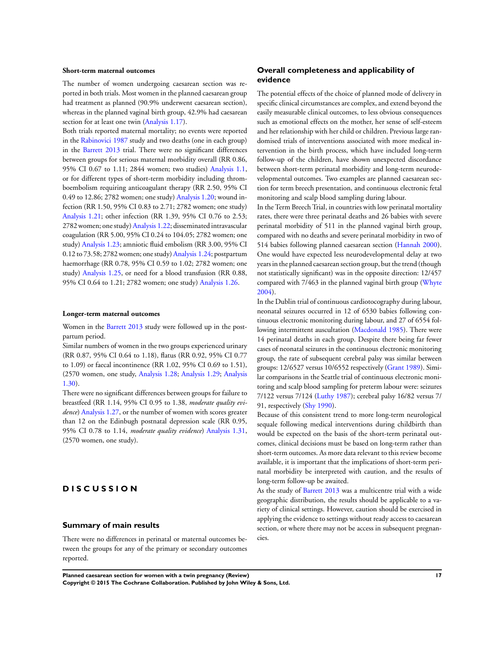#### **Short-term maternal outcomes**

The number of women undergoing caesarean section was reported in both trials. Most women in the planned caesarean group had treatment as planned (90.9% underwent caesarean section), whereas in the planned vaginal birth group, 42.9% had caesarean section for at least one twin ([Analysis 1.17\)](#page-42-0).

Both trials reported maternal mortality; no events were reported in the [Rabinovici 1987](#page-21-0) study and two deaths (one in each group) in the [Barrett 2013](#page-21-0) trial. There were no significant differences between groups for serious maternal morbidity overall (RR 0.86, 95% CI 0.67 to 1.11; 2844 women; two studies) [Analysis 1.1,](#page-31-0) or for different types of short-term morbidity including thromboembolism requiring anticoagulant therapy (RR 2.50, 95% CI 0.49 to 12.86; 2782 women; one study) [Analysis 1.20](#page-44-0); wound infection (RR 1.50, 95% CI 0.83 to 2.71; 2782 women; one study) [Analysis 1.21](#page-45-0); other infection (RR 1.39, 95% CI 0.76 to 2.53; 2782 women; one study) [Analysis 1.22;](#page-46-0) disseminated intravascular coagulation (RR 5.00, 95% CI 0.24 to 104.05; 2782 women; one study) [Analysis 1.23;](#page-46-0) amniotic fluid embolism (RR 3.00, 95% CI 0.12 to 73.58; 2782 women; one study) [Analysis 1.24](#page-47-0); postpartum haemorrhage (RR 0.78, 95% CI 0.59 to 1.02; 2782 women; one study) [Analysis 1.25,](#page-48-0) or need for a blood transfusion (RR 0.88, 95% CI 0.64 to 1.21; 2782 women; one study) [Analysis 1.26.](#page-48-0)

#### **Longer-term maternal outcomes**

Women in the [Barrett 2013](#page-21-0) study were followed up in the postpartum period.

Similar numbers of women in the two groups experienced urinary (RR 0.87, 95% CI 0.64 to 1.18), flatus (RR 0.92, 95% CI 0.77 to 1.09) or faecal incontinence (RR 1.02, 95% CI 0.69 to 1.51), (2570 women, one study, [Analysis 1.28](#page-50-0); [Analysis 1.29;](#page-50-0) [Analysis](#page-51-0) [1.30\)](#page-51-0).

There were no significant differences between groups for failure to breastfeed (RR 1.14, 95% CI 0.95 to 1.38, *moderate quality evidence*) [Analysis 1.27](#page-49-0), or the number of women with scores greater than 12 on the Edinbugh postnatal depression scale (RR 0.95, 95% CI 0.78 to 1.14, *moderate quality evidence*) [Analysis 1.31,](#page-52-0) (2570 women, one study).

## **D I S C U S S I O N**

#### **Summary of main results**

There were no differences in perinatal or maternal outcomes between the groups for any of the primary or secondary outcomes reported.

## **Overall completeness and applicability of evidence**

The potential effects of the choice of planned mode of delivery in specific clinical circumstances are complex, and extend beyond the easily measurable clinical outcomes, to less obvious consequences such as emotional effects on the mother, her sense of self-esteem and her relationship with her child or children. Previous large randomised trials of interventions associated with more medical intervention in the birth process, which have included long-term follow-up of the children, have shown unexpected discordance between short-term perinatal morbidity and long-term neurodevelopmental outcomes. Two examples are planned caesarean section for term breech presentation, and continuous electronic fetal monitoring and scalp blood sampling during labour.

In the Term Breech Trial, in countries with low perinatal mortality rates, there were three perinatal deaths and 26 babies with severe perinatal morbidity of 511 in the planned vaginal birth group, compared with no deaths and severe perinatal morbidity in two of 514 babies following planned caesarean section ([Hannah 2000](#page-21-0)). One would have expected less neurodevelopmental delay at two years in the planned caesarean section group, but the trend (though not statistically significant) was in the opposite direction: 12/457 compared with 7/463 in the planned vaginal birth group ([Whyte](#page-21-0) [2004](#page-21-0)).

In the Dublin trial of continuous cardiotocography during labour, neonatal seizures occurred in 12 of 6530 babies following continuous electronic monitoring during labour, and 27 of 6554 following intermittent auscultation ([Macdonald 1985\)](#page-21-0). There were 14 perinatal deaths in each group. Despite there being far fewer cases of neonatal seizures in the continuous electronic monitoring group, the rate of subsequent cerebral palsy was similar between groups: 12/6527 versus 10/6552 respectively ([Grant 1989](#page-21-0)). Similar comparisons in the Seattle trial of continuous electronic monitoring and scalp blood sampling for preterm labour were: seizures 7/122 versus 7/124 [\(Luthy 1987](#page-21-0)); cerebral palsy 16/82 versus 7/ 91, respectively ([Shy 1990\)](#page-21-0).

Because of this consistent trend to more long-term neurological sequale following medical interventions during childbirth than would be expected on the basis of the short-term perinatal outcomes, clinical decisions must be based on long-term rather than short-term outcomes. As more data relevant to this review become available, it is important that the implications of short-term perinatal morbidity be interpreted with caution, and the results of long-term follow-up be awaited.

As the study of [Barrett 2013](#page-21-0) was a multicentre trial with a wide geographic distribution, the results should be applicable to a variety of clinical settings. However, caution should be exercised in applying the evidence to settings without ready access to caesarean section, or where there may not be access in subsequent pregnancies.

**Planned caesarean section for women with a twin pregnancy (Review) 17 Copyright © 2015 The Cochrane Collaboration. Published by John Wiley & Sons, Ltd.**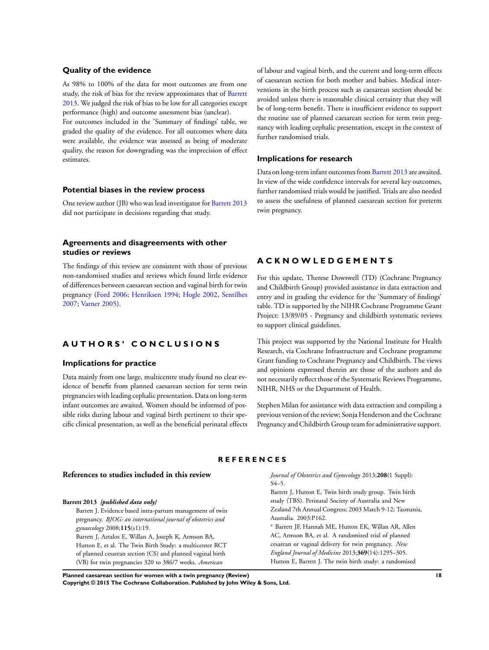#### <span id="page-21-0"></span>**Quality of the evidence**

As 98% to 100% of the data for most outcomes are from one study, the risk of bias for the review approximates that of Barrett 2013. We judged the risk of bias to be low for all categories except performance (high) and outcome assessment bias (unclear). For outcomes included in the 'Summary of findings' table, we

graded the quality of the evidence. For all outcomes where data were available, the evidence was assessed as being of moderate quality, the reason for downgrading was the imprecision of effect estimates.

#### **Potential biases in the review process**

One review author (JB) who was lead investigator for Barrett 2013 did not participate in decisions regarding that study.

## **Agreements and disagreements with other studies or reviews**

The findings of this review are consistent with those of previous non-randomised studies and reviews which found little evidence of differences between caesarean section and vaginal birth for twin pregnancy (Ford 2006; Henriksen 1994; Hogle 2002, Sentilhes 2007; Varner 2005).

## **A U T H O R S ' C O N C L U S I O N S**

### **Implications for practice**

Data mainly from one large, multicentre study found no clear evidence of benefit from planned caesarean section for term twin pregnancies with leading cephalic presentation. Data on long-term infant outcomes are awaited. Women should be informed of possible risks during labour and vaginal birth pertinent to their specific clinical presentation, as well as the beneficial perinatal effects

of labour and vaginal birth, and the current and long-term effects of caesarean section for both mother and babies. Medical interventions in the birth process such as caesarean section should be avoided unless there is reasonable clinical certainty that they will be of long-term benefit. There is insufficient evidence to support the routine use of planned caesarean section for term twin pregnancy with leading cephalic presentation, except in the context of further randomised trials.

#### **Implications for research**

Data on long-term infant outcomes from Barrett 2013 are awaited. In view of the wide confidence intervals for several key outcomes, further randomised trials would be justified. Trials are also needed to assess the usefulness of planned caesarean section for preterm twin pregnancy.

## **A C K N O W L E D G E M E N T S**

For this update, Therese Dowswell (TD) (Cochrane Pregnancy and Childbirth Group) provided assistance in data extraction and entry and in grading the evidence for the 'Summary of findings' table. TD is supported by the NIHR Cochrane Programme Grant Project: 13/89/05 - Pregnancy and childbirth systematic reviews to support clinical guidelines.

This project was supported by the National Institute for Health Research, via Cochrane Infrastructure and Cochrane programme Grant funding to Cochrane Pregnancy and Childbirth. The views and opinions expressed therein are those of the authors and do not necessarily reflect those of the Systematic Reviews Programme, NIHR, NHS or the Department of Health.

Stephen Milan for assistance with data extraction and compiling a previous version of the review; Sonja Henderson and the Cochrane Pregnancy and Childbirth Group team for administrative support.

#### **R E F E R E N C E S**

#### **References to studies included in this review**

#### **Barrett 2013** *{published data only}*

Barrett J. Evidence based intra-partum management of twin pregnancy. *BJOG: an international journal of obstetrics and gynaecology* 2008;**115**(s1):19. Barrett J, Aztalos E, Willan A, Joseph K, Armson BA,

Hutton E, et al. The Twin Birth Study: a multicenter RCT of planned cesarean section (CS) and planned vaginal birth (VB) for twin pregnancies 320 to 386/7 weeks. *American*

*Journal of Obstetrics and Gynecology* 2013;**208**(1 Suppl): S4–5.

Barrett J, Hutton E, Twin birth study group. Twin birth study (TBS). Perinatal Society of Australia and New Zealand 7th Annual Congress; 2003 March 9-12; Tasmania, Australia. 2003:P162.

<sup>∗</sup> Barrett JF, Hannah ME, Hutton EK, Willan AR, Allen AC, Armson BA, et al. A randomized trial of planned cesarean or vaginal delivery for twin pregnancy. *New England Journal of Medicine* 2013;**369**(14):1295–305. Hutton E, Barrett J. The twin birth study: a randomised

#### **Planned caesarean section for women with a twin pregnancy (Review) 18 Copyright © 2015 The Cochrane Collaboration. Published by John Wiley & Sons, Ltd.**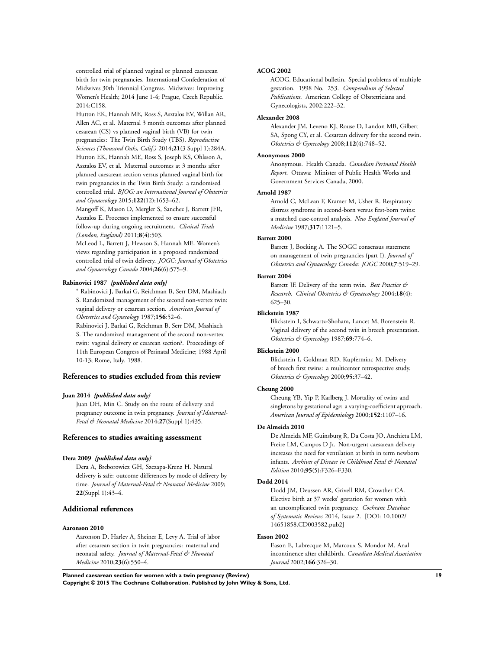controlled trial of planned vaginal or planned caesarean birth for twin pregnancies. International Confederation of Midwives 30th Triennial Congress. Midwives: Improving Women's Health; 2014 June 1-4; Prague, Czech Republic. 2014:C158.

Hutton EK, Hannah ME, Ross S, Asztalos EV, Willan AR, Allen AC, et al. Maternal 3 month outcomes after planned cesarean (CS) vs planned vaginal birth (VB) for twin pregnancies: The Twin Birth Study (TBS). *Reproductive Sciences (Thousand Oaks, Calif.)* 2014;**21**(3 Suppl 1):284A. Hutton EK, Hannah ME, Ross S, Joseph KS, Ohlsson A, Asztalos EV, et al. Maternal outcomes at 3 months after planned caesarean section versus planned vaginal birth for twin pregnancies in the Twin Birth Study: a randomised controlled trial. *BJOG: an International Journal of Obstetrics and Gynaecology* 2015;**122**(12):1653–62.

Mangoff K, Mason D, Mergler S, Sanchez J, Barrett JFR, Asztalos E. Processes implemented to ensure successful follow-up during ongoing recruitment. *Clinical Trials (London, England)* 2011;**8**(4):503.

McLeod L, Barrett J, Hewson S, Hannah ME. Women's views regarding participation in a proposed randomized controlled trial of twin delivery. *JOGC: Journal of Obstetrics and Gynaecology Canada* 2004;**26**(6):575–9.

#### **Rabinovici 1987** *{published data only}*

<sup>∗</sup> Rabinovici J, Barkai G, Reichman B, Serr DM, Mashiach S. Randomized management of the second non-vertex twin: vaginal delivery or cesarean section. *American Journal of Obstetrics and Gynecology* 1987;**156**:52–6.

Rabinovici J, Barkai G, Reichman B, Serr DM, Mashiach S. The randomized management of the second non-vertex twin: vaginal delivery or cesarean section?. Proceedings of 11th European Congress of Perinatal Medicine; 1988 April 10-13; Rome, Italy. 1988.

## **References to studies excluded from this review**

#### **Juan 2014** *{published data only}*

Juan DH, Min C. Study on the route of delivery and pregnancy outcome in twin pregnancy. *Journal of Maternal-Fetal & Neonatal Medicine* 2014;**27**(Suppl 1):435.

#### **References to studies awaiting assessment**

#### **Dera 2009** *{published data only}*

Dera A, Breborowicz GH, Szczapa-Krenz H. Natural delivery is safe: outcome differences by mode of delivery by time. *Journal of Maternal-Fetal & Neonatal Medicine* 2009; **22**(Suppl 1):43–4.

#### **Additional references**

#### **Aaronson 2010**

Aaronson D, Harlev A, Sheiner E, Levy A. Trial of labor after cesarean section in twin pregnancies: maternal and neonatal safety. *Journal of Maternal-Fetal & Neonatal Medicine* 2010;**23**(6):550–4.

#### **ACOG 2002**

ACOG. Educational bulletin. Special problems of multiple gestation. 1998 No. 253. *Compendium of Selected Publications*. American College of Obstetricians and Gynecologists, 2002:222–32.

#### **Alexander 2008**

Alexander JM, Leveno KJ, Rouse D, Landon MB, Gilbert SA, Spong CY, et al. Cesarean delivery for the second twin. *Obstetrics & Gynecology* 2008;**112**(4):748–52.

#### **Anonymous 2000**

Anonymous. Health Canada. *Canadian Perinatal Health Report*. Ottawa: Minister of Public Health Works and Government Services Canada, 2000.

#### **Arnold 1987**

Arnold C, McLean F, Kramer M, Usher R. Respiratory distress syndrome in second-born versus first-born twins: a matched case-control analysis. *New England Journal of Medicine* 1987;**317**:1121–5.

#### **Barrett 2000**

Barrett J, Bocking A. The SOGC consensus statement on management of twin pregnancies (part I). *Journal of Obstetrics and Gynaecology Canada: JOGC* 2000;**7**:519–29.

#### **Barrett 2004**

Barrett JF. Delivery of the term twin. *Best Practice & Research. Clinical Obstetrics & Gynaecology* 2004;**18**(4): 625–30.

#### **Blickstein 1987**

Blickstein I, Schwartz-Shoham, Lancet M, Borenstein R. Vaginal delivery of the second twin in breech presentation. *Obstetrics & Gynecology* 1987;**69**:774–6.

#### **Blickstein 2000**

Blickstein I, Goldman RD, Kupferminc M. Delivery of breech first twins: a multicenter retrospective study. *Obstetrics & Gynecology* 2000;**95**:37–42.

#### **Cheung 2000**

Cheung YB, Yip P, Karlberg J. Mortality of twins and singletons by gestational age: a varying-coefficient approach. *American Journal of Epidemiology* 2000;**152**:1107–16.

#### **De Almeida 2010**

De Almeida MF, Guinsburg R, Da Costa JO, Anchieta LM, Freire LM, Campos D Jr. Non-urgent caesarean delivery increases the need for ventilation at birth in term newborn infants. *Archives of Disease in Childhood Fetal & Neonatal Edition* 2010;**95**(5):F326–F330.

#### **Dodd 2014**

Dodd JM, Deussen AR, Grivell RM, Crowther CA. Elective birth at 37 weeks' gestation for women with an uncomplicated twin pregnancy. *Cochrane Database of Systematic Reviews* 2014, Issue 2. [DOI: 10.1002/ 14651858.CD003582.pub2]

#### **Eason 2002**

Eason E, Labrecque M, Marcoux S, Mondor M. Anal incontinence after childbirth. *Canadian Medical Association Journal* 2002;**166**:326–30.

**Planned caesarean section for women with a twin pregnancy (Review) 19 Copyright © 2015 The Cochrane Collaboration. Published by John Wiley & Sons, Ltd.**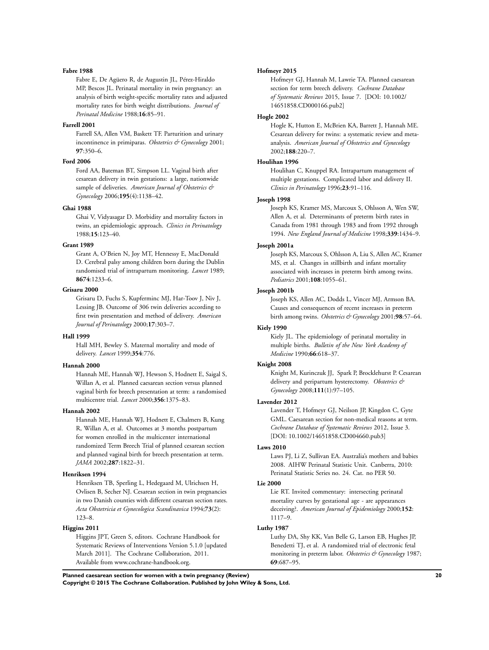#### **Fabre 1988**

Fabre E, De Agüero R, de Augustin JL, Pérez-Hiraldo MP, Bescos JL. Perinatal mortality in twin pregnancy: an analysis of birth weight-specific mortality rates and adjusted mortality rates for birth weight distributions. *Journal of Perinatal Medicine* 1988;**16**:85–91.

#### **Farrell 2001**

Farrell SA, Allen VM, Baskett TF. Parturition and urinary incontinence in primiparas. *Obstetrics & Gynecology* 2001; **97**:350–6.

#### **Ford 2006**

Ford AA, Bateman BT, Simpson LL. Vaginal birth after cesarean delivery in twin gestations: a large, nationwide sample of deliveries. *American Journal of Obstetrics & Gynecology* 2006;**195**(4):1138–42.

#### **Ghai 1988**

Ghai V, Vidyasagar D. Morbidity and mortality factors in twins, an epidemiologic approach. *Clinics in Perinatology* 1988;**15**:123–40.

#### **Grant 1989**

Grant A, O'Brien N, Joy MT, Hennessy E, MacDonald D. Cerebral palsy among children born during the Dublin randomised trial of intrapartum monitoring. *Lancet* 1989; **8674**:1233–6.

#### **Grisaru 2000**

Grisaru D, Fuchs S, Kupferminc MJ, Har-Toov J, Niv J, Lessing JB. Outcome of 306 twin deliveries according to first twin presentation and method of delivery. *American Journal of Perinatology* 2000;**17**:303–7.

## **Hall 1999**

Hall MH, Bewley S. Maternal mortality and mode of delivery. *Lancet* 1999;**354**:776.

#### **Hannah 2000**

Hannah ME, Hannah WJ, Hewson S, Hodnett E, Saigal S, Willan A, et al. Planned caesarean section versus planned vaginal birth for breech presentation at term: a randomised multicentre trial. *Lancet* 2000;**356**:1375–83.

#### **Hannah 2002**

Hannah ME, Hannah WJ, Hodnett E, Chalmers B, Kung R, Willan A, et al. Outcomes at 3 months postpartum for women enrolled in the multicenter international randomized Term Breech Trial of planned cesarean section and planned vaginal birth for breech presentation at term. *JAMA* 2002;**287**:1822–31.

#### **Henriksen 1994**

Henriksen TB, Sperling L, Hedegaard M, Ulrichsen H, Ovlisen B, Secher NJ. Cesarean section in twin pregnancies in two Danish counties with different cesarean section rates. *Acta Obstetricia et Gynecologica Scandinavica* 1994;**73**(2): 123–8.

#### **Higgins 2011**

Higgins JPT, Green S, editors. Cochrane Handbook for Systematic Reviews of Interventions Version 5.1.0 [updated March 2011]. The Cochrane Collaboration, 2011. Available from www.cochrane-handbook.org.

#### **Hofmeyr 2015**

Hofmeyr GJ, Hannah M, Lawrie TA. Planned caesarean section for term breech delivery. *Cochrane Database of Systematic Reviews* 2015, Issue 7. [DOI: 10.1002/ 14651858.CD000166.pub2]

#### **Hogle 2002**

Hogle K, Hutton E, McBrien KA, Barrett J, Hannah ME. Cesarean delivery for twins: a systematic review and metaanalysis. *American Journal of Obstetrics and Gynecology* 2002;**188**:220–7.

#### **Houlihan 1996**

Houlihan C, Knuppel RA. Intrapartum management of multiple gestations. Complicated labor and delivery II. *Clinics in Perinatology* 1996;**23**:91–116.

#### **Joseph 1998**

Joseph KS, Kramer MS, Marcoux S, Ohlsson A, Wen SW, Allen A, et al. Determinants of preterm birth rates in Canada from 1981 through 1983 and from 1992 through 1994. *New England Journal of Medicine* 1998;**339**:1434–9.

#### **Joseph 2001a**

Joseph KS, Marcoux S, Ohlsson A, Liu S, Allen AC, Kramer MS, et al. Changes in stillbirth and infant mortality associated with increases in preterm birth among twins. *Pediatrics* 2001;**108**:1055–61.

#### **Joseph 2001b**

Joseph KS, Allen AC, Dodds L, Vincer MJ, Armson BA. Causes and consequences of recent increases in preterm birth among twins. *Obstetrics & Gynecology* 2001;**98**:57–64.

#### **Kiely 1990**

Kiely JL. The epidemiology of perinatal mortality in multiple births. *Bulletin of the New York Academy of Medicine* 1990;**66**:618–37.

#### **Knight 2008**

Knight M, Kurinczuk JJ, Spark P, Brocklehurst P. Cesarean delivery and peripartum hysterectomy. *Obstetrics & Gynecology* 2008;**111**(1):97–105.

#### **Lavender 2012**

Lavender T, Hofmeyr GJ, Neilson JP, Kingdon C, Gyte GML. Caesarean section for non-medical reasons at term. *Cochrane Database of Systematic Reviews* 2012, Issue 3. [DOI: 10.1002/14651858.CD004660.pub3]

#### **Laws 2010**

Laws PJ, Li Z, Sullivan EA. Australia's mothers and babies 2008. AIHW Perinatal Statistic Unit. Canberra, 2010: Perinatal Statistic Series no. 24. Cat. no PER 50.

#### **Lie 2000**

Lie RT. Invited commentary: intersecting perinatal mortality curves by gestational age - are appearances deceiving?. *American Journal of Epidemiology* 2000;**152**: 1117–9.

## **Luthy 1987**

Luthy DA, Shy KK, Van Belle G, Larson EB, Hughes JP, Benedetti TJ, et al. A randomized trial of electronic fetal monitoring in preterm labor. *Obstetrics & Gynecology* 1987; **69**:687–95.

**Planned caesarean section for women with a twin pregnancy (Review) 20**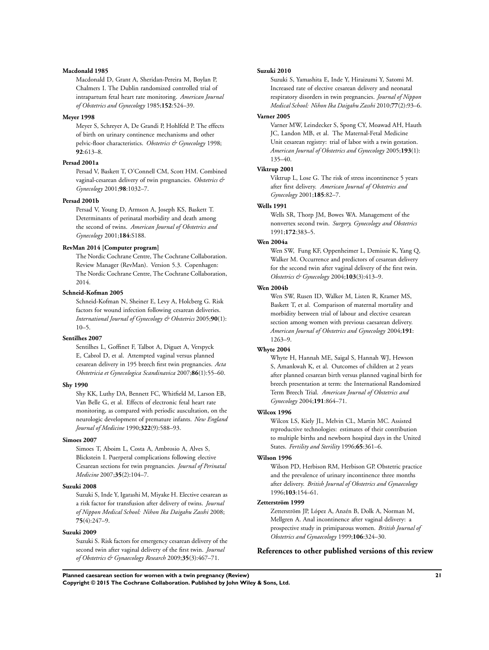#### **Macdonald 1985**

Macdonald D, Grant A, Sheridan-Pereira M, Boylan P, Chalmers I. The Dublin randomized controlled trial of intrapartum fetal heart rate monitoring. *American Journal of Obstetrics and Gynecology* 1985;**152**:524–39.

#### **Meyer 1998**

Meyer S, Schreyer A, De Grandi P, Hohlfeld P. The effects of birth on urinary continence mechanisms and other pelvic-floor characteristics. *Obstetrics & Gynecology* 1998; **92**:613–8.

#### **Persad 2001a**

Persad V, Baskett T, O'Connell CM, Scott HM. Combined vaginal-cesarean delivery of twin pregnancies. *Obstetrics & Gynecology* 2001;**98**:1032–7.

#### **Persad 2001b**

Persad V, Young D, Armson A, Joseph KS, Baskett T. Determinants of perinatal morbidity and death among the second of twins. *American Journal of Obstetrics and Gynecology* 2001;**184**:S188.

#### **RevMan 2014 [Computer program]**

The Nordic Cochrane Centre, The Cochrane Collaboration. Review Manager (RevMan). Version 5.3. Copenhagen: The Nordic Cochrane Centre, The Cochrane Collaboration, 2014.

#### **Schneid-Kofman 2005**

Schneid-Kofman N, Sheiner E, Levy A, Holcberg G. Risk factors for wound infection following cesarean deliveries. *International Journal of Gynecology & Obstetrics* 2005;**90**(1):  $10-5.$ 

#### **Sentilhes 2007**

Sentilhes L, Goffinet F, Talbot A, Diguet A, Verspyck E, Cabrol D, et al. Attempted vaginal versus planned cesarean delivery in 195 breech first twin pregnancies. *Acta Obstetricia et Gynecologica Scandinavica* 2007;**86**(1):55–60.

#### **Shy 1990**

Shy KK, Luthy DA, Bennett FC, Whitfield M, Larson EB, Van Belle G, et al. Effects of electronic fetal heart rate monitoring, as compared with periodic auscultation, on the neurologic development of premature infants. *New England Journal of Medicine* 1990;**322**(9):588–93.

#### **Simoes 2007**

Simoes T, Aboim L, Costa A, Ambrosio A, Alves S, Blickstein I. Puerperal complications following elective Cesarean sections for twin pregnancies. *Journal of Perinatal Medicine* 2007;**35**(2):104–7.

#### **Suzuki 2008**

Suzuki S, Inde Y, Igarashi M, Miyake H. Elective cesarean as a risk factor for transfusion after delivery of twins. *Journal of Nippon Medical School: Nihon Ika Daigahu Zasshi* 2008; **75**(4):247–9.

### **Suzuki 2009**

Suzuki S. Risk factors for emergency cesarean delivery of the second twin after vaginal delivery of the first twin. *Journal of Obstetrics & Gynaecology Research* 2009;**35**(3):467–71.

#### **Suzuki 2010**

Suzuki S, Yamashita E, Inde Y, Hiraizumi Y, Satomi M. Increased rate of elective cesarean delivery and neonatal respiratory disorders in twin pregnancies. *Journal of Nippon Medical School: Nihon Ika Daigahu Zasshi* 2010;**77**(2):93–6.

#### **Varner 2005**

Varner MW, Leindecker S, Spong CY, Moawad AH, Hauth JC, Landon MB, et al. The Maternal-Fetal Medicine Unit cesarean registry: trial of labor with a twin gestation. *American Journal of Obstetrics and Gynecology* 2005;**193**(1): 135–40.

#### **Viktrup 2001**

Viktrup L, Lose G. The risk of stress incontinence 5 years after first delivery. *American Journal of Obstetrics and Gynecology* 2001;**185**:82–7.

#### **Wells 1991**

Wells SR, Thorp JM, Bowes WA. Management of the nonvertex second twin. *Surgery, Gynecology and Obstetrics* 1991;**172**:383–5.

#### **Wen 2004a**

Wen SW, Fung KF, Oppenheimer L, Demissie K, Yang Q, Walker M. Occurrence and predictors of cesarean delivery for the second twin after vaginal delivery of the first twin. *Obstetrics & Gynecology* 2004;**103**(3):413–9.

#### **Wen 2004b**

Wen SW, Rusen ID, Walker M, Listen R, Kramer MS, Baskett T, et al. Comparison of maternal mortality and morbidity between trial of labour and elective cesarean section among women with previous caesarean delivery. *American Journal of Obstetrics and Gynecology* 2004;**191**: 1263–9.

#### **Whyte 2004**

Whyte H, Hannah ME, Saigal S, Hannah WJ, Hewson S, Amankwah K, et al. Outcomes of children at 2 years after planned cesarean birth versus planned vaginal birth for breech presentation at term: the International Randomized Term Breech Trial. *American Journal of Obstetrics and Gynecology* 2004;**191**:864–71.

#### **Wilcox 1996**

Wilcox LS, Kiely JL, Melvin CL, Martin MC. Assisted reproductive technologies: estimates of their contribution to multiple births and newborn hospital days in the United States. *Fertility and Sterility* 1996;**65**:361–6.

#### **Wilson 1996**

Wilson PD, Herbison RM, Herbison GP. Obstetric practice and the prevalence of urinary incontinence three months after delivery. *British Journal of Obstetrics and Gynaecology* 1996;**103**:154–61.

#### **Zetterström 1999**

Zetterström JP, López A, Anzén B, Dolk A, Norman M, Mellgren A. Anal incontinence after vaginal delivery: a prospective study in primiparous women. *British Journal of Obstetrics and Gynaecology* 1999;**106**:324–30.

#### **References to other published versions of this review**

**Planned caesarean section for women with a twin pregnancy (Review) 21 Copyright © 2015 The Cochrane Collaboration. Published by John Wiley & Sons, Ltd.**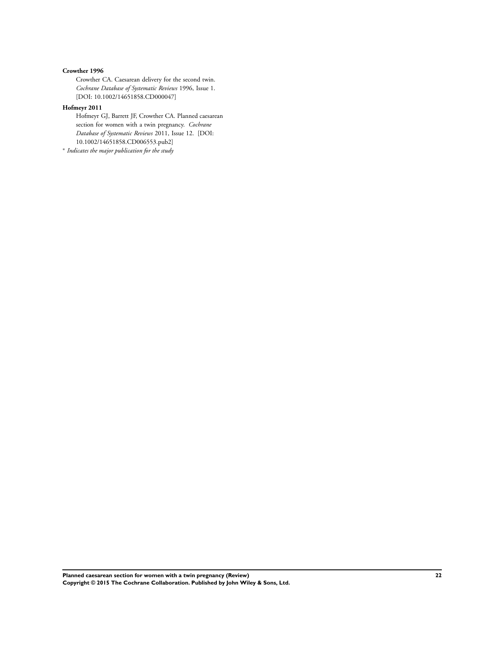#### **Crowther 1996**

Crowther CA. Caesarean delivery for the second twin. *Cochrane Database of Systematic Reviews* 1996, Issue 1. [DOI: 10.1002/14651858.CD000047]

## **Hofmeyr 2011**

Hofmeyr GJ, Barrett JF, Crowther CA. Planned caesarean section for women with a twin pregnancy. *Cochrane Database of Systematic Reviews* 2011, Issue 12. [DOI: 10.1002/14651858.CD006553.pub2]

∗ *Indicates the major publication for the study*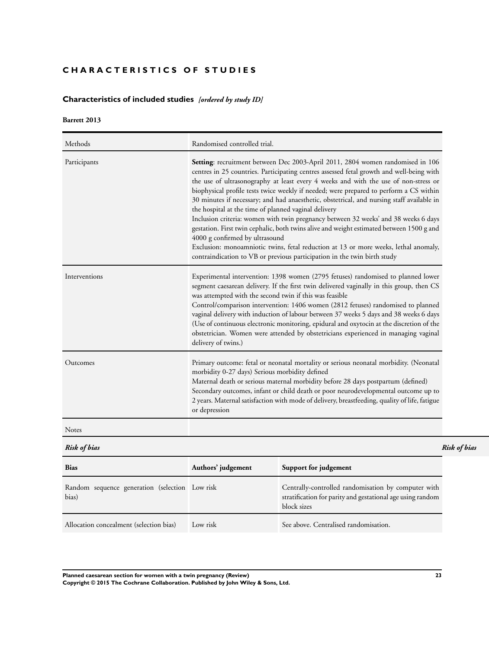## <span id="page-26-0"></span>**CHARACTERISTICS OF STUDIES**

## **Characteristics of included studies** *[ordered by study ID]*

## **Barrett 2013**

| Methods             | Randomised controlled trial.                                                                                                                                                                                                                                                                                                                                                                                                                                                                                                                                                                                                                                                                                                                                                                                                                                                                             |
|---------------------|----------------------------------------------------------------------------------------------------------------------------------------------------------------------------------------------------------------------------------------------------------------------------------------------------------------------------------------------------------------------------------------------------------------------------------------------------------------------------------------------------------------------------------------------------------------------------------------------------------------------------------------------------------------------------------------------------------------------------------------------------------------------------------------------------------------------------------------------------------------------------------------------------------|
| Participants        | Setting: recruitment between Dec 2003-April 2011, 2804 women randomised in 106<br>centres in 25 countries. Participating centres assessed fetal growth and well-being with<br>the use of ultrasonography at least every 4 weeks and with the use of non-stress or<br>biophysical profile tests twice weekly if needed; were prepared to perform a CS within<br>30 minutes if necessary; and had anaesthetic, obstetrical, and nursing staff available in<br>the hospital at the time of planned vaginal delivery<br>Inclusion criteria: women with twin pregnancy between 32 weeks' and 38 weeks 6 days<br>gestation. First twin cephalic, both twins alive and weight estimated between 1500 g and<br>4000 g confirmed by ultrasound<br>Exclusion: monoamniotic twins, fetal reduction at 13 or more weeks, lethal anomaly,<br>contraindication to VB or previous participation in the twin birth study |
| Interventions       | Experimental intervention: 1398 women (2795 fetuses) randomised to planned lower<br>segment caesarean delivery. If the first twin delivered vaginally in this group, then CS<br>was attempted with the second twin if this was feasible<br>Control/comparison intervention: 1406 women (2812 fetuses) randomised to planned<br>vaginal delivery with induction of labour between 37 weeks 5 days and 38 weeks 6 days<br>(Use of continuous electronic monitoring, epidural and oxytocin at the discretion of the<br>obstetrician. Women were attended by obstetricians experienced in managing vaginal<br>delivery of twins.)                                                                                                                                                                                                                                                                            |
| Outcomes            | Primary outcome: fetal or neonatal mortality or serious neonatal morbidity. (Neonatal<br>morbidity 0-27 days) Serious morbidity defined<br>Maternal death or serious maternal morbidity before 28 days postpartum (defined)<br>Secondary outcomes, infant or child death or poor neurodevelopmental outcome up to<br>2 years. Maternal satisfaction with mode of delivery, breastfeeding, quality of life, fatigue<br>or depression                                                                                                                                                                                                                                                                                                                                                                                                                                                                      |
| <b>Notes</b>        |                                                                                                                                                                                                                                                                                                                                                                                                                                                                                                                                                                                                                                                                                                                                                                                                                                                                                                          |
| <b>Risk of bias</b> | Risk of bias                                                                                                                                                                                                                                                                                                                                                                                                                                                                                                                                                                                                                                                                                                                                                                                                                                                                                             |

| <b>Bias</b>                                             | Authors' judgement | Support for judgement                                                                                                            |
|---------------------------------------------------------|--------------------|----------------------------------------------------------------------------------------------------------------------------------|
| Random sequence generation (selection Low risk<br>bias) |                    | Centrally-controlled randomisation by computer with<br>stratification for parity and gestational age using random<br>block sizes |
| Allocation concealment (selection bias)                 | Low risk           | See above. Centralised randomisation.                                                                                            |

**Planned caesarean section for women with a twin pregnancy (Review) 23 Copyright © 2015 The Cochrane Collaboration. Published by John Wiley & Sons, Ltd.**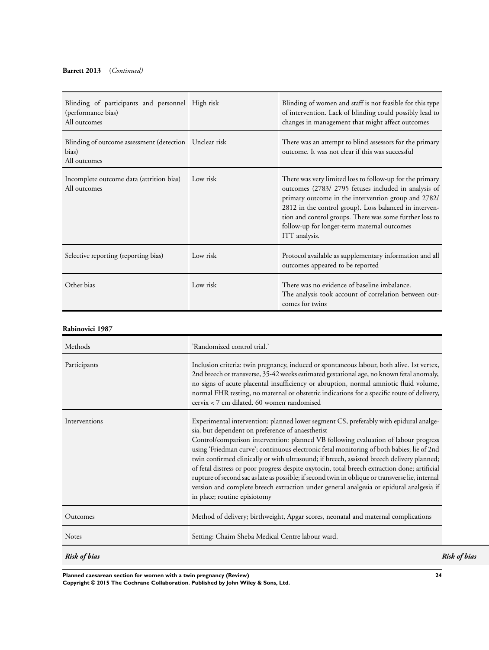| Blinding of participants and personnel High risk<br>(performance bias)<br>All outcomes |          | Blinding of women and staff is not feasible for this type<br>of intervention. Lack of blinding could possibly lead to<br>changes in management that might affect outcomes                                                                                                                                                                                   |
|----------------------------------------------------------------------------------------|----------|-------------------------------------------------------------------------------------------------------------------------------------------------------------------------------------------------------------------------------------------------------------------------------------------------------------------------------------------------------------|
| Blinding of outcome assessment (detection Unclear risk<br>bias)<br>All outcomes        |          | There was an attempt to blind assessors for the primary<br>outcome. It was not clear if this was successful                                                                                                                                                                                                                                                 |
| Incomplete outcome data (attrition bias)<br>All outcomes                               | Low risk | There was very limited loss to follow-up for the primary<br>outcomes (2783/2795 fetuses included in analysis of<br>primary outcome in the intervention group and 2782/<br>2812 in the control group). Loss balanced in interven-<br>tion and control groups. There was some further loss to<br>follow-up for longer-term maternal outcomes<br>ITT analysis. |
| Selective reporting (reporting bias)                                                   | Low risk | Protocol available as supplementary information and all<br>outcomes appeared to be reported                                                                                                                                                                                                                                                                 |
| Other bias                                                                             | Low risk | There was no evidence of baseline imbalance.<br>The analysis took account of correlation between out-<br>comes for twins                                                                                                                                                                                                                                    |

## **Rabinovici 1987**

| Methods             | 'Randomized control trial.'                                                                                                                                                                                                                                                                                                                                                                                                                                                                                                                                                                                                                                                                                                                                 |              |
|---------------------|-------------------------------------------------------------------------------------------------------------------------------------------------------------------------------------------------------------------------------------------------------------------------------------------------------------------------------------------------------------------------------------------------------------------------------------------------------------------------------------------------------------------------------------------------------------------------------------------------------------------------------------------------------------------------------------------------------------------------------------------------------------|--------------|
| Participants        | Inclusion criteria: twin pregnancy, induced or spontaneous labour, both alive. 1st vertex,<br>2nd breech or transverse, 35-42 weeks estimated gestational age, no known fetal anomaly,<br>no signs of acute placental insufficiency or abruption, normal amniotic fluid volume,<br>normal FHR testing, no maternal or obstetric indications for a specific route of delivery,<br>cervix < 7 cm dilated, 60 women randomised                                                                                                                                                                                                                                                                                                                                 |              |
| Interventions       | Experimental intervention: planned lower segment CS, preferably with epidural analge-<br>sia, but dependent on preference of anaesthetist<br>Control/comparison intervention: planned VB following evaluation of labour progress<br>using 'Friedman curve'; continuous electronic fetal monitoring of both babies; lie of 2nd<br>twin confirmed clinically or with ultrasound; if breech, assisted breech delivery planned;<br>of fetal distress or poor progress despite oxytocin, total breech extraction done; artificial<br>rupture of second sac as late as possible; if second twin in oblique or transverse lie, internal<br>version and complete breech extraction under general analgesia or epidural analgesia if<br>in place; routine episiotomy |              |
| Outcomes            | Method of delivery; birthweight, Apgar scores, neonatal and maternal complications                                                                                                                                                                                                                                                                                                                                                                                                                                                                                                                                                                                                                                                                          |              |
| Notes               | Setting: Chaim Sheba Medical Centre labour ward.                                                                                                                                                                                                                                                                                                                                                                                                                                                                                                                                                                                                                                                                                                            |              |
| <b>Risk of bias</b> |                                                                                                                                                                                                                                                                                                                                                                                                                                                                                                                                                                                                                                                                                                                                                             | Risk of bias |

**Planned caesarean section for women with a twin pregnancy (Review) 24**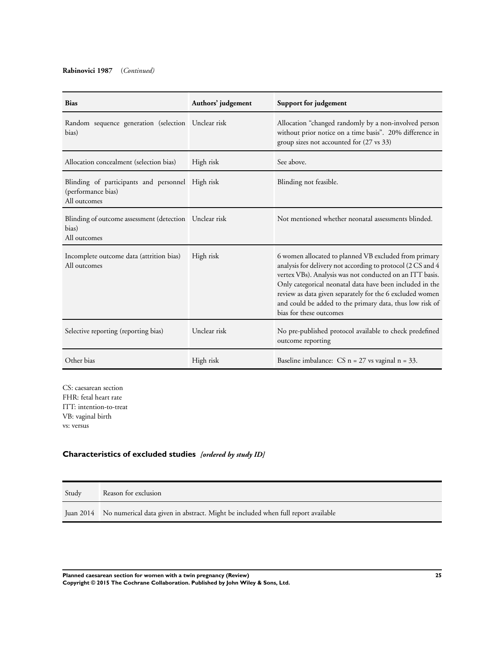## <span id="page-28-0"></span>**Rabinovici 1987** (*Continued)*

| <b>Bias</b>                                                                            | Authors' judgement | Support for judgement                                                                                                                                                                                                                                                                                                                                                                           |
|----------------------------------------------------------------------------------------|--------------------|-------------------------------------------------------------------------------------------------------------------------------------------------------------------------------------------------------------------------------------------------------------------------------------------------------------------------------------------------------------------------------------------------|
| Random sequence generation (selection Unclear risk<br>bias)                            |                    | Allocation "changed randomly by a non-involved person<br>without prior notice on a time basis". 20% difference in<br>group sizes not accounted for (27 vs 33)                                                                                                                                                                                                                                   |
| Allocation concealment (selection bias)                                                | High risk          | See above.                                                                                                                                                                                                                                                                                                                                                                                      |
| Blinding of participants and personnel High risk<br>(performance bias)<br>All outcomes |                    | Blinding not feasible.                                                                                                                                                                                                                                                                                                                                                                          |
| Blinding of outcome assessment (detection Unclear risk<br>bias)<br>All outcomes        |                    | Not mentioned whether neonatal assessments blinded.                                                                                                                                                                                                                                                                                                                                             |
| Incomplete outcome data (attrition bias)<br>All outcomes                               | High risk          | 6 women allocated to planned VB excluded from primary<br>analysis for delivery not according to protocol (2 CS and 4<br>vertex VBs). Analysis was not conducted on an ITT basis.<br>Only categorical neonatal data have been included in the<br>review as data given separately for the 6 excluded women<br>and could be added to the primary data, thus low risk of<br>bias for these outcomes |
| Selective reporting (reporting bias)                                                   | Unclear risk       | No pre-published protocol available to check predefined<br>outcome reporting                                                                                                                                                                                                                                                                                                                    |
| Other bias                                                                             | High risk          | Baseline imbalance: CS $n = 27$ vs vaginal $n = 33$ .                                                                                                                                                                                                                                                                                                                                           |

CS: caesarean section FHR: fetal heart rate ITT: intention-to-treat VB: vaginal birth vs: versus

## **Characteristics of excluded studies** *[ordered by study ID]*

| Study | Reason for exclusion                                                                        |
|-------|---------------------------------------------------------------------------------------------|
|       | Juan 2014 No numerical data given in abstract. Might be included when full report available |

**Planned caesarean section for women with a twin pregnancy (Review) 25 Copyright © 2015 The Cochrane Collaboration. Published by John Wiley & Sons, Ltd.**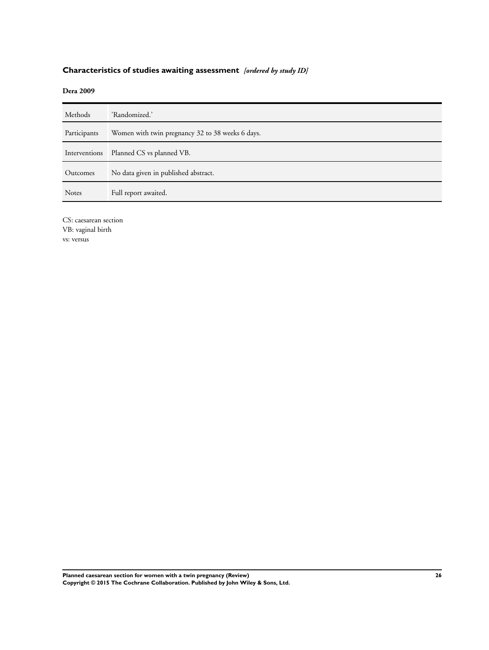## <span id="page-29-0"></span>**Characteristics of studies awaiting assessment** *[ordered by study ID]*

## **Dera 2009**

| Methods       | 'Randomized.'                                    |
|---------------|--------------------------------------------------|
| Participants  | Women with twin pregnancy 32 to 38 weeks 6 days. |
| Interventions | Planned CS vs planned VB.                        |
| Outcomes      | No data given in published abstract.             |
| <b>Notes</b>  | Full report awaited.                             |

CS: caesarean section VB: vaginal birth vs: versus

**Planned caesarean section for women with a twin pregnancy (Review) 26 Copyright © 2015 The Cochrane Collaboration. Published by John Wiley & Sons, Ltd.**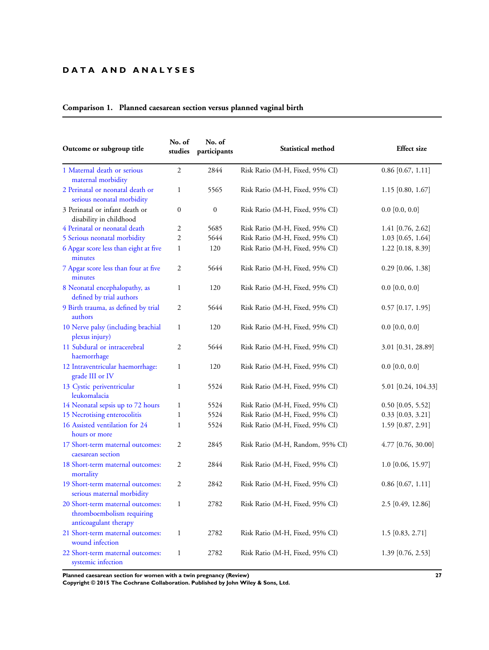## **D A T A A N D A N A L Y S E S**

## **Comparison 1. Planned caesarean section versus planned vaginal birth**

| Outcome or subgroup title                                                              | No. of<br>studies | No. of<br>participants | Statistical method               | <b>Effect</b> size  |
|----------------------------------------------------------------------------------------|-------------------|------------------------|----------------------------------|---------------------|
| 1 Maternal death or serious<br>maternal morbidity                                      | $\overline{2}$    | 2844                   | Risk Ratio (M-H, Fixed, 95% CI)  | $0.86$ [0.67, 1.11] |
| 2 Perinatal or neonatal death or<br>serious neonatal morbidity                         | $\mathbf{1}$      | 5565                   | Risk Ratio (M-H, Fixed, 95% CI)  | $1.15$ [0.80, 1.67] |
| 3 Perinatal or infant death or<br>disability in childhood                              | $\boldsymbol{0}$  | $\boldsymbol{0}$       | Risk Ratio (M-H, Fixed, 95% CI)  | 0.0 [0.0, 0.0]      |
| 4 Perinatal or neonatal death                                                          | 2                 | 5685                   | Risk Ratio (M-H, Fixed, 95% CI)  | $1.41$ [0.76, 2.62] |
| 5 Serious neonatal morbidity                                                           | $\overline{2}$    | 5644                   | Risk Ratio (M-H, Fixed, 95% CI)  | $1.03$ [0.65, 1.64] |
| 6 Apgar score less than eight at five<br>minutes                                       | $\mathbf{1}$      | 120                    | Risk Ratio (M-H, Fixed, 95% CI)  | $1.22$ [0.18, 8.39] |
| 7 Apgar score less than four at five<br>minutes                                        | $\overline{2}$    | 5644                   | Risk Ratio (M-H, Fixed, 95% CI)  | $0.29$ [0.06, 1.38] |
| 8 Neonatal encephalopathy, as<br>defined by trial authors                              | $\mathbf{1}$      | 120                    | Risk Ratio (M-H, Fixed, 95% CI)  | $0.0$ [0.0, 0.0]    |
| 9 Birth trauma, as defined by trial<br>authors                                         | 2                 | 5644                   | Risk Ratio (M-H, Fixed, 95% CI)  | $0.57$ [0.17, 1.95] |
| 10 Nerve palsy (including brachial<br>plexus injury)                                   | $\mathbf{1}$      | 120                    | Risk Ratio (M-H, Fixed, 95% CI)  | 0.0 [0.0, 0.0]      |
| 11 Subdural or intracerebral<br>haemorrhage                                            | $\mathfrak{2}$    | 5644                   | Risk Ratio (M-H, Fixed, 95% CI)  | 3.01 [0.31, 28.89]  |
| 12 Intraventricular haemorrhage:<br>grade III or IV                                    | $\mathbf{1}$      | 120                    | Risk Ratio (M-H, Fixed, 95% CI)  | 0.0 [0.0, 0.0]      |
| 13 Cystic periventricular<br>leukomalacia                                              | $\mathbf{1}$      | 5524                   | Risk Ratio (M-H, Fixed, 95% CI)  | 5.01 [0.24, 104.33] |
| 14 Neonatal sepsis up to 72 hours                                                      | $\mathbf{1}$      | 5524                   | Risk Ratio (M-H, Fixed, 95% CI)  | $0.50$ [0.05, 5.52] |
| 15 Necrotising enterocolitis                                                           | $\mathbf{1}$      | 5524                   | Risk Ratio (M-H, Fixed, 95% CI)  | $0.33$ [0.03, 3.21] |
| 16 Assisted ventilation for 24<br>hours or more                                        | $\mathbf{1}$      | 5524                   | Risk Ratio (M-H, Fixed, 95% CI)  | 1.59 [0.87, 2.91]   |
| 17 Short-term maternal outcomes:<br>caesarean section                                  | 2                 | 2845                   | Risk Ratio (M-H, Random, 95% CI) | 4.77 [0.76, 30.00]  |
| 18 Short-term maternal outcomes:<br>mortality                                          | 2                 | 2844                   | Risk Ratio (M-H, Fixed, 95% CI)  | $1.0$ [0.06, 15.97] |
| 19 Short-term maternal outcomes:<br>serious maternal morbidity                         | $\mathfrak{2}$    | 2842                   | Risk Ratio (M-H, Fixed, 95% CI)  | $0.86$ [0.67, 1.11] |
| 20 Short-term maternal outcomes:<br>thromboembolism requiring<br>anticoagulant therapy | $\mathbf{1}$      | 2782                   | Risk Ratio (M-H, Fixed, 95% CI)  | 2.5 [0.49, 12.86]   |
| 21 Short-term maternal outcomes:<br>wound infection                                    | $\mathbf{1}$      | 2782                   | Risk Ratio (M-H, Fixed, 95% CI)  | $1.5$ [0.83, 2.71]  |
| 22 Short-term maternal outcomes:<br>systemic infection                                 | $\mathbf{1}$      | 2782                   | Risk Ratio (M-H, Fixed, 95% CI)  | $1.39$ [0.76, 2.53] |

**Planned caesarean section for women with a twin pregnancy (Review) 27**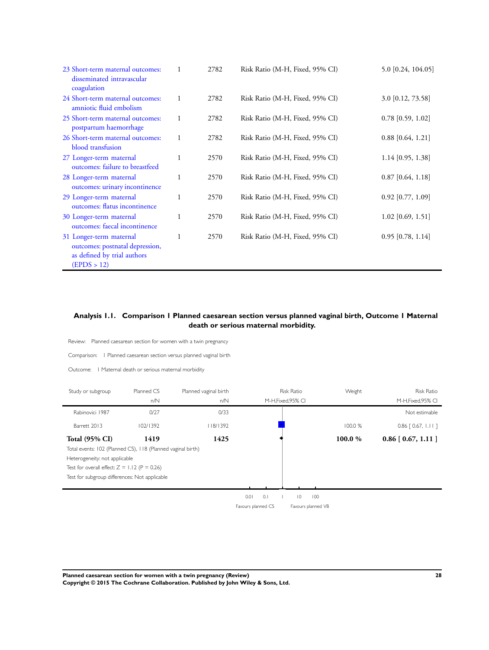<span id="page-31-0"></span>

| 23 Short-term maternal outcomes:<br>disseminated intravascular<br>coagulation                            |              | 2782 | Risk Ratio (M-H, Fixed, 95% CI) | 5.0 [0.24, 104.05]  |
|----------------------------------------------------------------------------------------------------------|--------------|------|---------------------------------|---------------------|
| 24 Short-term maternal outcomes:<br>amniotic fluid embolism                                              | 1            | 2782 | Risk Ratio (M-H, Fixed, 95% CI) | 3.0 [0.12, 73.58]   |
| 25 Short-term maternal outcomes:<br>postpartum haemorrhage                                               | $\mathbf{1}$ | 2782 | Risk Ratio (M-H, Fixed, 95% CI) | $0.78$ [0.59, 1.02] |
| 26 Short-term maternal outcomes:<br>blood transfusion                                                    | 1            | 2782 | Risk Ratio (M-H, Fixed, 95% CI) | $0.88$ [0.64, 1.21] |
| 27 Longer-term maternal<br>outcomes: failure to breastfeed                                               | 1            | 2570 | Risk Ratio (M-H, Fixed, 95% CI) | $1.14$ [0.95, 1.38] |
| 28 Longer-term maternal<br>outcomes: urinary incontinence                                                | 1            | 2570 | Risk Ratio (M-H, Fixed, 95% CI) | $0.87$ [0.64, 1.18] |
| 29 Longer-term maternal<br>outcomes: flatus incontinence                                                 | 1            | 2570 | Risk Ratio (M-H, Fixed, 95% CI) | $0.92$ [0.77, 1.09] |
| 30 Longer-term maternal<br>outcomes: faecal incontinence                                                 | 1            | 2570 | Risk Ratio (M-H, Fixed, 95% CI) | $1.02$ [0.69, 1.51] |
| 31 Longer-term maternal<br>outcomes: postnatal depression,<br>as defined by trial authors<br>(EPDS > 12) | 1            | 2570 | Risk Ratio (M-H, Fixed, 95% CI) | $0.95$ [0.78, 1.14] |

## **Analysis 1.1. Comparison 1 Planned caesarean section versus planned vaginal birth, Outcome 1 Maternal death or serious maternal morbidity.**

Review: Planned caesarean section for women with a twin pregnancy

Comparison: I Planned caesarean section versus planned vaginal birth

Outcome: 1 Maternal death or serious maternal morbidity

| Study or subgroup                                           | Planned CS | Planned vaginal birth |                    |     | <b>Risk Ratio</b> |                    | Weight  | <b>Risk Ratio</b>     |
|-------------------------------------------------------------|------------|-----------------------|--------------------|-----|-------------------|--------------------|---------|-----------------------|
|                                                             | n/N        | n/N                   |                    |     | M-H.Fixed.95% CI  |                    |         | M-H, Fixed, 95% CI    |
| Rabinovici 1987                                             | 0/27       | 0/33                  |                    |     |                   |                    |         | Not estimable         |
| Barrett 2013                                                | 102/1392   | 18/1392               |                    |     |                   |                    | 100.0 % | $0.86$ [ 0.67, 1.11 ] |
| <b>Total (95% CI)</b>                                       | 1419       | 1425                  |                    |     |                   |                    | 100.0%  | $0.86$ [ 0.67, 1.11 ] |
| Total events: 102 (Planned CS), 118 (Planned vaginal birth) |            |                       |                    |     |                   |                    |         |                       |
| Heterogeneity: not applicable                               |            |                       |                    |     |                   |                    |         |                       |
| Test for overall effect: $Z = 1.12$ (P = 0.26)              |            |                       |                    |     |                   |                    |         |                       |
| Test for subgroup differences: Not applicable               |            |                       |                    |     |                   |                    |         |                       |
|                                                             |            |                       |                    |     |                   |                    |         |                       |
|                                                             |            |                       | 0.01               | 0.1 | $\overline{0}$    | 100                |         |                       |
|                                                             |            |                       | Favours planned CS |     |                   | Favours planned VB |         |                       |

**Planned caesarean section for women with a twin pregnancy (Review) 28 Copyright © 2015 The Cochrane Collaboration. Published by John Wiley & Sons, Ltd.**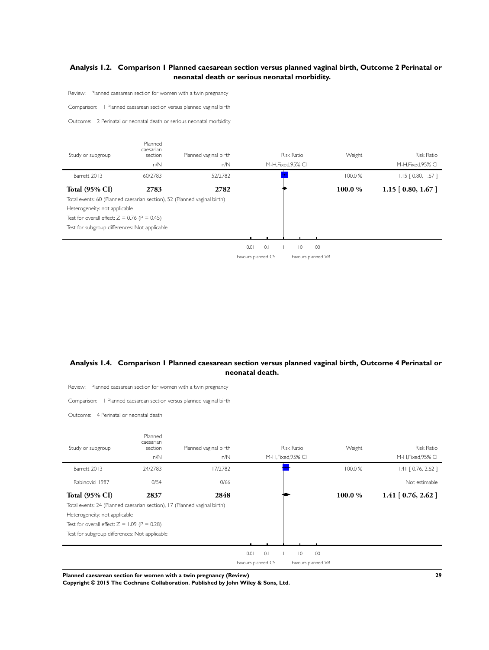## <span id="page-32-0"></span>**Analysis 1.2. Comparison 1 Planned caesarean section versus planned vaginal birth, Outcome 2 Perinatal or neonatal death or serious neonatal morbidity.**

Review: Planned caesarean section for women with a twin pregnancy

Comparison: I Planned caesarean section versus planned vaginal birth

Outcome: 2 Perinatal or neonatal death or serious neonatal morbidity

| Study or subgroup                                                        | Planned<br>caesarian<br>section | Planned vaginal birth |                    |     | <b>Risk Ratio</b>  |                    | Weight | <b>Risk Ratio</b>     |
|--------------------------------------------------------------------------|---------------------------------|-----------------------|--------------------|-----|--------------------|--------------------|--------|-----------------------|
|                                                                          | n/N                             | n/N                   |                    |     | M-H, Fixed, 95% CI |                    |        | M-H, Fixed, 95% CI    |
| Barrett 2013                                                             | 60/2783                         | 52/2782               |                    |     |                    |                    | 100.0% | $1.15$ $[0.80, 1.67]$ |
| <b>Total (95% CI)</b>                                                    | 2783                            | 2782                  |                    |     |                    |                    | 100.0% | $1.15$ [ 0.80, 1.67 ] |
| Total events: 60 (Planned caesarian section), 52 (Planned vaginal birth) |                                 |                       |                    |     |                    |                    |        |                       |
| Heterogeneity: not applicable                                            |                                 |                       |                    |     |                    |                    |        |                       |
| Test for overall effect: $Z = 0.76$ (P = 0.45)                           |                                 |                       |                    |     |                    |                    |        |                       |
| Test for subgroup differences: Not applicable                            |                                 |                       |                    |     |                    |                    |        |                       |
|                                                                          |                                 |                       |                    |     |                    |                    |        |                       |
|                                                                          |                                 |                       | 0.01               | 0.1 | $\overline{0}$     | 100                |        |                       |
|                                                                          |                                 |                       | Favours planned CS |     |                    | Favours planned VB |        |                       |

## **Analysis 1.4. Comparison 1 Planned caesarean section versus planned vaginal birth, Outcome 4 Perinatal or neonatal death.**

Review: Planned caesarean section for women with a twin pregnancy

Comparison: I Planned caesarean section versus planned vaginal birth

Outcome: 4 Perinatal or neonatal death

| Study or subgroup                                                        | Planned<br>caesarian<br>section | Planned vaginal birth |                    |     | <b>Risk Ratio</b>  |                    | Weight | <b>Risk Ratio</b>     |
|--------------------------------------------------------------------------|---------------------------------|-----------------------|--------------------|-----|--------------------|--------------------|--------|-----------------------|
|                                                                          | n/N                             | n/N                   |                    |     | M-H, Fixed, 95% CI |                    |        | M-H, Fixed, 95% CI    |
| Barrett 2013                                                             | 24/2783                         | 17/2782               |                    |     |                    |                    | 100.0% | $1.41$ $[0.76, 2.62]$ |
| Rabinovici 1987                                                          | 0/54                            | 0/66                  |                    |     |                    |                    |        | Not estimable         |
| <b>Total (95% CI)</b>                                                    | 2837                            | 2848                  |                    |     |                    |                    | 100.0% | $1.41$ [ 0.76, 2.62 ] |
| Total events: 24 (Planned caesarian section), 17 (Planned vaginal birth) |                                 |                       |                    |     |                    |                    |        |                       |
| Heterogeneity: not applicable                                            |                                 |                       |                    |     |                    |                    |        |                       |
| Test for overall effect: $Z = 1.09$ (P = 0.28)                           |                                 |                       |                    |     |                    |                    |        |                       |
| Test for subgroup differences: Not applicable                            |                                 |                       |                    |     |                    |                    |        |                       |
|                                                                          |                                 |                       |                    |     |                    |                    |        |                       |
|                                                                          |                                 |                       | 0.01               | 0.1 | $\overline{0}$     | 100                |        |                       |
|                                                                          |                                 |                       | Favours planned CS |     |                    | Favours planned VB |        |                       |

**Planned caesarean section for women with a twin pregnancy (Review) 29**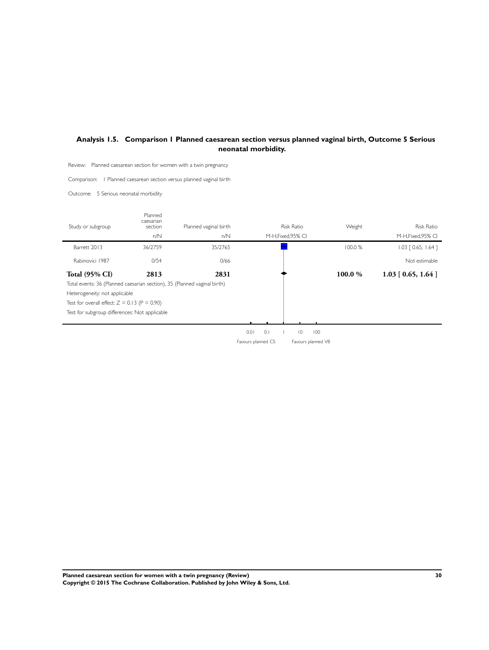## <span id="page-33-0"></span>**Analysis 1.5. Comparison 1 Planned caesarean section versus planned vaginal birth, Outcome 5 Serious neonatal morbidity.**

Review: Planned caesarean section for women with a twin pregnancy

Comparison: 1 Planned caesarean section versus planned vaginal birth

Outcome: 5 Serious neonatal morbidity

| Study or subgroup                                                        | Planned<br>caesarian<br>section | Planned vaginal birth |                    |     | <b>Risk Ratio</b>  |                    | Weight  | <b>Risk Ratio</b>     |
|--------------------------------------------------------------------------|---------------------------------|-----------------------|--------------------|-----|--------------------|--------------------|---------|-----------------------|
|                                                                          | n/N                             | n/N                   |                    |     | M-H, Fixed, 95% CI |                    |         | M-H, Fixed, 95% CI    |
| Barrett 2013                                                             | 36/2759                         | 35/2765               |                    |     |                    |                    | 100.0 % | $1.03$ $[0.65, 1.64]$ |
| Rabinovici 1987                                                          | 0/54                            | 0/66                  |                    |     |                    |                    |         | Not estimable         |
| <b>Total (95% CI)</b>                                                    | 2813                            | 2831                  |                    |     |                    |                    | 100.0%  | $1.03$ [ 0.65, 1.64 ] |
| Total events: 36 (Planned caesarian section), 35 (Planned vaginal birth) |                                 |                       |                    |     |                    |                    |         |                       |
| Heterogeneity: not applicable                                            |                                 |                       |                    |     |                    |                    |         |                       |
| Test for overall effect: $Z = 0.13$ (P = 0.90)                           |                                 |                       |                    |     |                    |                    |         |                       |
| Test for subgroup differences: Not applicable                            |                                 |                       |                    |     |                    |                    |         |                       |
|                                                                          |                                 |                       |                    |     |                    |                    |         |                       |
|                                                                          |                                 |                       | 0.01               | 0.1 | $\overline{0}$     | 100                |         |                       |
|                                                                          |                                 |                       | Favours planned CS |     |                    | Favours planned VB |         |                       |

**Planned caesarean section for women with a twin pregnancy (Review) 30 Copyright © 2015 The Cochrane Collaboration. Published by John Wiley & Sons, Ltd.**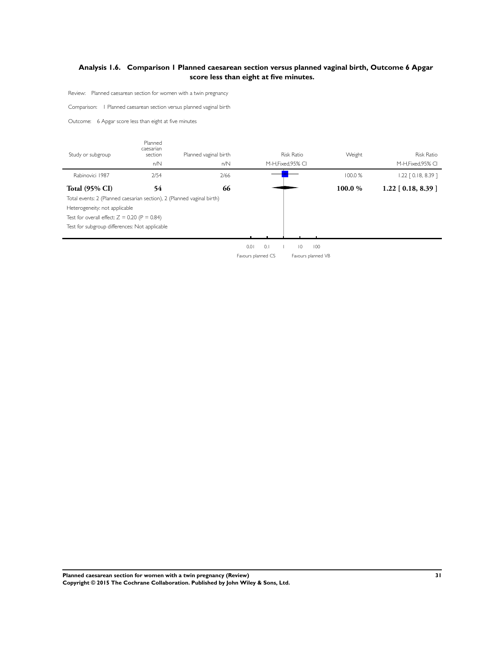## <span id="page-34-0"></span>**Analysis 1.6. Comparison 1 Planned caesarean section versus planned vaginal birth, Outcome 6 Apgar score less than eight at five minutes.**

Review: Planned caesarean section for women with a twin pregnancy

Comparison: I Planned caesarean section versus planned vaginal birth

Outcome: 6 Apgar score less than eight at five minutes

| Study or subgroup                                                      | Planned<br>caesarian<br>section<br>n/N | Planned vaginal birth<br>n/N |      |     | <b>Risk Ratio</b><br>M-H, Fixed, 95% CI |     | Weight  | <b>Risk Ratio</b><br>M-H, Fixed, 95% CI |
|------------------------------------------------------------------------|----------------------------------------|------------------------------|------|-----|-----------------------------------------|-----|---------|-----------------------------------------|
|                                                                        |                                        |                              |      |     |                                         |     |         |                                         |
| Rabinovici 1987                                                        | 2/54                                   | 2/66                         |      |     |                                         |     | 100.0 % | $1.22$ $[0.18, 8.39]$                   |
| <b>Total (95% CI)</b>                                                  | 54                                     | 66                           |      |     |                                         |     | 100.0%  | $1.22$ [ 0.18, 8.39 ]                   |
| Total events: 2 (Planned caesarian section), 2 (Planned vaginal birth) |                                        |                              |      |     |                                         |     |         |                                         |
| Heterogeneity: not applicable                                          |                                        |                              |      |     |                                         |     |         |                                         |
| Test for overall effect: $Z = 0.20$ (P = 0.84)                         |                                        |                              |      |     |                                         |     |         |                                         |
| Test for subgroup differences: Not applicable                          |                                        |                              |      |     |                                         |     |         |                                         |
|                                                                        |                                        |                              |      |     |                                         |     |         |                                         |
|                                                                        |                                        |                              | 0.01 | 0.1 | $\overline{0}$                          | 100 |         |                                         |

Favours planned CS Favours planned VB

**Planned caesarean section for women with a twin pregnancy (Review) 31 Copyright © 2015 The Cochrane Collaboration. Published by John Wiley & Sons, Ltd.**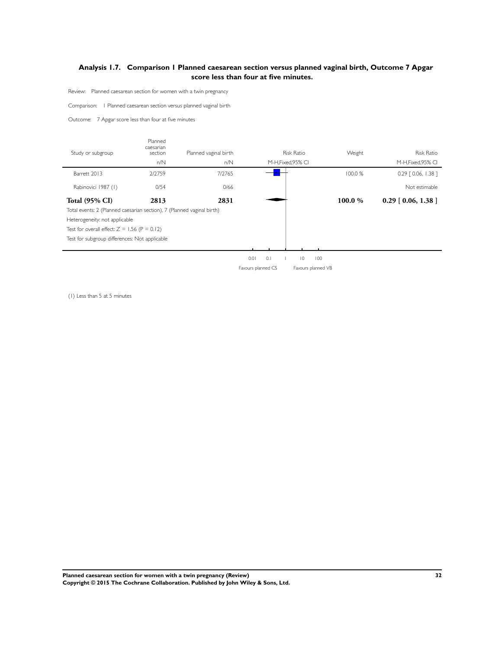## <span id="page-35-0"></span>**Analysis 1.7. Comparison 1 Planned caesarean section versus planned vaginal birth, Outcome 7 Apgar score less than four at five minutes.**

Review: Planned caesarean section for women with a twin pregnancy

Comparison: I Planned caesarean section versus planned vaginal birth

Outcome: 7 Apgar score less than four at five minutes

| Study or subgroup                                                      | Planned<br>caesarian<br>section | Planned vaginal birth | <b>Risk Ratio</b>  | Weight  | <b>Risk Ratio</b>     |
|------------------------------------------------------------------------|---------------------------------|-----------------------|--------------------|---------|-----------------------|
|                                                                        | n/N                             | n/N                   | M-H, Fixed, 95% CI |         | M-H, Fixed, 95% CI    |
| Barrett 2013                                                           | 2/2759                          | 7/2765                |                    | 100.0 % | $0.29$ $[0.06, 1.38]$ |
| Rabinovici 1987 (1)                                                    | 0/54                            | 0/66                  |                    |         | Not estimable         |
| <b>Total (95% CI)</b>                                                  | 2813                            | 2831                  |                    | 100.0%  | $0.29$ [ 0.06, 1.38 ] |
| Total events: 2 (Planned caesarian section), 7 (Planned vaginal birth) |                                 |                       |                    |         |                       |
| Heterogeneity: not applicable                                          |                                 |                       |                    |         |                       |
| Test for overall effect: $Z = 1.56$ (P = 0.12)                         |                                 |                       |                    |         |                       |
| Test for subgroup differences: Not applicable                          |                                 |                       |                    |         |                       |
|                                                                        |                                 |                       |                    |         |                       |

0.01 0.1 1 10 100

Favours planned CS Favours planned VB

(1) Less than 5 at 5 minutes

 $\blacksquare$ 

 $\overline{\phantom{a}}$ 

**Planned caesarean section for women with a twin pregnancy (Review) 32 Copyright © 2015 The Cochrane Collaboration. Published by John Wiley & Sons, Ltd.**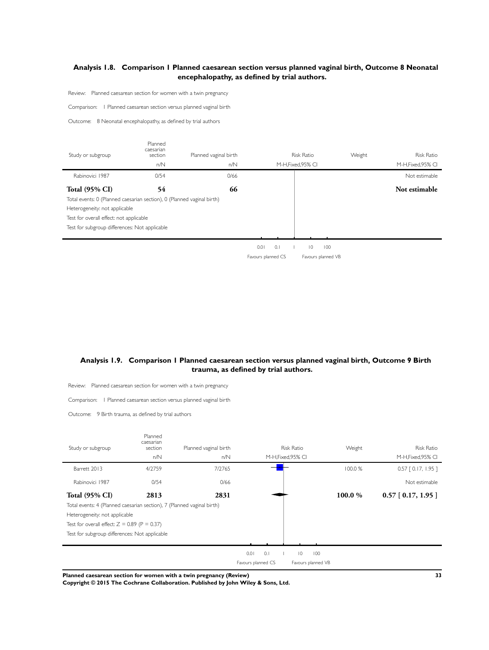## <span id="page-36-0"></span>**Analysis 1.8. Comparison 1 Planned caesarean section versus planned vaginal birth, Outcome 8 Neonatal encephalopathy, as defined by trial authors.**

Review: Planned caesarean section for women with a twin pregnancy

Comparison: I Planned caesarean section versus planned vaginal birth

Outcome: 8 Neonatal encephalopathy, as defined by trial authors



## **Analysis 1.9. Comparison 1 Planned caesarean section versus planned vaginal birth, Outcome 9 Birth trauma, as defined by trial authors.**

Review: Planned caesarean section for women with a twin pregnancy

Comparison: I Planned caesarean section versus planned vaginal birth

Outcome: 9 Birth trauma, as defined by trial authors

| Study or subgroup                                                      | Planned<br>caesarian<br>section<br>n/N | Planned vaginal birth<br>n/N |                    |     | <b>Risk Ratio</b><br>M-H, Fixed, 95% CI |                    | Weight | <b>Risk Ratio</b><br>M-H, Fixed, 95% CI |
|------------------------------------------------------------------------|----------------------------------------|------------------------------|--------------------|-----|-----------------------------------------|--------------------|--------|-----------------------------------------|
| Barrett 2013                                                           | 4/2759                                 | 7/2765                       |                    |     |                                         |                    | 100.0% | $0.57$ $[0.17, 1.95]$                   |
| Rabinovici 1987                                                        | 0/54                                   | 0/66                         |                    |     |                                         |                    |        | Not estimable                           |
| <b>Total (95% CI)</b>                                                  | 2813                                   | 2831                         |                    |     |                                         |                    | 100.0% | $0.57$ [ 0.17, 1.95 ]                   |
| Total events: 4 (Planned caesarian section), 7 (Planned vaginal birth) |                                        |                              |                    |     |                                         |                    |        |                                         |
| Heterogeneity: not applicable                                          |                                        |                              |                    |     |                                         |                    |        |                                         |
| Test for overall effect: $Z = 0.89$ (P = 0.37)                         |                                        |                              |                    |     |                                         |                    |        |                                         |
| Test for subgroup differences: Not applicable                          |                                        |                              |                    |     |                                         |                    |        |                                         |
|                                                                        |                                        |                              |                    |     |                                         |                    |        |                                         |
|                                                                        |                                        |                              | 0.01               | 0.1 | $\overline{0}$                          | 100                |        |                                         |
|                                                                        |                                        |                              | Favours planned CS |     |                                         | Favours planned VB |        |                                         |

**Planned caesarean section for women with a twin pregnancy (Review) 33**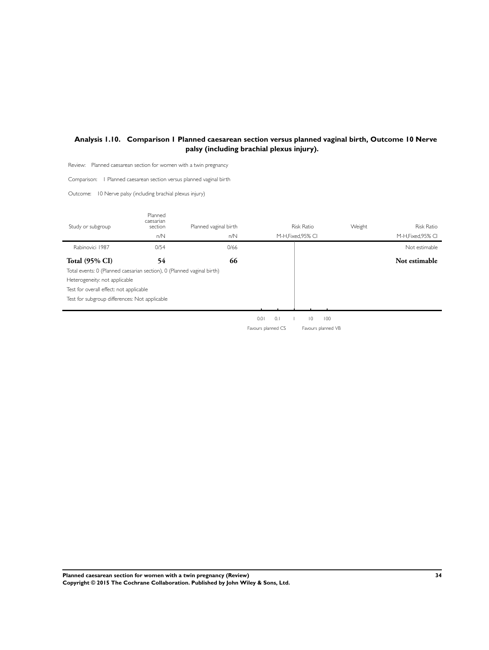## <span id="page-37-0"></span>**Analysis 1.10. Comparison 1 Planned caesarean section versus planned vaginal birth, Outcome 10 Nerve palsy (including brachial plexus injury).**

Review: Planned caesarean section for women with a twin pregnancy

Comparison: 1 Planned caesarean section versus planned vaginal birth

Outcome: 10 Nerve palsy (including brachial plexus injury)

| Study or subgroup                                                      | Planned<br>caesarian<br>section<br>n/N | Planned vaginal birth<br>n/N |                    | <b>Risk Ratio</b><br>M-H, Fixed, 95% CI | Weight | <b>Risk Ratio</b><br>M-H, Fixed, 95% CI |
|------------------------------------------------------------------------|----------------------------------------|------------------------------|--------------------|-----------------------------------------|--------|-----------------------------------------|
| Rabinovici 1987                                                        | 0/54                                   | 0/66                         |                    |                                         |        | Not estimable                           |
| <b>Total (95% CI)</b>                                                  | 54                                     | 66                           |                    |                                         |        | Not estimable                           |
| Total events: 0 (Planned caesarian section), 0 (Planned vaginal birth) |                                        |                              |                    |                                         |        |                                         |
| Heterogeneity: not applicable                                          |                                        |                              |                    |                                         |        |                                         |
| Test for overall effect: not applicable                                |                                        |                              |                    |                                         |        |                                         |
| Test for subgroup differences: Not applicable                          |                                        |                              |                    |                                         |        |                                         |
|                                                                        |                                        |                              |                    |                                         |        |                                         |
|                                                                        |                                        |                              | 0.1<br>0.01        | $\overline{0}$<br>100                   |        |                                         |
|                                                                        |                                        |                              | Favours planned CS | Favours planned VB                      |        |                                         |

**Planned caesarean section for women with a twin pregnancy (Review) 34 Copyright © 2015 The Cochrane Collaboration. Published by John Wiley & Sons, Ltd.**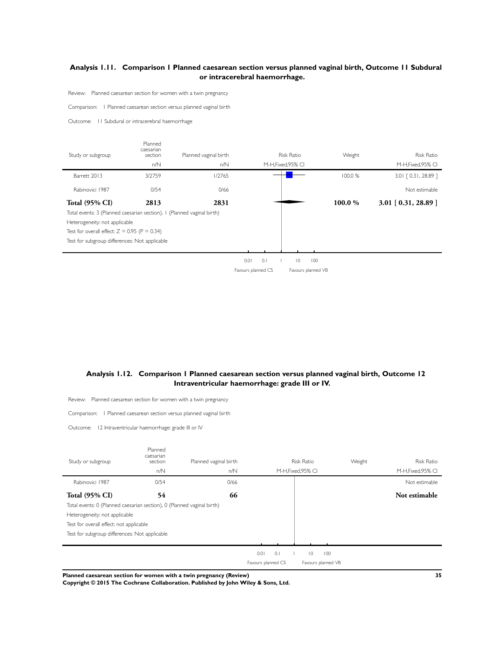## <span id="page-38-0"></span>**Analysis 1.11. Comparison 1 Planned caesarean section versus planned vaginal birth, Outcome 11 Subdural or intracerebral haemorrhage.**

Review: Planned caesarean section for women with a twin pregnancy

Comparison: I Planned caesarean section versus planned vaginal birth

Outcome: 11 Subdural or intracerebral haemorrhage

| Study or subgroup                                                      | Planned<br>caesarian<br>section | Planned vaginal birth |                    |     | Risk Ratio         |                    | Weight  | Risk Ratio             |
|------------------------------------------------------------------------|---------------------------------|-----------------------|--------------------|-----|--------------------|--------------------|---------|------------------------|
|                                                                        | n/N                             | n/N                   |                    |     | M-H, Fixed, 95% CI |                    |         | M-H, Fixed, 95% CI     |
| Barrett 2013                                                           | 3/2759                          | 1/2765                |                    |     |                    |                    | 100.0 % | 3.01 [ 0.31, 28.89 ]   |
| Rabinovici 1987                                                        | 0/54                            | 0/66                  |                    |     |                    |                    |         | Not estimable          |
| <b>Total (95% CI)</b>                                                  | 2813                            | 2831                  |                    |     |                    |                    | 100.0%  | $3.01$ [ 0.31, 28.89 ] |
| Total events: 3 (Planned caesarian section), I (Planned vaginal birth) |                                 |                       |                    |     |                    |                    |         |                        |
| Heterogeneity: not applicable                                          |                                 |                       |                    |     |                    |                    |         |                        |
| Test for overall effect: $Z = 0.95$ (P = 0.34)                         |                                 |                       |                    |     |                    |                    |         |                        |
| Test for subgroup differences: Not applicable                          |                                 |                       |                    |     |                    |                    |         |                        |
|                                                                        |                                 |                       |                    |     |                    |                    |         |                        |
|                                                                        |                                 |                       | 0.01               | 0.1 | $\overline{10}$    | 100                |         |                        |
|                                                                        |                                 |                       | Favours planned CS |     |                    | Favours planned VB |         |                        |

## **Analysis 1.12. Comparison 1 Planned caesarean section versus planned vaginal birth, Outcome 12 Intraventricular haemorrhage: grade III or IV.**

Review: Planned caesarean section for women with a twin pregnancy

Comparison: I Planned caesarean section versus planned vaginal birth

Outcome: 12 Intraventricular haemorrhage: grade III or IV

| Study or subgroup                                                      | Planned<br>caesarian<br>section<br>n/N | Planned vaginal birth<br>n/N |                    | <b>Risk Ratio</b><br>M-H, Fixed, 95% CI | Weight | Risk Ratio<br>M-H, Fixed, 95% CI |
|------------------------------------------------------------------------|----------------------------------------|------------------------------|--------------------|-----------------------------------------|--------|----------------------------------|
| Rabinovici 1987                                                        | 0/54                                   | 0/66                         |                    |                                         |        | Not estimable                    |
| <b>Total (95% CI)</b>                                                  | 54                                     | 66                           |                    |                                         |        | Not estimable                    |
| Total events: 0 (Planned caesarian section), 0 (Planned vaginal birth) |                                        |                              |                    |                                         |        |                                  |
| Heterogeneity: not applicable                                          |                                        |                              |                    |                                         |        |                                  |
| Test for overall effect: not applicable                                |                                        |                              |                    |                                         |        |                                  |
| Test for subgroup differences: Not applicable                          |                                        |                              |                    |                                         |        |                                  |
|                                                                        |                                        |                              |                    |                                         |        |                                  |
|                                                                        |                                        |                              | 0.1<br>0.01        | $\overline{0}$<br>100                   |        |                                  |
|                                                                        |                                        |                              | Favours planned CS | Favours planned VB                      |        |                                  |

**Planned caesarean section for women with a twin pregnancy (Review) 35**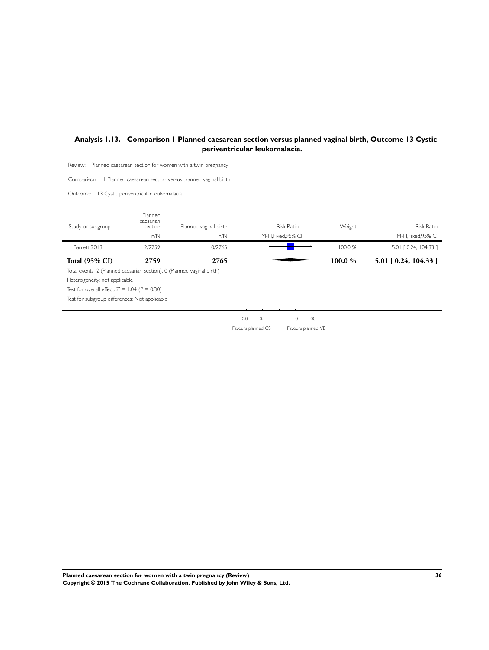## <span id="page-39-0"></span>**Analysis 1.13. Comparison 1 Planned caesarean section versus planned vaginal birth, Outcome 13 Cystic periventricular leukomalacia.**

Review: Planned caesarean section for women with a twin pregnancy

Comparison: 1 Planned caesarean section versus planned vaginal birth

Outcome: 13 Cystic periventricular leukomalacia

| Study or subgroup                                                      | Planned<br>caesarian<br>section<br>n/N | Planned vaginal birth<br>n/N |                    | Risk Ratio<br>M-H, Fixed, 95% CI | Weight | Risk Ratio<br>M-H, Fixed, 95% CI |
|------------------------------------------------------------------------|----------------------------------------|------------------------------|--------------------|----------------------------------|--------|----------------------------------|
| Barrett 2013                                                           | 2/2759                                 | 0/2765                       |                    |                                  | 100.0% | 5.01 [ 0.24, 104.33 ]            |
| <b>Total (95% CI)</b>                                                  | 2759                                   | 2765                         |                    |                                  | 100.0% | $5.01$ [ 0.24, 104.33 ]          |
| Total events: 2 (Planned caesarian section), 0 (Planned vaginal birth) |                                        |                              |                    |                                  |        |                                  |
| Heterogeneity: not applicable                                          |                                        |                              |                    |                                  |        |                                  |
| Test for overall effect: $Z = 1.04$ (P = 0.30)                         |                                        |                              |                    |                                  |        |                                  |
| Test for subgroup differences: Not applicable                          |                                        |                              |                    |                                  |        |                                  |
|                                                                        |                                        |                              |                    |                                  |        |                                  |
|                                                                        |                                        |                              | 0.01<br>0.1        | $\overline{10}$<br>100           |        |                                  |
|                                                                        |                                        |                              | Favours planned CS | Favours planned VB               |        |                                  |

**Planned caesarean section for women with a twin pregnancy (Review) 36 Copyright © 2015 The Cochrane Collaboration. Published by John Wiley & Sons, Ltd.**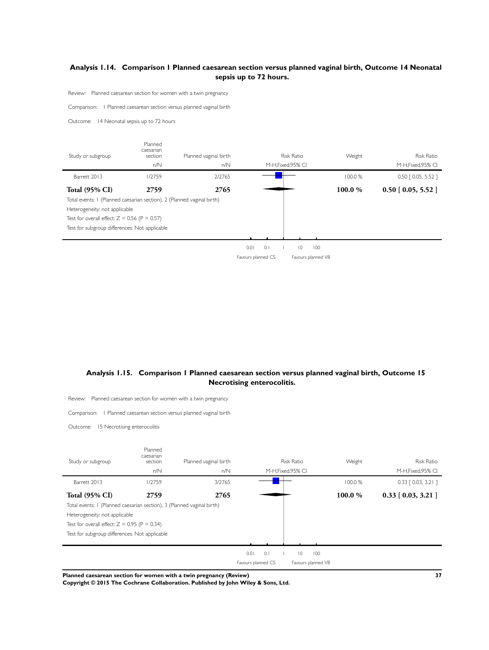## <span id="page-40-0"></span>**Analysis 1.14. Comparison 1 Planned caesarean section versus planned vaginal birth, Outcome 14 Neonatal sepsis up to 72 hours.**

Review: Planned caesarean section for women with a twin pregnancy

Comparison: I Planned caesarean section versus planned vaginal birth

Outcome: 14 Neonatal sepsis up to 72 hours



## **Analysis 1.15. Comparison 1 Planned caesarean section versus planned vaginal birth, Outcome 15 Necrotising enterocolitis.**

Review: Planned caesarean section for women with a twin pregnancy

Comparison: I Planned caesarean section versus planned vaginal birth

Outcome: 15 Necrotising enterocolitis

l.

| Study or subgroup                                                      | Planned<br>caesarian<br>section<br>n/N | Planned vaginal birth<br>n/N |                    |     | <b>Risk Ratio</b><br>M-H, Fixed, 95% CI |                    | Weight  | <b>Risk Ratio</b><br>M-H, Fixed, 95% CI |
|------------------------------------------------------------------------|----------------------------------------|------------------------------|--------------------|-----|-----------------------------------------|--------------------|---------|-----------------------------------------|
| Barrett 2013                                                           | 1/2759                                 | 3/2765                       |                    |     |                                         |                    | 100.0 % | $0.33$ [ 0.03, 3.2   ]                  |
| <b>Total (95% CI)</b>                                                  | 2759                                   | 2765                         |                    |     |                                         |                    | 100.0%  | $0.33$ [ 0.03, 3.21 ]                   |
| Total events: I (Planned caesarian section), 3 (Planned vaginal birth) |                                        |                              |                    |     |                                         |                    |         |                                         |
| Heterogeneity: not applicable                                          |                                        |                              |                    |     |                                         |                    |         |                                         |
| Test for overall effect: $Z = 0.95$ (P = 0.34)                         |                                        |                              |                    |     |                                         |                    |         |                                         |
| Test for subgroup differences: Not applicable                          |                                        |                              |                    |     |                                         |                    |         |                                         |
|                                                                        |                                        |                              |                    |     |                                         |                    |         |                                         |
|                                                                        |                                        |                              | 0.01               | 0.1 | $ 0\rangle$                             | 100                |         |                                         |
|                                                                        |                                        |                              | Favours planned CS |     |                                         | Favours planned VB |         |                                         |

**Planned caesarean section for women with a twin pregnancy (Review) 37**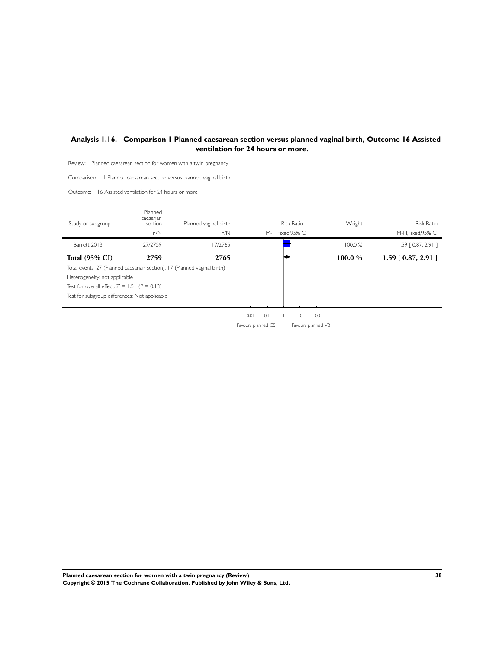## <span id="page-41-0"></span>**Analysis 1.16. Comparison 1 Planned caesarean section versus planned vaginal birth, Outcome 16 Assisted ventilation for 24 hours or more.**

Review: Planned caesarean section for women with a twin pregnancy

Comparison: I Planned caesarean section versus planned vaginal birth

Outcome: 16 Assisted ventilation for 24 hours or more

| Study or subgroup                                                        | Planned<br>caesarian<br>section<br>n/N | Planned vaginal birth<br>n/N |                    | M-H.Fixed.95% CI | <b>Risk Ratio</b> |                    | Weight  | <b>Risk Ratio</b><br>M-H.Fixed.95% CI |
|--------------------------------------------------------------------------|----------------------------------------|------------------------------|--------------------|------------------|-------------------|--------------------|---------|---------------------------------------|
| Barrett 2013                                                             | 27/2759                                | 17/2765                      |                    |                  |                   |                    | 100.0 % | 1.59 [ 0.87, 2.9   ]                  |
| <b>Total (95% CI)</b>                                                    | 2759                                   | 2765                         |                    |                  |                   |                    | 100.0%  | $1.59$ [ 0.87, 2.91 ]                 |
| Total events: 27 (Planned caesarian section), 17 (Planned vaginal birth) |                                        |                              |                    |                  |                   |                    |         |                                       |
| Heterogeneity: not applicable                                            |                                        |                              |                    |                  |                   |                    |         |                                       |
| Test for overall effect: $Z = 1.51$ (P = 0.13)                           |                                        |                              |                    |                  |                   |                    |         |                                       |
| Test for subgroup differences: Not applicable                            |                                        |                              |                    |                  |                   |                    |         |                                       |
|                                                                          |                                        |                              |                    |                  |                   |                    |         |                                       |
|                                                                          |                                        |                              | 0.01               | 0.1              | $ 0\rangle$       | 100                |         |                                       |
|                                                                          |                                        |                              | Favours planned CS |                  |                   | Favours planned VB |         |                                       |

**Planned caesarean section for women with a twin pregnancy (Review) 38 Copyright © 2015 The Cochrane Collaboration. Published by John Wiley & Sons, Ltd.**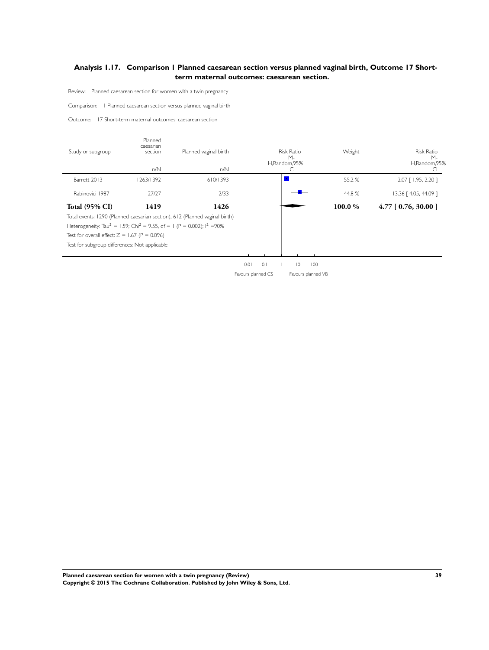## <span id="page-42-0"></span>**Analysis 1.17. Comparison 1 Planned caesarean section versus planned vaginal birth, Outcome 17 Shortterm maternal outcomes: caesarean section.**

Review: Planned caesarean section for women with a twin pregnancy

Comparison: I Planned caesarean section versus planned vaginal birth

Outcome: 17 Short-term maternal outcomes: caesarean section

| Study or subgroup                                                                                         | Planned<br>caesarian<br>section | Planned vaginal birth                                                       |                    | <b>Risk Ratio</b><br>$M -$<br>H.Random.95% | Weight | Risk Ratio<br>$M -$<br>H,Random,95% |
|-----------------------------------------------------------------------------------------------------------|---------------------------------|-----------------------------------------------------------------------------|--------------------|--------------------------------------------|--------|-------------------------------------|
|                                                                                                           | n/N                             | n/N                                                                         |                    |                                            |        |                                     |
| Barrett 2013                                                                                              | 1263/1392                       | 610/1393                                                                    |                    | $\vert \cdot \vert$                        | 55.2 % | 2.07 [ 1.95, 2.20 ]                 |
| Rabinovici 1987                                                                                           | 27/27                           | 2/33                                                                        |                    |                                            | 44.8 % | 13.36 [4.05, 44.09]                 |
| <b>Total (95% CI)</b>                                                                                     | 1419                            | 1426                                                                        |                    |                                            | 100.0% | $4.77$ [ 0.76, 30.00 ]              |
|                                                                                                           |                                 | Total events: 1290 (Planned caesarian section), 612 (Planned vaginal birth) |                    |                                            |        |                                     |
| Heterogeneity: Tau <sup>2</sup> = 1.59; Chi <sup>2</sup> = 9.55, df = 1 (P = 0.002); l <sup>2</sup> = 90% |                                 |                                                                             |                    |                                            |        |                                     |
| Test for overall effect: $Z = 1.67$ (P = 0.096)                                                           |                                 |                                                                             |                    |                                            |        |                                     |
| Test for subgroup differences: Not applicable                                                             |                                 |                                                                             |                    |                                            |        |                                     |
|                                                                                                           |                                 |                                                                             |                    |                                            |        |                                     |
|                                                                                                           |                                 |                                                                             | 0.1<br>0.01        | $\overline{0}$<br>100                      |        |                                     |
|                                                                                                           |                                 |                                                                             | Favours planned CS | Favours planned VB                         |        |                                     |

**Planned caesarean section for women with a twin pregnancy (Review) 39 Copyright © 2015 The Cochrane Collaboration. Published by John Wiley & Sons, Ltd.**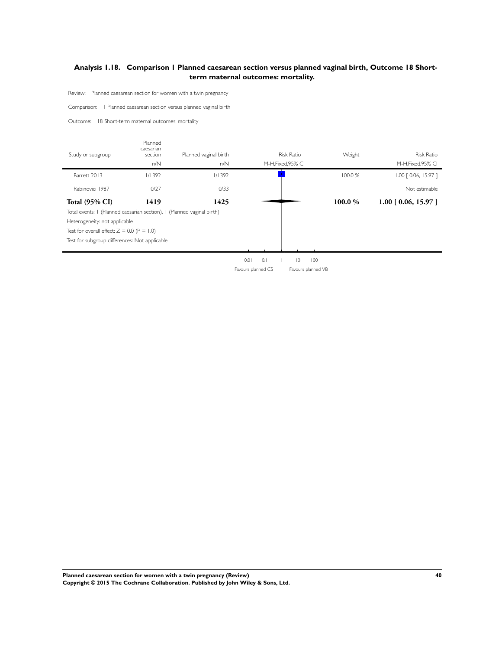## <span id="page-43-0"></span>**Analysis 1.18. Comparison 1 Planned caesarean section versus planned vaginal birth, Outcome 18 Shortterm maternal outcomes: mortality.**

Review: Planned caesarean section for women with a twin pregnancy

Comparison: 1 Planned caesarean section versus planned vaginal birth

Outcome: 18 Short-term maternal outcomes: mortality

| Study or subgroup                                                      | Planned<br>caesarian<br>section | Planned vaginal birth | <b>Risk Ratio</b>             | Weight  | <b>Risk Ratio</b>      |
|------------------------------------------------------------------------|---------------------------------|-----------------------|-------------------------------|---------|------------------------|
|                                                                        | n/N                             | n/N                   | M-H, Fixed, 95% CI            |         | M-H, Fixed, 95% CI     |
| Barrett 2013                                                           | 1/1392                          | 1/1392                |                               | 100.0 % | $1.00$ $[0.06, 15.97]$ |
| Rabinovici 1987                                                        | 0/27                            | 0/33                  |                               |         | Not estimable          |
| <b>Total (95% CI)</b>                                                  | 1419                            | 1425                  |                               | 100.0%  | $1.00$ [ 0.06, 15.97 ] |
| Total events: I (Planned caesarian section), I (Planned vaginal birth) |                                 |                       |                               |         |                        |
| Heterogeneity: not applicable                                          |                                 |                       |                               |         |                        |
| Test for overall effect: $Z = 0.0$ (P = 1.0)                           |                                 |                       |                               |         |                        |
| Test for subgroup differences: Not applicable                          |                                 |                       |                               |         |                        |
|                                                                        |                                 |                       |                               |         |                        |
|                                                                        |                                 |                       | $\overline{0}$<br>0.01<br>0.1 | 100     |                        |

Favours planned CS Favours planned VB

**Planned caesarean section for women with a twin pregnancy (Review) 40 Copyright © 2015 The Cochrane Collaboration. Published by John Wiley & Sons, Ltd.**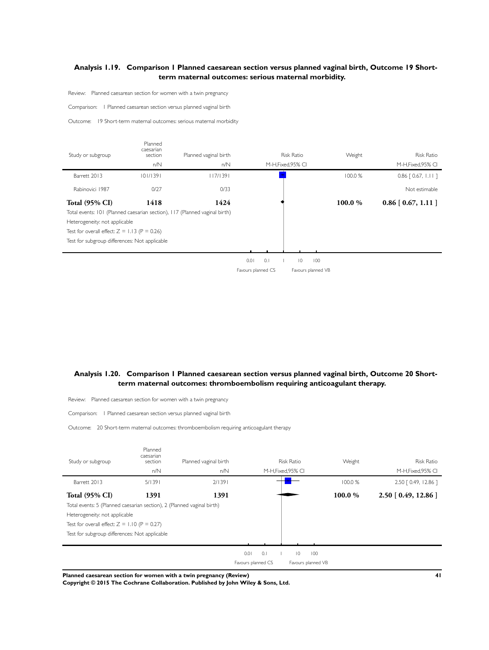## <span id="page-44-0"></span>**Analysis 1.19. Comparison 1 Planned caesarean section versus planned vaginal birth, Outcome 19 Shortterm maternal outcomes: serious maternal morbidity.**

Review: Planned caesarean section for women with a twin pregnancy

Comparison: I Planned caesarean section versus planned vaginal birth

l,

÷,

Outcome: 19 Short-term maternal outcomes: serious maternal morbidity

| Study or subgroup                                                          | Planned<br>caesarian<br>section | Planned vaginal birth |                    |     | <b>Risk Ratio</b>  |                    | Weight | Risk Ratio            |
|----------------------------------------------------------------------------|---------------------------------|-----------------------|--------------------|-----|--------------------|--------------------|--------|-----------------------|
|                                                                            | n/N                             | n/N                   |                    |     | M-H, Fixed, 95% CI |                    |        | M-H, Fixed, 95% CI    |
| Barrett 2013                                                               | 101/1391                        | 117/1391              |                    |     |                    |                    | 100.0% | $0.86$ [ 0.67, 1.11 ] |
| Rabinovici 1987                                                            | 0/27                            | 0/33                  |                    |     |                    |                    |        | Not estimable         |
| <b>Total (95% CI)</b>                                                      | 1418                            | 1424                  |                    |     |                    |                    | 100.0% | $0.86$ [ 0.67, 1.11 ] |
| Total events: 101 (Planned caesarian section), 117 (Planned vaginal birth) |                                 |                       |                    |     |                    |                    |        |                       |
| Heterogeneity: not applicable                                              |                                 |                       |                    |     |                    |                    |        |                       |
| Test for overall effect: $Z = 1.13$ (P = 0.26)                             |                                 |                       |                    |     |                    |                    |        |                       |
| Test for subgroup differences: Not applicable                              |                                 |                       |                    |     |                    |                    |        |                       |
|                                                                            |                                 |                       |                    |     |                    |                    |        |                       |
|                                                                            |                                 |                       | 0.01               | 0.1 | $\overline{0}$     | 100                |        |                       |
|                                                                            |                                 |                       | Favours planned CS |     |                    | Favours planned VB |        |                       |

## **Analysis 1.20. Comparison 1 Planned caesarean section versus planned vaginal birth, Outcome 20 Shortterm maternal outcomes: thromboembolism requiring anticoagulant therapy.**

Review: Planned caesarean section for women with a twin pregnancy

Comparison: I Planned caesarean section versus planned vaginal birth

Outcome: 20 Short-term maternal outcomes: thromboembolism requiring anticoagulant therapy

| Study or subgroup                                                      | Planned<br>caesarian<br>section<br>n/N | Planned vaginal birth<br>n/N |                    |     | Risk Ratio<br>M-H, Fixed, 95% CI |                    | Weight  | <b>Risk Ratio</b><br>M-H, Fixed, 95% CI |
|------------------------------------------------------------------------|----------------------------------------|------------------------------|--------------------|-----|----------------------------------|--------------------|---------|-----------------------------------------|
| Barrett 2013                                                           | 5/1391                                 | 2/1391                       |                    |     |                                  |                    | 100.0 % | 2.50 [ 0.49, 12.86 ]                    |
| <b>Total (95% CI)</b>                                                  | 1391                                   | 1391                         |                    |     |                                  |                    | 100.0%  | $2.50 \mid 0.49, 12.86 \mid$            |
| Total events: 5 (Planned caesarian section), 2 (Planned vaginal birth) |                                        |                              |                    |     |                                  |                    |         |                                         |
| Heterogeneity: not applicable                                          |                                        |                              |                    |     |                                  |                    |         |                                         |
| Test for overall effect: $Z = 1.10$ (P = 0.27)                         |                                        |                              |                    |     |                                  |                    |         |                                         |
| Test for subgroup differences: Not applicable                          |                                        |                              |                    |     |                                  |                    |         |                                         |
|                                                                        |                                        |                              |                    |     |                                  |                    |         |                                         |
|                                                                        |                                        |                              | 0.01               | 0.1 | $ 0\rangle$                      | 100                |         |                                         |
|                                                                        |                                        |                              | Favours planned CS |     |                                  | Favours planned VB |         |                                         |

**Planned caesarean section for women with a twin pregnancy (Review) 41**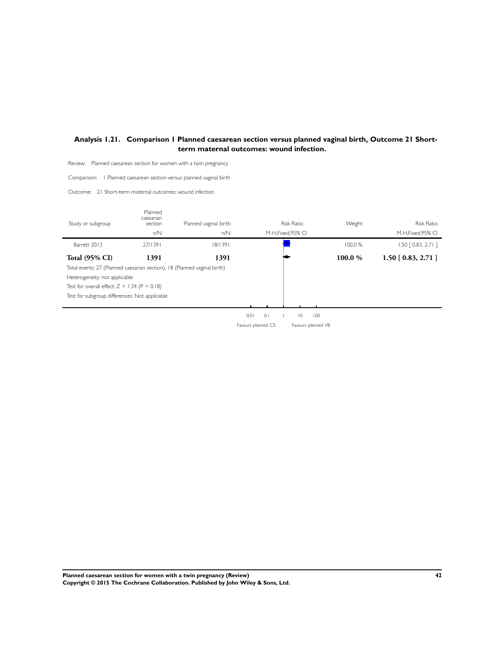## <span id="page-45-0"></span>**Analysis 1.21. Comparison 1 Planned caesarean section versus planned vaginal birth, Outcome 21 Shortterm maternal outcomes: wound infection.**

Review: Planned caesarean section for women with a twin pregnancy

Comparison: I Planned caesarean section versus planned vaginal birth

Outcome: 21 Short-term maternal outcomes: wound infection

| Study or subgroup                                                        | Planned<br>caesarian<br>section<br>n/N | Planned vaginal birth<br>n/N |                    |     | <b>Risk Ratio</b><br>M-H.Fixed.95% CI |                    | Weight  | <b>Risk Ratio</b><br>M-H, Fixed, 95% CI |
|--------------------------------------------------------------------------|----------------------------------------|------------------------------|--------------------|-----|---------------------------------------|--------------------|---------|-----------------------------------------|
| Barrett 2013                                                             | 27/1391                                | 18/1391                      |                    |     |                                       |                    | 100.0 % | $1.50$ $[0.83, 2.71]$                   |
| <b>Total (95% CI)</b>                                                    | 1391                                   | 1391                         |                    |     |                                       |                    | 100.0%  | $1.50$ [ 0.83, 2.71 ]                   |
| Total events: 27 (Planned caesarian section), 18 (Planned vaginal birth) |                                        |                              |                    |     |                                       |                    |         |                                         |
| Heterogeneity: not applicable                                            |                                        |                              |                    |     |                                       |                    |         |                                         |
| Test for overall effect: $Z = 1.34$ (P = 0.18)                           |                                        |                              |                    |     |                                       |                    |         |                                         |
| Test for subgroup differences: Not applicable                            |                                        |                              |                    |     |                                       |                    |         |                                         |
|                                                                          |                                        |                              |                    |     |                                       |                    |         |                                         |
|                                                                          |                                        |                              | 0.01               | 0.1 | $\overline{0}$                        | 100                |         |                                         |
|                                                                          |                                        |                              | Favours planned CS |     |                                       | Favours planned VB |         |                                         |

**Planned caesarean section for women with a twin pregnancy (Review) 42 Copyright © 2015 The Cochrane Collaboration. Published by John Wiley & Sons, Ltd.**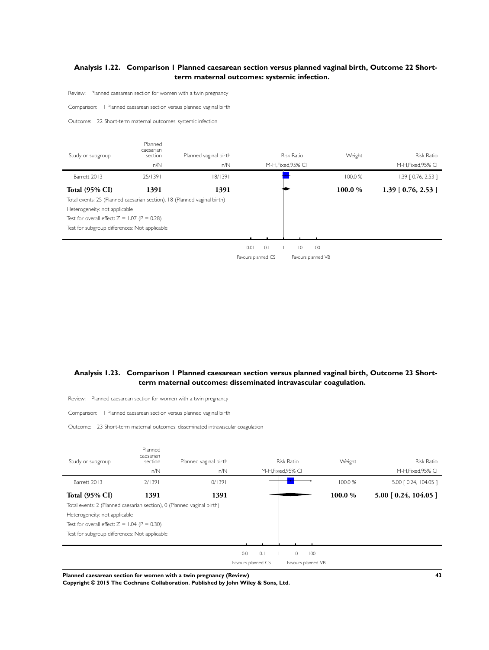## <span id="page-46-0"></span>**Analysis 1.22. Comparison 1 Planned caesarean section versus planned vaginal birth, Outcome 22 Shortterm maternal outcomes: systemic infection.**

Review: Planned caesarean section for women with a twin pregnancy

Comparison: I Planned caesarean section versus planned vaginal birth

Outcome: 22 Short-term maternal outcomes: systemic infection



### **Analysis 1.23. Comparison 1 Planned caesarean section versus planned vaginal birth, Outcome 23 Shortterm maternal outcomes: disseminated intravascular coagulation.**

Review: Planned caesarean section for women with a twin pregnancy

Comparison: I Planned caesarean section versus planned vaginal birth

Outcome: 23 Short-term maternal outcomes: disseminated intravascular coagulation

| Study or subgroup                                                      | Planned<br>caesarian<br>section<br>n/N | Planned vaginal birth<br>n/N |                    |     | <b>Risk Ratio</b><br>M-H, Fixed, 95% CI |                    | Weight | Risk Ratio<br>M-H, Fixed, 95% CI |
|------------------------------------------------------------------------|----------------------------------------|------------------------------|--------------------|-----|-----------------------------------------|--------------------|--------|----------------------------------|
| Barrett 2013                                                           | 2/1391                                 | 0/1391                       |                    |     |                                         |                    | 100.0% | 5.00 [ 0.24, 104.05 ]            |
| <b>Total (95% CI)</b>                                                  | 1391                                   | 1391                         |                    |     |                                         |                    | 100.0% | $5.00$ [ 0.24, 104.05 ]          |
| Total events: 2 (Planned caesarian section), 0 (Planned vaginal birth) |                                        |                              |                    |     |                                         |                    |        |                                  |
| Heterogeneity: not applicable                                          |                                        |                              |                    |     |                                         |                    |        |                                  |
| Test for overall effect: $Z = 1.04$ (P = 0.30)                         |                                        |                              |                    |     |                                         |                    |        |                                  |
| Test for subgroup differences: Not applicable                          |                                        |                              |                    |     |                                         |                    |        |                                  |
|                                                                        |                                        |                              |                    |     |                                         |                    |        |                                  |
|                                                                        |                                        |                              | 0.01               | 0.1 | $\overline{0}$                          | 100                |        |                                  |
|                                                                        |                                        |                              | Favours planned CS |     |                                         | Favours planned VB |        |                                  |

**Planned caesarean section for women with a twin pregnancy (Review) 43**

l.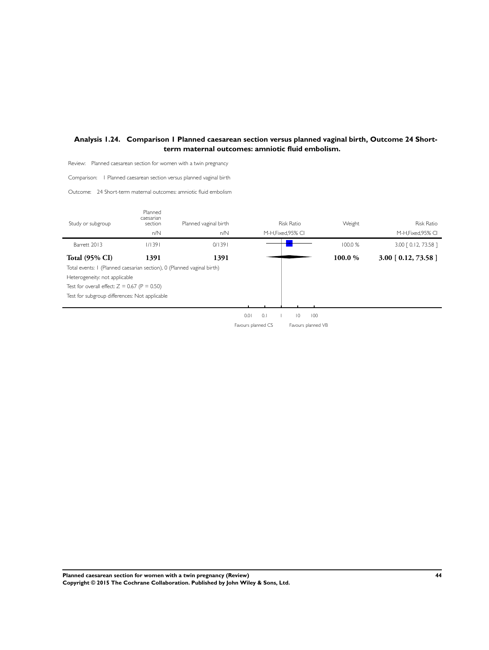## <span id="page-47-0"></span>**Analysis 1.24. Comparison 1 Planned caesarean section versus planned vaginal birth, Outcome 24 Shortterm maternal outcomes: amniotic fluid embolism.**

Review: Planned caesarean section for women with a twin pregnancy

Comparison: I Planned caesarean section versus planned vaginal birth

Outcome: 24 Short-term maternal outcomes: amniotic fluid embolism

| Study or subgroup                                                      | Planned<br>caesarian<br>section<br>n/N | Planned vaginal birth<br>n/N |                    | <b>Risk Ratio</b><br>M-H, Fixed, 95% CI |                    | Weight  | <b>Risk Ratio</b><br>M-H, Fixed, 95% CI |
|------------------------------------------------------------------------|----------------------------------------|------------------------------|--------------------|-----------------------------------------|--------------------|---------|-----------------------------------------|
| Barrett 2013                                                           | 1/1391                                 | 0/1391                       |                    |                                         |                    | 100.0 % | 3.00 [ 0.12, 73.58 ]                    |
| <b>Total (95% CI)</b>                                                  | 1391                                   | 1391                         |                    |                                         |                    | 100.0%  | $3.00$ [ 0.12, 73.58 ]                  |
| Total events: I (Planned caesarian section), 0 (Planned vaginal birth) |                                        |                              |                    |                                         |                    |         |                                         |
| Heterogeneity: not applicable                                          |                                        |                              |                    |                                         |                    |         |                                         |
| Test for overall effect: $Z = 0.67$ (P = 0.50)                         |                                        |                              |                    |                                         |                    |         |                                         |
| Test for subgroup differences: Not applicable                          |                                        |                              |                    |                                         |                    |         |                                         |
|                                                                        |                                        |                              |                    |                                         |                    |         |                                         |
|                                                                        |                                        |                              | 0.1<br>0.01        | $\overline{0}$                          | 100                |         |                                         |
|                                                                        |                                        |                              | Favours planned CS |                                         | Favours planned VB |         |                                         |

**Planned caesarean section for women with a twin pregnancy (Review) 44 Copyright © 2015 The Cochrane Collaboration. Published by John Wiley & Sons, Ltd.**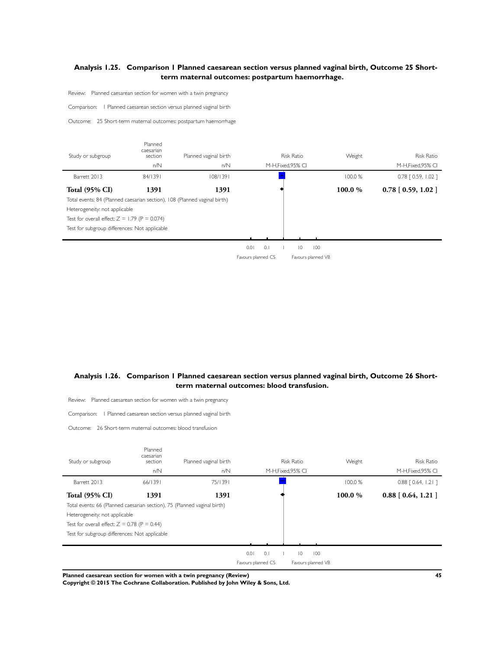## <span id="page-48-0"></span>**Analysis 1.25. Comparison 1 Planned caesarean section versus planned vaginal birth, Outcome 25 Shortterm maternal outcomes: postpartum haemorrhage.**

Review: Planned caesarean section for women with a twin pregnancy

Comparison: I Planned caesarean section versus planned vaginal birth

Outcome: 25 Short-term maternal outcomes: postpartum haemorrhage

 $\overline{\phantom{a}}$ 

 $\blacksquare$ 

| Study or subgroup                                                         | Planned<br>caesarian<br>section | Planned vaginal birth | <b>Risk Ratio</b> |     |                    |                |     | Weight | <b>Risk Ratio</b>     |
|---------------------------------------------------------------------------|---------------------------------|-----------------------|-------------------|-----|--------------------|----------------|-----|--------|-----------------------|
|                                                                           | n/N                             | n/N                   |                   |     | M-H, Fixed, 95% CI |                |     |        | M-H, Fixed, 95% CI    |
| Barrett 2013                                                              | 84/1391                         | 108/1391              |                   |     |                    |                |     | 100.0% | $0.78$ $[0.59, 1.02]$ |
| <b>Total (95% CI)</b>                                                     | 1391                            | 1391                  |                   |     |                    |                |     | 100.0% | $0.78$ [ 0.59, 1.02 ] |
| Total events: 84 (Planned caesarian section), 108 (Planned vaginal birth) |                                 |                       |                   |     |                    |                |     |        |                       |
| Heterogeneity: not applicable                                             |                                 |                       |                   |     |                    |                |     |        |                       |
| Test for overall effect: $Z = 1.79$ (P = 0.074)                           |                                 |                       |                   |     |                    |                |     |        |                       |
| Test for subgroup differences: Not applicable                             |                                 |                       |                   |     |                    |                |     |        |                       |
|                                                                           |                                 |                       |                   |     |                    |                |     |        |                       |
|                                                                           |                                 |                       | 0.01              | 0.1 |                    | $\overline{0}$ | 100 |        |                       |

Favours planned CS Favours planned VB

**Analysis 1.26. Comparison 1 Planned caesarean section versus planned vaginal birth, Outcome 26 Shortterm maternal outcomes: blood transfusion.**

Review: Planned caesarean section for women with a twin pregnancy

Comparison: 1 Planned caesarean section versus planned vaginal birth

Outcome: 26 Short-term maternal outcomes: blood transfusion

| Study or subgroup                                                        | Planned<br>caesarian<br>section<br>n/N | Planned vaginal birth<br>n/N |                    |     | <b>Risk Ratio</b><br>M-H.Fixed.95% CI |                    | Weight  | <b>Risk Ratio</b><br>M-H, Fixed, 95% CI |
|--------------------------------------------------------------------------|----------------------------------------|------------------------------|--------------------|-----|---------------------------------------|--------------------|---------|-----------------------------------------|
| Barrett 2013                                                             | 66/1391                                | 75/1391                      |                    |     |                                       |                    | 100.0 % | $0.88$ $[0.64, 1.21]$                   |
| <b>Total (95% CI)</b>                                                    | 1391                                   | 1391                         |                    |     |                                       |                    | 100.0%  | $0.88$ [ 0.64, 1.21 ]                   |
| Total events: 66 (Planned caesarian section), 75 (Planned vaginal birth) |                                        |                              |                    |     |                                       |                    |         |                                         |
| Heterogeneity: not applicable                                            |                                        |                              |                    |     |                                       |                    |         |                                         |
| Test for overall effect: $Z = 0.78$ (P = 0.44)                           |                                        |                              |                    |     |                                       |                    |         |                                         |
| Test for subgroup differences: Not applicable                            |                                        |                              |                    |     |                                       |                    |         |                                         |
|                                                                          |                                        |                              |                    |     |                                       |                    |         |                                         |
|                                                                          |                                        |                              | 0.01               | 0.1 | $\overline{0}$                        | 100                |         |                                         |
|                                                                          |                                        |                              | Favours planned CS |     |                                       | Favours planned VB |         |                                         |

**Planned caesarean section for women with a twin pregnancy (Review) 45**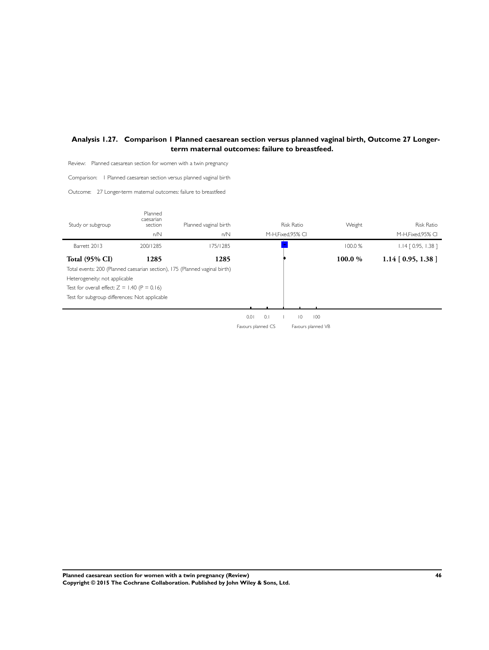## <span id="page-49-0"></span>**Analysis 1.27. Comparison 1 Planned caesarean section versus planned vaginal birth, Outcome 27 Longerterm maternal outcomes: failure to breastfeed.**

Review: Planned caesarean section for women with a twin pregnancy

Comparison: I Planned caesarean section versus planned vaginal birth

Outcome: 27 Longer-term maternal outcomes: failure to breastfeed

| Study or subgroup                                                          | Planned<br>caesarian<br>section<br>n/N | Planned vaginal birth<br>n/N |                    | M-H, Fixed, 95% CI | <b>Risk Ratio</b> |                |                    | Weight  | <b>Risk Ratio</b><br>M-H, Fixed, 95% CI |
|----------------------------------------------------------------------------|----------------------------------------|------------------------------|--------------------|--------------------|-------------------|----------------|--------------------|---------|-----------------------------------------|
| Barrett 2013                                                               | 200/1285                               | 175/1285                     |                    |                    |                   |                |                    | 100.0 % | $1.14$ $[0.95, 1.38]$                   |
| <b>Total (95% CI)</b>                                                      | 1285                                   | 1285                         |                    |                    |                   |                |                    | 100.0%  | $1.14$ [ 0.95, 1.38 ]                   |
| Total events: 200 (Planned caesarian section), 175 (Planned vaginal birth) |                                        |                              |                    |                    |                   |                |                    |         |                                         |
| Heterogeneity: not applicable                                              |                                        |                              |                    |                    |                   |                |                    |         |                                         |
| Test for overall effect: $Z = 1.40$ (P = 0.16)                             |                                        |                              |                    |                    |                   |                |                    |         |                                         |
| Test for subgroup differences: Not applicable                              |                                        |                              |                    |                    |                   |                |                    |         |                                         |
|                                                                            |                                        |                              |                    |                    |                   |                |                    |         |                                         |
|                                                                            |                                        |                              | 0.01               | 0.1                |                   | $\overline{0}$ | 100                |         |                                         |
|                                                                            |                                        |                              | Favours planned CS |                    |                   |                | Favours planned VB |         |                                         |

**Planned caesarean section for women with a twin pregnancy (Review) 46 Copyright © 2015 The Cochrane Collaboration. Published by John Wiley & Sons, Ltd.**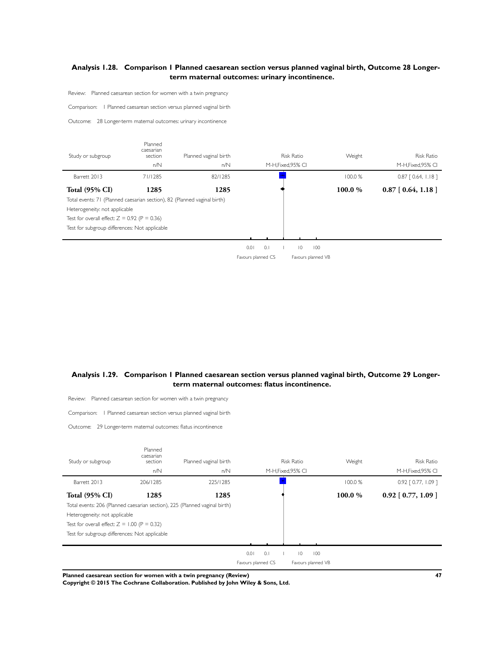## <span id="page-50-0"></span>**Analysis 1.28. Comparison 1 Planned caesarean section versus planned vaginal birth, Outcome 28 Longerterm maternal outcomes: urinary incontinence.**

Review: Planned caesarean section for women with a twin pregnancy

Comparison: I Planned caesarean section versus planned vaginal birth

Outcome: 28 Longer-term maternal outcomes: urinary incontinence



## **Analysis 1.29. Comparison 1 Planned caesarean section versus planned vaginal birth, Outcome 29 Longerterm maternal outcomes: flatus incontinence.**

Review: Planned caesarean section for women with a twin pregnancy

Comparison: I Planned caesarean section versus planned vaginal birth

Outcome: 29 Longer-term maternal outcomes: flatus incontinence

| Study or subgroup                              | Planned<br>caesarian<br>section<br>n/N | Planned vaginal birth<br>n/N                                               |                    |     | <b>Risk Ratio</b><br>M-H, Fixed, 95% CI |                    | Weight | <b>Risk Ratio</b><br>M-H, Fixed, 95% CI |
|------------------------------------------------|----------------------------------------|----------------------------------------------------------------------------|--------------------|-----|-----------------------------------------|--------------------|--------|-----------------------------------------|
| Barrett 2013                                   | 206/1285                               | 225/1285                                                                   |                    |     |                                         |                    | 100.0% | $0.92$ $[0.77, 1.09]$                   |
| <b>Total (95% CI)</b>                          | 1285                                   | 1285                                                                       |                    |     |                                         |                    | 100.0% | $0.92$ [ 0.77, 1.09 ]                   |
|                                                |                                        | Total events: 206 (Planned caesarian section), 225 (Planned vaginal birth) |                    |     |                                         |                    |        |                                         |
| Heterogeneity: not applicable                  |                                        |                                                                            |                    |     |                                         |                    |        |                                         |
| Test for overall effect: $Z = 1.00$ (P = 0.32) |                                        |                                                                            |                    |     |                                         |                    |        |                                         |
| Test for subgroup differences: Not applicable  |                                        |                                                                            |                    |     |                                         |                    |        |                                         |
|                                                |                                        |                                                                            |                    |     |                                         |                    |        |                                         |
|                                                |                                        |                                                                            | 0.01               | 0.1 | $\overline{0}$                          | 100                |        |                                         |
|                                                |                                        |                                                                            | Favours planned CS |     |                                         | Favours planned VB |        |                                         |

**Planned caesarean section for women with a twin pregnancy (Review) 47**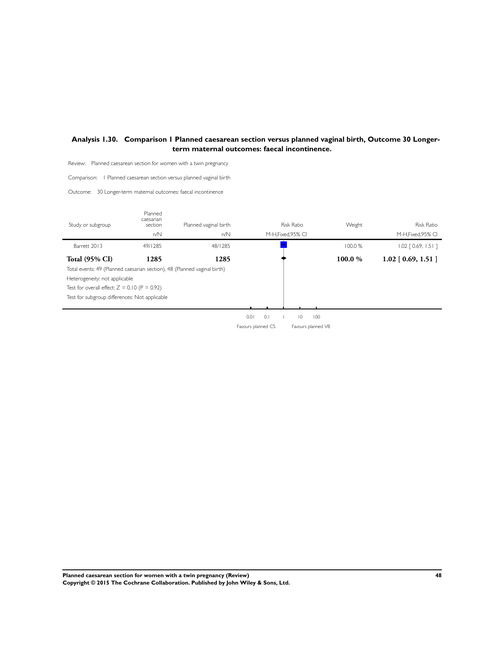## <span id="page-51-0"></span>**Analysis 1.30. Comparison 1 Planned caesarean section versus planned vaginal birth, Outcome 30 Longerterm maternal outcomes: faecal incontinence.**

Review: Planned caesarean section for women with a twin pregnancy

Comparison: I Planned caesarean section versus planned vaginal birth

Outcome: 30 Longer-term maternal outcomes: faecal incontinence

| Study or subgroup                                                        | Planned<br>caesarian<br>section<br>n/N | Planned vaginal birth<br>n/N |                    | <b>Risk Ratio</b><br>M-H, Fixed, 95% CI |                    | Weight | <b>Risk Ratio</b><br>M-H, Fixed, 95% CI |
|--------------------------------------------------------------------------|----------------------------------------|------------------------------|--------------------|-----------------------------------------|--------------------|--------|-----------------------------------------|
| Barrett 2013                                                             | 49/1285                                | 48/1285                      |                    |                                         |                    | 100.0% | $1.02$ $[0.69, 1.51]$                   |
| <b>Total (95% CI)</b>                                                    | 1285                                   | 1285                         |                    |                                         |                    | 100.0% | $1.02$ [ 0.69, 1.51 ]                   |
| Total events: 49 (Planned caesarian section), 48 (Planned vaginal birth) |                                        |                              |                    |                                         |                    |        |                                         |
| Heterogeneity: not applicable                                            |                                        |                              |                    |                                         |                    |        |                                         |
| Test for overall effect: $Z = 0.10$ (P = 0.92)                           |                                        |                              |                    |                                         |                    |        |                                         |
| Test for subgroup differences: Not applicable                            |                                        |                              |                    |                                         |                    |        |                                         |
|                                                                          |                                        |                              |                    |                                         |                    |        |                                         |
|                                                                          |                                        |                              | 0.01               | 0.1                                     | $ 0\rangle$<br>100 |        |                                         |
|                                                                          |                                        |                              | Favours planned CS |                                         | Favours planned VB |        |                                         |

**Planned caesarean section for women with a twin pregnancy (Review) 48 Copyright © 2015 The Cochrane Collaboration. Published by John Wiley & Sons, Ltd.**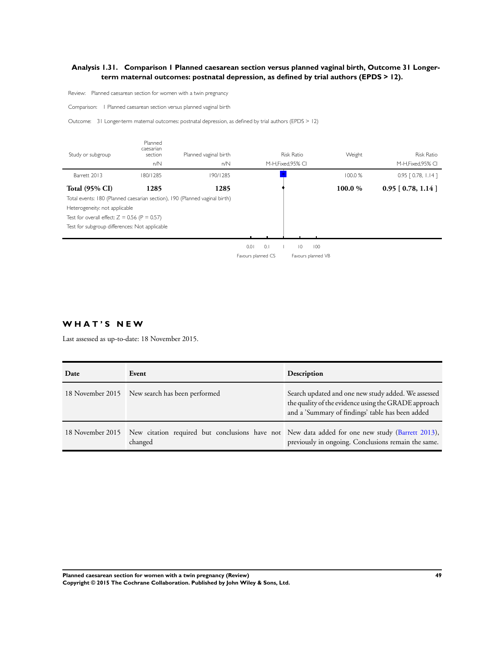## <span id="page-52-0"></span>**Analysis 1.31. Comparison 1 Planned caesarean section versus planned vaginal birth, Outcome 31 Longerterm maternal outcomes: postnatal depression, as defined by trial authors (EPDS > 12).**

Review: Planned caesarean section for women with a twin pregnancy

Comparison: 1 Planned caesarean section versus planned vaginal birth

Outcome: 31 Longer-term maternal outcomes: postnatal depression, as defined by trial authors (EPDS > 12)

| Study or subgroup                                                          | Planned<br>caesarian<br>section<br>n/N | Planned vaginal birth<br>n/N |                    |     | <b>Risk Ratio</b><br>M-H, Fixed, 95% CI |                    | Weight | <b>Risk Ratio</b><br>M-H, Fixed, 95% CI |
|----------------------------------------------------------------------------|----------------------------------------|------------------------------|--------------------|-----|-----------------------------------------|--------------------|--------|-----------------------------------------|
| Barrett 2013                                                               | 180/1285                               | 190/1285                     |                    |     |                                         |                    | 100.0% | $0.95$ [ 0.78, 1.14 ]                   |
| <b>Total (95% CI)</b>                                                      | 1285                                   | 1285                         |                    |     |                                         |                    | 100.0% | $0.95$ [ 0.78, 1.14 ]                   |
| Total events: 180 (Planned caesarian section), 190 (Planned vaginal birth) |                                        |                              |                    |     |                                         |                    |        |                                         |
| Heterogeneity: not applicable                                              |                                        |                              |                    |     |                                         |                    |        |                                         |
| Test for overall effect: $Z = 0.56$ (P = 0.57)                             |                                        |                              |                    |     |                                         |                    |        |                                         |
| Test for subgroup differences: Not applicable                              |                                        |                              |                    |     |                                         |                    |        |                                         |
|                                                                            |                                        |                              |                    |     |                                         |                    |        |                                         |
|                                                                            |                                        |                              | 0.01               | 0.1 | $\overline{0}$                          | 100                |        |                                         |
|                                                                            |                                        |                              | Favours planned CS |     |                                         | Favours planned VB |        |                                         |

## **W H A T ' S N E W**

Last assessed as up-to-date: 18 November 2015.

| Date             | Event                                                                                                      | Description                                                                                                                                                     |  |  |  |  |
|------------------|------------------------------------------------------------------------------------------------------------|-----------------------------------------------------------------------------------------------------------------------------------------------------------------|--|--|--|--|
|                  | 18 November 2015 New search has been performed                                                             | Search updated and one new study added. We assessed<br>the quality of the evidence using the GRADE approach<br>and a 'Summary of findings' table has been added |  |  |  |  |
| 18 November 2015 | New citation required but conclusions have not New data added for one new study (Barrett 2013),<br>changed | previously in ongoing. Conclusions remain the same.                                                                                                             |  |  |  |  |

**Planned caesarean section for women with a twin pregnancy (Review) 49 Copyright © 2015 The Cochrane Collaboration. Published by John Wiley & Sons, Ltd.**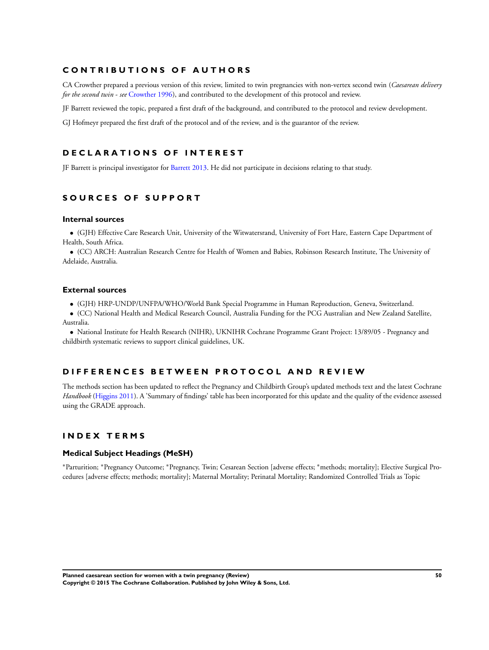## **C O N T R I B U T I O N S O F A U T H O R S**

CA Crowther prepared a previous version of this review, limited to twin pregnancies with non-vertex second twin (*Caesarean delivery for the second twin* - *see* [Crowther 1996](#page-21-0)), and contributed to the development of this protocol and review.

JF Barrett reviewed the topic, prepared a first draft of the background, and contributed to the protocol and review development.

GJ Hofmeyr prepared the first draft of the protocol and of the review, and is the guarantor of the review.

## **D E C L A R A T I O N S O F I N T E R E S T**

JF Barrett is principal investigator for [Barrett 2013](#page-21-0). He did not participate in decisions relating to that study.

## **S O U R C E S O F S U P P O R T**

## **Internal sources**

• (GJH) Effective Care Research Unit, University of the Witwatersrand, University of Fort Hare, Eastern Cape Department of Health, South Africa.

• (CC) ARCH: Australian Research Centre for Health of Women and Babies, Robinson Research Institute, The University of Adelaide, Australia.

#### **External sources**

• (GJH) HRP-UNDP/UNFPA/WHO/World Bank Special Programme in Human Reproduction, Geneva, Switzerland.

• (CC) National Health and Medical Research Council, Australia Funding for the PCG Australian and New Zealand Satellite, Australia.

• National Institute for Health Research (NIHR), UKNIHR Cochrane Programme Grant Project: 13/89/05 - Pregnancy and childbirth systematic reviews to support clinical guidelines, UK.

## **DIFFERENCES BETWEEN PROTOCOL AND REVIEW**

The methods section has been updated to reflect the Pregnancy and Childbirth Group's updated methods text and the latest Cochrane *Handbook* ([Higgins 2011](#page-21-0)). A 'Summary of findings' table has been incorporated for this update and the quality of the evidence assessed using the GRADE approach.

## **I N D E X T E R M S**

#### **Medical Subject Headings (MeSH)**

<sup>∗</sup>Parturition; <sup>∗</sup>Pregnancy Outcome; <sup>∗</sup>Pregnancy, Twin; Cesarean Section [adverse effects; <sup>∗</sup>methods; mortality]; Elective Surgical Procedures [adverse effects; methods; mortality]; Maternal Mortality; Perinatal Mortality; Randomized Controlled Trials as Topic